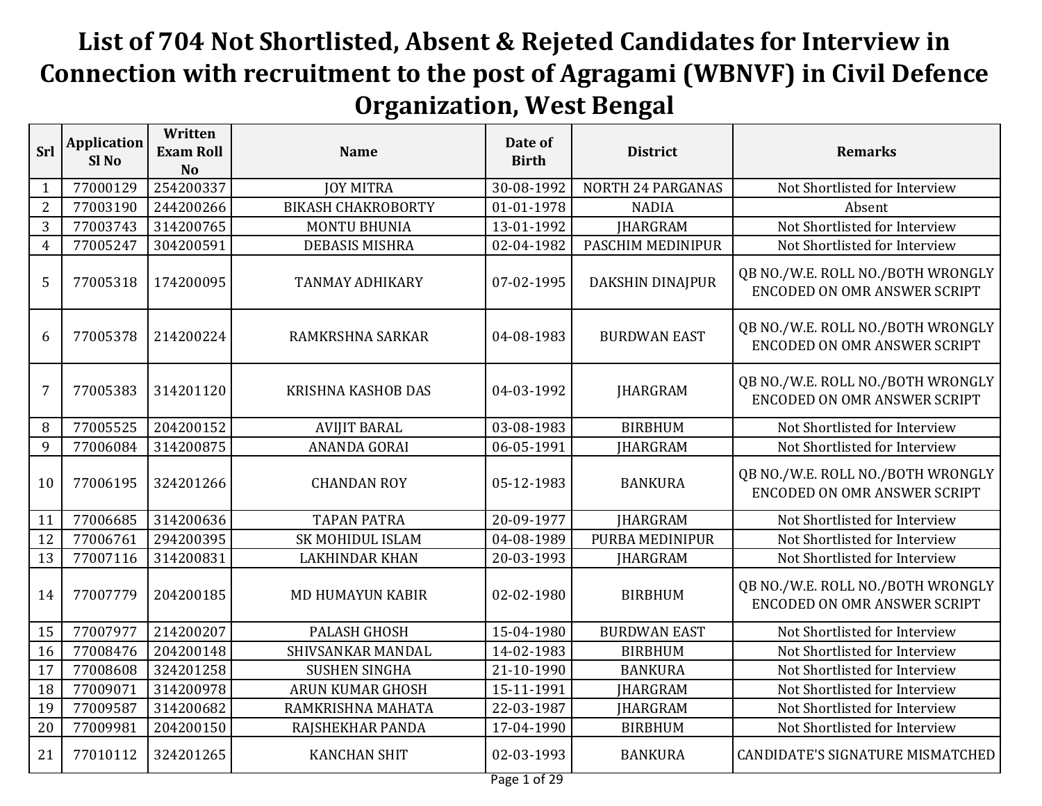## **List of 704 Not Shortlisted, Absent & Rejeted Candidates for Interview in Connection with recruitment to the post of Agragami (WBNVF) in Civil Defence Organization, West Bengal**

| Srl            | <b>Application</b><br>Sl <sub>No</sub> | Written<br><b>Exam Roll</b><br><b>No</b> | <b>Name</b>               | Date of<br><b>Birth</b> | <b>District</b>          | <b>Remarks</b>                                                           |
|----------------|----------------------------------------|------------------------------------------|---------------------------|-------------------------|--------------------------|--------------------------------------------------------------------------|
| $\mathbf{1}$   | 77000129                               | 254200337                                | <b>JOY MITRA</b>          | 30-08-1992              | <b>NORTH 24 PARGANAS</b> | Not Shortlisted for Interview                                            |
| $\overline{2}$ | 77003190                               | 244200266                                | <b>BIKASH CHAKROBORTY</b> | 01-01-1978              | <b>NADIA</b>             | Absent                                                                   |
| 3              | 77003743                               | 314200765                                | <b>MONTU BHUNIA</b>       | 13-01-1992              | <b>IHARGRAM</b>          | Not Shortlisted for Interview                                            |
| $\overline{4}$ | 77005247                               | 304200591                                | <b>DEBASIS MISHRA</b>     | 02-04-1982              | PASCHIM MEDINIPUR        | Not Shortlisted for Interview                                            |
| 5              | 77005318                               | 174200095                                | <b>TANMAY ADHIKARY</b>    | 07-02-1995              | DAKSHIN DINAJPUR         | QB NO./W.E. ROLL NO./BOTH WRONGLY<br><b>ENCODED ON OMR ANSWER SCRIPT</b> |
| 6              | 77005378                               | 214200224                                | RAMKRSHNA SARKAR          | 04-08-1983              | <b>BURDWAN EAST</b>      | QB NO./W.E. ROLL NO./BOTH WRONGLY<br><b>ENCODED ON OMR ANSWER SCRIPT</b> |
| 7              | 77005383                               | 314201120                                | KRISHNA KASHOB DAS        | 04-03-1992              | <b>JHARGRAM</b>          | QB NO./W.E. ROLL NO./BOTH WRONGLY<br><b>ENCODED ON OMR ANSWER SCRIPT</b> |
| 8              | 77005525                               | 204200152                                | <b>AVIJIT BARAL</b>       | 03-08-1983              | <b>BIRBHUM</b>           | Not Shortlisted for Interview                                            |
| 9              | 77006084                               | 314200875                                | ANANDA GORAI              | 06-05-1991              | <b>JHARGRAM</b>          | Not Shortlisted for Interview                                            |
| 10             | 77006195                               | 324201266                                | <b>CHANDAN ROY</b>        | 05-12-1983              | <b>BANKURA</b>           | QB NO./W.E. ROLL NO./BOTH WRONGLY<br><b>ENCODED ON OMR ANSWER SCRIPT</b> |
| 11             | 77006685                               | 314200636                                | <b>TAPAN PATRA</b>        | 20-09-1977              | <b>JHARGRAM</b>          | Not Shortlisted for Interview                                            |
| 12             | 77006761                               | 294200395                                | <b>SK MOHIDUL ISLAM</b>   | 04-08-1989              | PURBA MEDINIPUR          | Not Shortlisted for Interview                                            |
| 13             | 77007116                               | 314200831                                | <b>LAKHINDAR KHAN</b>     | 20-03-1993              | <b>IHARGRAM</b>          | Not Shortlisted for Interview                                            |
| 14             | 77007779                               | 204200185                                | <b>MD HUMAYUN KABIR</b>   | 02-02-1980              | <b>BIRBHUM</b>           | QB NO./W.E. ROLL NO./BOTH WRONGLY<br><b>ENCODED ON OMR ANSWER SCRIPT</b> |
| 15             | 77007977                               | 214200207                                | <b>PALASH GHOSH</b>       | 15-04-1980              | <b>BURDWAN EAST</b>      | Not Shortlisted for Interview                                            |
| 16             | 77008476                               | 204200148                                | SHIVSANKAR MANDAL         | 14-02-1983              | <b>BIRBHUM</b>           | Not Shortlisted for Interview                                            |
| 17             | 77008608                               | 324201258                                | <b>SUSHEN SINGHA</b>      | 21-10-1990              | <b>BANKURA</b>           | Not Shortlisted for Interview                                            |
| 18             | 77009071                               | 314200978                                | ARUN KUMAR GHOSH          | 15-11-1991              | <b>IHARGRAM</b>          | Not Shortlisted for Interview                                            |
| 19             | 77009587                               | 314200682                                | RAMKRISHNA MAHATA         | 22-03-1987              | <b>JHARGRAM</b>          | Not Shortlisted for Interview                                            |
| 20             | 77009981                               | 204200150                                | RAJSHEKHAR PANDA          | 17-04-1990              | <b>BIRBHUM</b>           | Not Shortlisted for Interview                                            |
| 21             | 77010112                               | 324201265                                | <b>KANCHAN SHIT</b>       | 02-03-1993              | <b>BANKURA</b>           | CANDIDATE'S SIGNATURE MISMATCHED                                         |
|                |                                        |                                          |                           | $D = 1$                 |                          |                                                                          |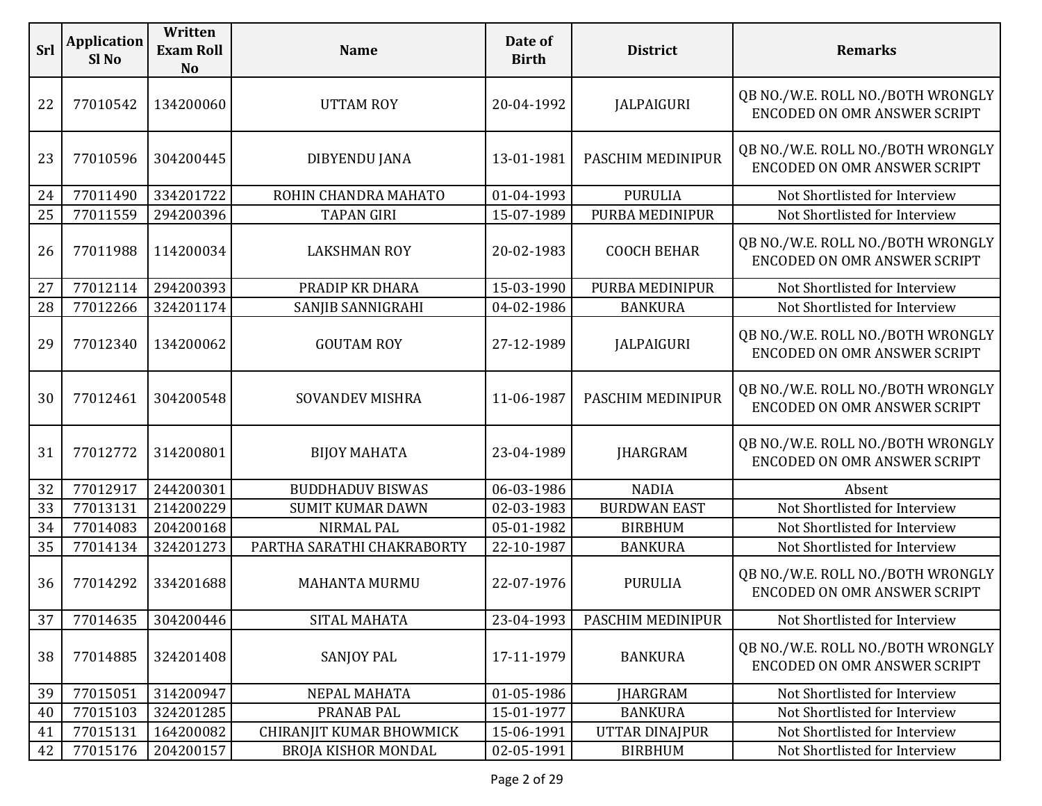| <b>Srl</b> | <b>Application</b><br>Sl <sub>No</sub> | Written<br><b>Exam Roll</b><br>N <sub>o</sub> | <b>Name</b>                | Date of<br><b>Birth</b> | <b>District</b>     | <b>Remarks</b>                                                           |
|------------|----------------------------------------|-----------------------------------------------|----------------------------|-------------------------|---------------------|--------------------------------------------------------------------------|
| 22         | 77010542                               | 134200060                                     | <b>UTTAM ROY</b>           | 20-04-1992              | <b>JALPAIGURI</b>   | QB NO./W.E. ROLL NO./BOTH WRONGLY<br>ENCODED ON OMR ANSWER SCRIPT        |
| 23         | 77010596                               | 304200445                                     | <b>DIBYENDU JANA</b>       | 13-01-1981              | PASCHIM MEDINIPUR   | QB NO./W.E. ROLL NO./BOTH WRONGLY<br>ENCODED ON OMR ANSWER SCRIPT        |
| 24         | 77011490                               | 334201722                                     | ROHIN CHANDRA MAHATO       | 01-04-1993              | <b>PURULIA</b>      | Not Shortlisted for Interview                                            |
| 25         | 77011559                               | 294200396                                     | <b>TAPAN GIRI</b>          | 15-07-1989              | PURBA MEDINIPUR     | Not Shortlisted for Interview                                            |
| 26         | 77011988                               | 114200034                                     | <b>LAKSHMAN ROY</b>        | 20-02-1983              | <b>COOCH BEHAR</b>  | QB NO./W.E. ROLL NO./BOTH WRONGLY<br>ENCODED ON OMR ANSWER SCRIPT        |
| 27         | 77012114                               | 294200393                                     | PRADIP KR DHARA            | 15-03-1990              | PURBA MEDINIPUR     | Not Shortlisted for Interview                                            |
| 28         | 77012266                               | 324201174                                     | SANJIB SANNIGRAHI          | 04-02-1986              | <b>BANKURA</b>      | Not Shortlisted for Interview                                            |
| 29         | 77012340                               | 134200062                                     | <b>GOUTAM ROY</b>          | 27-12-1989              | <b>JALPAIGURI</b>   | QB NO./W.E. ROLL NO./BOTH WRONGLY<br>ENCODED ON OMR ANSWER SCRIPT        |
| 30         | 77012461                               | 304200548                                     | <b>SOVANDEV MISHRA</b>     | 11-06-1987              | PASCHIM MEDINIPUR   | QB NO./W.E. ROLL NO./BOTH WRONGLY<br>ENCODED ON OMR ANSWER SCRIPT        |
| 31         | 77012772                               | 314200801                                     | <b>BIJOY MAHATA</b>        | 23-04-1989              | <b>JHARGRAM</b>     | QB NO./W.E. ROLL NO./BOTH WRONGLY<br><b>ENCODED ON OMR ANSWER SCRIPT</b> |
| 32         | 77012917                               | 244200301                                     | <b>BUDDHADUV BISWAS</b>    | 06-03-1986              | <b>NADIA</b>        | Absent                                                                   |
| 33         | 77013131                               | 214200229                                     | <b>SUMIT KUMAR DAWN</b>    | 02-03-1983              | <b>BURDWAN EAST</b> | Not Shortlisted for Interview                                            |
| 34         | 77014083                               | 204200168                                     | NIRMAL PAL                 | 05-01-1982              | <b>BIRBHUM</b>      | Not Shortlisted for Interview                                            |
| 35         | 77014134                               | 324201273                                     | PARTHA SARATHI CHAKRABORTY | 22-10-1987              | <b>BANKURA</b>      | Not Shortlisted for Interview                                            |
| 36         | 77014292                               | 334201688                                     | <b>MAHANTA MURMU</b>       | 22-07-1976              | <b>PURULIA</b>      | QB NO./W.E. ROLL NO./BOTH WRONGLY<br><b>ENCODED ON OMR ANSWER SCRIPT</b> |
| 37         | 77014635                               | 304200446                                     | SITAL MAHATA               | 23-04-1993              | PASCHIM MEDINIPUR   | Not Shortlisted for Interview                                            |
| 38         | 77014885                               | 324201408                                     | <b>SANJOY PAL</b>          | 17-11-1979              | <b>BANKURA</b>      | QB NO./W.E. ROLL NO./BOTH WRONGLY<br>ENCODED ON OMR ANSWER SCRIPT        |
| 39         | 77015051                               | 314200947                                     | NEPAL MAHATA               | 01-05-1986              | <b>JHARGRAM</b>     | Not Shortlisted for Interview                                            |
| 40         | 77015103                               | 324201285                                     | PRANAB PAL                 | 15-01-1977              | <b>BANKURA</b>      | Not Shortlisted for Interview                                            |
| 41         | 77015131                               | 164200082                                     | CHIRANJIT KUMAR BHOWMICK   | 15-06-1991              | UTTAR DINAJPUR      | Not Shortlisted for Interview                                            |
| 42         | 77015176                               | 204200157                                     | <b>BROJA KISHOR MONDAL</b> | 02-05-1991              | <b>BIRBHUM</b>      | Not Shortlisted for Interview                                            |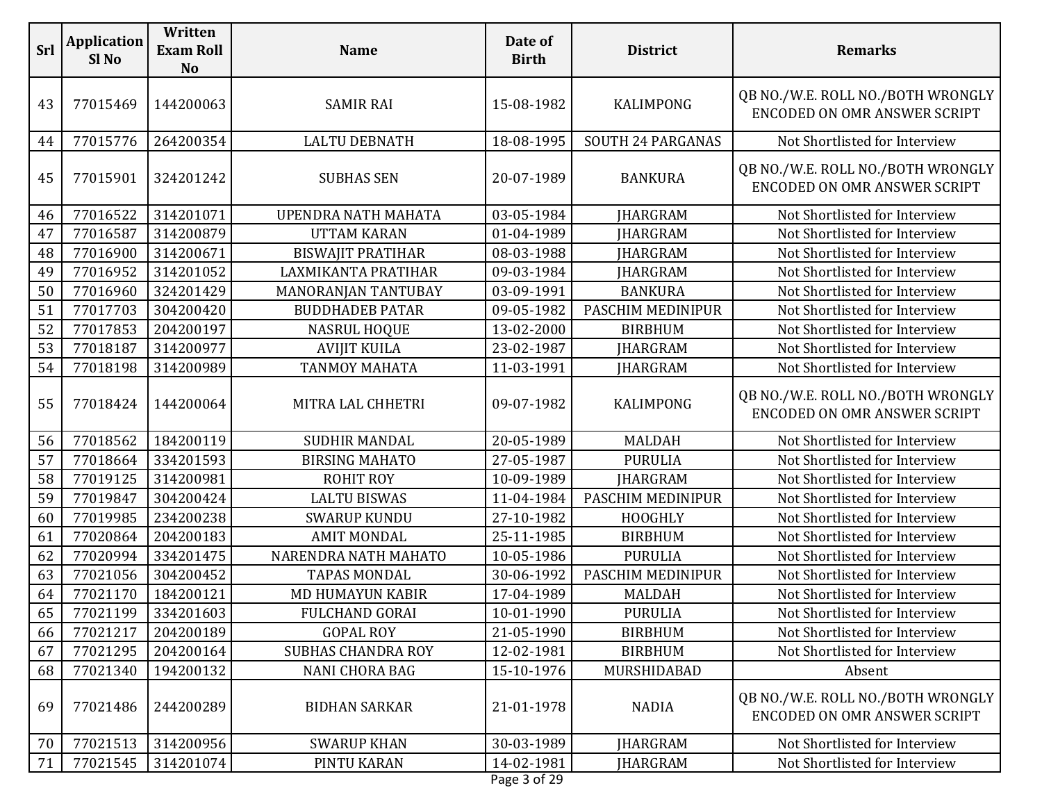| <b>Srl</b> | <b>Application</b><br>Sl <sub>No</sub> | Written<br><b>Exam Roll</b><br><b>No</b> | <b>Name</b>                | Date of<br><b>Birth</b> | <b>District</b>   | <b>Remarks</b>                                                           |
|------------|----------------------------------------|------------------------------------------|----------------------------|-------------------------|-------------------|--------------------------------------------------------------------------|
| 43         | 77015469                               | 144200063                                | <b>SAMIR RAI</b>           | 15-08-1982              | KALIMPONG         | QB NO./W.E. ROLL NO./BOTH WRONGLY<br>ENCODED ON OMR ANSWER SCRIPT        |
| 44         | 77015776                               | 264200354                                | <b>LALTU DEBNATH</b>       | 18-08-1995              | SOUTH 24 PARGANAS | Not Shortlisted for Interview                                            |
| 45         | 77015901                               | 324201242                                | <b>SUBHAS SEN</b>          | 20-07-1989              | <b>BANKURA</b>    | QB NO./W.E. ROLL NO./BOTH WRONGLY<br>ENCODED ON OMR ANSWER SCRIPT        |
| 46         | 77016522                               | 314201071                                | <b>UPENDRA NATH MAHATA</b> | 03-05-1984              | <b>JHARGRAM</b>   | Not Shortlisted for Interview                                            |
| 47         | 77016587                               | 314200879                                | <b>UTTAM KARAN</b>         | 01-04-1989              | <b>JHARGRAM</b>   | Not Shortlisted for Interview                                            |
| 48         | 77016900                               | 314200671                                | <b>BISWAJIT PRATIHAR</b>   | 08-03-1988              | <b>JHARGRAM</b>   | Not Shortlisted for Interview                                            |
| 49         | 77016952                               | 314201052                                | LAXMIKANTA PRATIHAR        | 09-03-1984              | <b>JHARGRAM</b>   | Not Shortlisted for Interview                                            |
| 50         | 77016960                               | 324201429                                | MANORANJAN TANTUBAY        | 03-09-1991              | <b>BANKURA</b>    | Not Shortlisted for Interview                                            |
| 51         | 77017703                               | 304200420                                | <b>BUDDHADEB PATAR</b>     | 09-05-1982              | PASCHIM MEDINIPUR | Not Shortlisted for Interview                                            |
| 52         | 77017853                               | 204200197                                | <b>NASRUL HOQUE</b>        | 13-02-2000              | <b>BIRBHUM</b>    | Not Shortlisted for Interview                                            |
| 53         | 77018187                               | 314200977                                | <b>AVIJIT KUILA</b>        | 23-02-1987              | <b>JHARGRAM</b>   | Not Shortlisted for Interview                                            |
| 54         | 77018198                               | 314200989                                | <b>TANMOY MAHATA</b>       | 11-03-1991              | <b>JHARGRAM</b>   | Not Shortlisted for Interview                                            |
| 55         | 77018424                               | 144200064                                | MITRA LAL CHHETRI          | 09-07-1982              | <b>KALIMPONG</b>  | QB NO./W.E. ROLL NO./BOTH WRONGLY<br>ENCODED ON OMR ANSWER SCRIPT        |
| 56         | 77018562                               | 184200119                                | <b>SUDHIR MANDAL</b>       | 20-05-1989              | <b>MALDAH</b>     | Not Shortlisted for Interview                                            |
| 57         | 77018664                               | 334201593                                | <b>BIRSING MAHATO</b>      | 27-05-1987              | <b>PURULIA</b>    | Not Shortlisted for Interview                                            |
| 58         | 77019125                               | 314200981                                | <b>ROHIT ROY</b>           | 10-09-1989              | <b>JHARGRAM</b>   | Not Shortlisted for Interview                                            |
| 59         | 77019847                               | 304200424                                | <b>LALTU BISWAS</b>        | 11-04-1984              | PASCHIM MEDINIPUR | Not Shortlisted for Interview                                            |
| 60         | 77019985                               | 234200238                                | <b>SWARUP KUNDU</b>        | 27-10-1982              | <b>HOOGHLY</b>    | Not Shortlisted for Interview                                            |
| 61         | 77020864                               | 204200183                                | <b>AMIT MONDAL</b>         | 25-11-1985              | <b>BIRBHUM</b>    | Not Shortlisted for Interview                                            |
| 62         | 77020994                               | 334201475                                | NARENDRA NATH MAHATO       | 10-05-1986              | <b>PURULIA</b>    | Not Shortlisted for Interview                                            |
| 63         | 77021056                               | 304200452                                | <b>TAPAS MONDAL</b>        | 30-06-1992              | PASCHIM MEDINIPUR | Not Shortlisted for Interview                                            |
| 64         | 77021170                               | 184200121                                | MD HUMAYUN KABIR           | 17-04-1989              | <b>MALDAH</b>     | Not Shortlisted for Interview                                            |
| 65         | 77021199                               | 334201603                                | FULCHAND GORAI             | 10-01-1990              | <b>PURULIA</b>    | Not Shortlisted for Interview                                            |
| 66         | 77021217                               | 204200189                                | <b>GOPAL ROY</b>           | 21-05-1990              | <b>BIRBHUM</b>    | Not Shortlisted for Interview                                            |
| 67         | 77021295                               | 204200164                                | <b>SUBHAS CHANDRA ROY</b>  | 12-02-1981              | <b>BIRBHUM</b>    | Not Shortlisted for Interview                                            |
| 68         | 77021340                               | 194200132                                | <b>NANI CHORA BAG</b>      | 15-10-1976              | MURSHIDABAD       | Absent                                                                   |
| 69         | 77021486                               | 244200289                                | <b>BIDHAN SARKAR</b>       | 21-01-1978              | <b>NADIA</b>      | QB NO./W.E. ROLL NO./BOTH WRONGLY<br><b>ENCODED ON OMR ANSWER SCRIPT</b> |
| 70         | 77021513                               | 314200956                                | <b>SWARUP KHAN</b>         | 30-03-1989              | <b>JHARGRAM</b>   | Not Shortlisted for Interview                                            |
| 71         | 77021545                               | 314201074                                | PINTU KARAN                | 14-02-1981              | <b>JHARGRAM</b>   | Not Shortlisted for Interview                                            |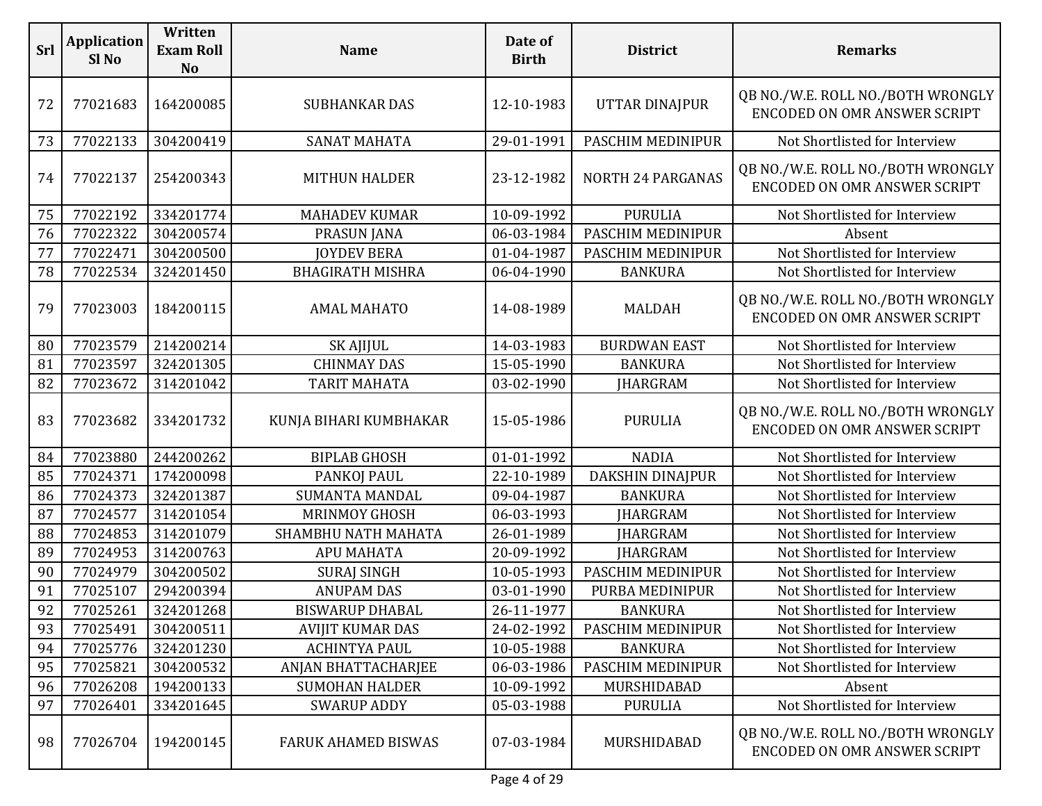| Srl | <b>Application</b><br>Sl No | Written<br><b>Exam Roll</b><br><b>No</b> | <b>Name</b>                | Date of<br><b>Birth</b> | <b>District</b>          | <b>Remarks</b>                                                           |
|-----|-----------------------------|------------------------------------------|----------------------------|-------------------------|--------------------------|--------------------------------------------------------------------------|
| 72  | 77021683                    | 164200085                                | <b>SUBHANKAR DAS</b>       | 12-10-1983              | <b>UTTAR DINAJPUR</b>    | QB NO./W.E. ROLL NO./BOTH WRONGLY<br><b>ENCODED ON OMR ANSWER SCRIPT</b> |
| 73  | 77022133                    | 304200419                                | <b>SANAT MAHATA</b>        | 29-01-1991              | PASCHIM MEDINIPUR        | Not Shortlisted for Interview                                            |
| 74  | 77022137                    | 254200343                                | <b>MITHUN HALDER</b>       | 23-12-1982              | <b>NORTH 24 PARGANAS</b> | QB NO./W.E. ROLL NO./BOTH WRONGLY<br>ENCODED ON OMR ANSWER SCRIPT        |
| 75  | 77022192                    | 334201774                                | <b>MAHADEV KUMAR</b>       | 10-09-1992              | <b>PURULIA</b>           | Not Shortlisted for Interview                                            |
| 76  | 77022322                    | 304200574                                | <b>PRASUN JANA</b>         | 06-03-1984              | PASCHIM MEDINIPUR        | Absent                                                                   |
| 77  | 77022471                    | 304200500                                | <b>JOYDEV BERA</b>         | 01-04-1987              | PASCHIM MEDINIPUR        | Not Shortlisted for Interview                                            |
| 78  | 77022534                    | 324201450                                | <b>BHAGIRATH MISHRA</b>    | 06-04-1990              | <b>BANKURA</b>           | Not Shortlisted for Interview                                            |
| 79  | 77023003                    | 184200115                                | <b>AMAL MAHATO</b>         | 14-08-1989              | <b>MALDAH</b>            | QB NO./W.E. ROLL NO./BOTH WRONGLY<br>ENCODED ON OMR ANSWER SCRIPT        |
| 80  | 77023579                    | 214200214                                | <b>SK AJIJUL</b>           | 14-03-1983              | <b>BURDWAN EAST</b>      | Not Shortlisted for Interview                                            |
| 81  | 77023597                    | 324201305                                | <b>CHINMAY DAS</b>         | 15-05-1990              | <b>BANKURA</b>           | Not Shortlisted for Interview                                            |
| 82  | 77023672                    | 314201042                                | <b>TARIT MAHATA</b>        | 03-02-1990              | <b>JHARGRAM</b>          | Not Shortlisted for Interview                                            |
| 83  | 77023682                    | 334201732                                | KUNJA BIHARI KUMBHAKAR     | 15-05-1986              | <b>PURULIA</b>           | QB NO./W.E. ROLL NO./BOTH WRONGLY<br>ENCODED ON OMR ANSWER SCRIPT        |
| 84  | 77023880                    | 244200262                                | <b>BIPLAB GHOSH</b>        | 01-01-1992              | <b>NADIA</b>             | Not Shortlisted for Interview                                            |
| 85  | 77024371                    | 174200098                                | PANKOJ PAUL                | 22-10-1989              | DAKSHIN DINAJPUR         | Not Shortlisted for Interview                                            |
| 86  | 77024373                    | 324201387                                | <b>SUMANTA MANDAL</b>      | 09-04-1987              | <b>BANKURA</b>           | Not Shortlisted for Interview                                            |
| 87  | 77024577                    | 314201054                                | MRINMOY GHOSH              | 06-03-1993              | <b>JHARGRAM</b>          | Not Shortlisted for Interview                                            |
| 88  | 77024853                    | 314201079                                | SHAMBHU NATH MAHATA        | 26-01-1989              | <b>JHARGRAM</b>          | Not Shortlisted for Interview                                            |
| 89  | 77024953                    | 314200763                                | <b>APU MAHATA</b>          | 20-09-1992              | <b>JHARGRAM</b>          | Not Shortlisted for Interview                                            |
| 90  | 77024979                    | 304200502                                | <b>SURAJ SINGH</b>         | 10-05-1993              | PASCHIM MEDINIPUR        | Not Shortlisted for Interview                                            |
| 91  | 77025107                    | 294200394                                | <b>ANUPAM DAS</b>          | 03-01-1990              | PURBA MEDINIPUR          | Not Shortlisted for Interview                                            |
| 92  | 77025261                    | 324201268                                | <b>BISWARUP DHABAL</b>     | 26-11-1977              | <b>BANKURA</b>           | Not Shortlisted for Interview                                            |
| 93  | 77025491                    | 304200511                                | <b>AVIJIT KUMAR DAS</b>    | 24-02-1992              | PASCHIM MEDINIPUR        | Not Shortlisted for Interview                                            |
| 94  | 77025776                    | 324201230                                | <b>ACHINTYA PAUL</b>       | 10-05-1988              | <b>BANKURA</b>           | Not Shortlisted for Interview                                            |
| 95  | 77025821                    | 304200532                                | ANJAN BHATTACHARJEE        | 06-03-1986              | PASCHIM MEDINIPUR        | Not Shortlisted for Interview                                            |
| 96  | 77026208                    | 194200133                                | <b>SUMOHAN HALDER</b>      | 10-09-1992              | MURSHIDABAD              | Absent                                                                   |
| 97  | 77026401                    | 334201645                                | <b>SWARUP ADDY</b>         | 05-03-1988              | <b>PURULIA</b>           | Not Shortlisted for Interview                                            |
| 98  | 77026704                    | 194200145                                | <b>FARUK AHAMED BISWAS</b> | 07-03-1984              | MURSHIDABAD              | QB NO./W.E. ROLL NO./BOTH WRONGLY<br>ENCODED ON OMR ANSWER SCRIPT        |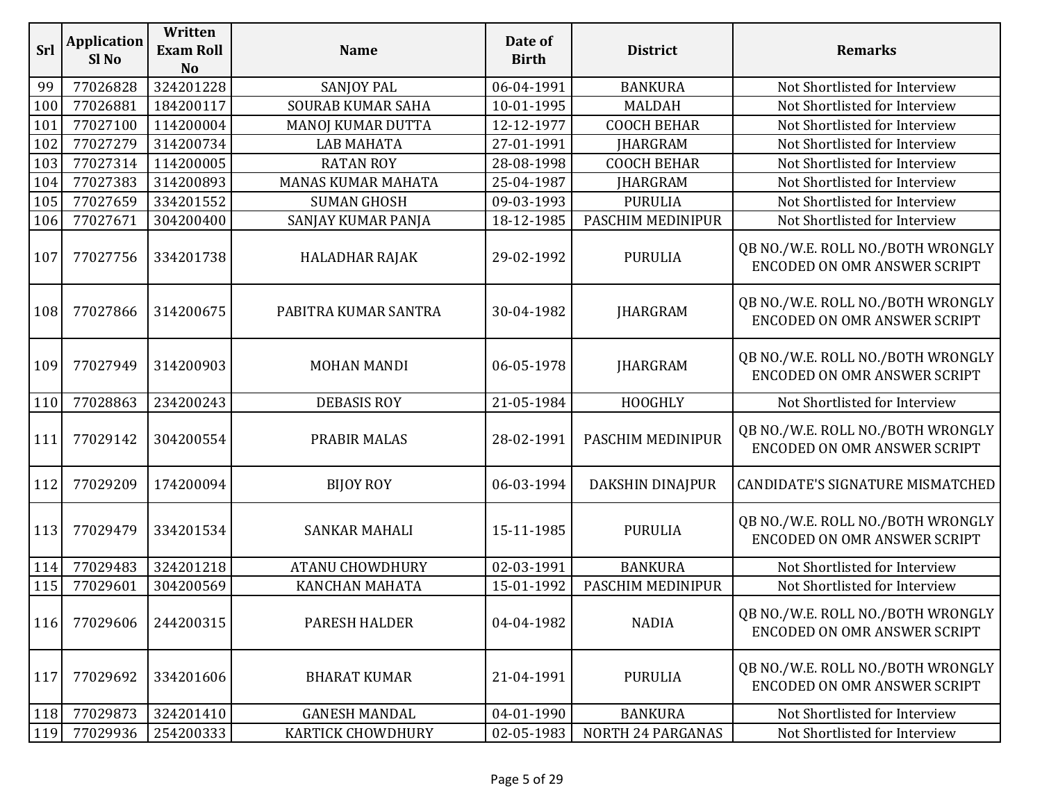| Srl | <b>Application</b><br>Sl <sub>No</sub> | Written<br><b>Exam Roll</b><br><b>No</b> | <b>Name</b>               | Date of<br><b>Birth</b> | <b>District</b>         | <b>Remarks</b>                                                           |
|-----|----------------------------------------|------------------------------------------|---------------------------|-------------------------|-------------------------|--------------------------------------------------------------------------|
| 99  | 77026828                               | 324201228                                | <b>SANJOY PAL</b>         | 06-04-1991              | <b>BANKURA</b>          | Not Shortlisted for Interview                                            |
| 100 | 77026881                               | 184200117                                | <b>SOURAB KUMAR SAHA</b>  | 10-01-1995              | <b>MALDAH</b>           | Not Shortlisted for Interview                                            |
| 101 | 77027100                               | 114200004                                | MANOJ KUMAR DUTTA         | 12-12-1977              | <b>COOCH BEHAR</b>      | Not Shortlisted for Interview                                            |
| 102 | 77027279                               | 314200734                                | <b>LAB MAHATA</b>         | 27-01-1991              | <b>JHARGRAM</b>         | Not Shortlisted for Interview                                            |
| 103 | 77027314                               | 114200005                                | <b>RATAN ROY</b>          | 28-08-1998              | <b>COOCH BEHAR</b>      | Not Shortlisted for Interview                                            |
| 104 | 77027383                               | 314200893                                | <b>MANAS KUMAR MAHATA</b> | 25-04-1987              | <b>JHARGRAM</b>         | Not Shortlisted for Interview                                            |
| 105 | 77027659                               | 334201552                                | <b>SUMAN GHOSH</b>        | 09-03-1993              | <b>PURULIA</b>          | Not Shortlisted for Interview                                            |
| 106 | 77027671                               | 304200400                                | SANJAY KUMAR PANJA        | 18-12-1985              | PASCHIM MEDINIPUR       | Not Shortlisted for Interview                                            |
| 107 | 77027756                               | 334201738                                | <b>HALADHAR RAJAK</b>     | 29-02-1992              | <b>PURULIA</b>          | QB NO./W.E. ROLL NO./BOTH WRONGLY<br>ENCODED ON OMR ANSWER SCRIPT        |
| 108 | 77027866                               | 314200675                                | PABITRA KUMAR SANTRA      | 30-04-1982              | <b>JHARGRAM</b>         | QB NO./W.E. ROLL NO./BOTH WRONGLY<br><b>ENCODED ON OMR ANSWER SCRIPT</b> |
| 109 | 77027949                               | 314200903                                | <b>MOHAN MANDI</b>        | 06-05-1978              | <b>JHARGRAM</b>         | QB NO./W.E. ROLL NO./BOTH WRONGLY<br>ENCODED ON OMR ANSWER SCRIPT        |
| 110 | 77028863                               | 234200243                                | <b>DEBASIS ROY</b>        | 21-05-1984              | HOOGHLY                 | Not Shortlisted for Interview                                            |
| 111 | 77029142                               | 304200554                                | <b>PRABIR MALAS</b>       | 28-02-1991              | PASCHIM MEDINIPUR       | QB NO./W.E. ROLL NO./BOTH WRONGLY<br><b>ENCODED ON OMR ANSWER SCRIPT</b> |
| 112 | 77029209                               | 174200094                                | <b>BIJOY ROY</b>          | 06-03-1994              | <b>DAKSHIN DINAJPUR</b> | CANDIDATE'S SIGNATURE MISMATCHED                                         |
| 113 | 77029479                               | 334201534                                | <b>SANKAR MAHALI</b>      | 15-11-1985              | <b>PURULIA</b>          | QB NO./W.E. ROLL NO./BOTH WRONGLY<br><b>ENCODED ON OMR ANSWER SCRIPT</b> |
| 114 | 77029483                               | 324201218                                | <b>ATANU CHOWDHURY</b>    | 02-03-1991              | <b>BANKURA</b>          | Not Shortlisted for Interview                                            |
| 115 | 77029601                               | 304200569                                | <b>KANCHAN MAHATA</b>     | 15-01-1992              | PASCHIM MEDINIPUR       | Not Shortlisted for Interview                                            |
| 116 | 77029606                               | 244200315                                | PARESH HALDER             | 04-04-1982              | <b>NADIA</b>            | QB NO./W.E. ROLL NO./BOTH WRONGLY<br><b>ENCODED ON OMR ANSWER SCRIPT</b> |
| 117 | 77029692                               | 334201606                                | <b>BHARAT KUMAR</b>       | 21-04-1991              | <b>PURULIA</b>          | QB NO./W.E. ROLL NO./BOTH WRONGLY<br><b>ENCODED ON OMR ANSWER SCRIPT</b> |
| 118 | 77029873                               | 324201410                                | <b>GANESH MANDAL</b>      | 04-01-1990              | <b>BANKURA</b>          | Not Shortlisted for Interview                                            |
| 119 | 77029936                               | 254200333                                | KARTICK CHOWDHURY         | 02-05-1983              | NORTH 24 PARGANAS       | Not Shortlisted for Interview                                            |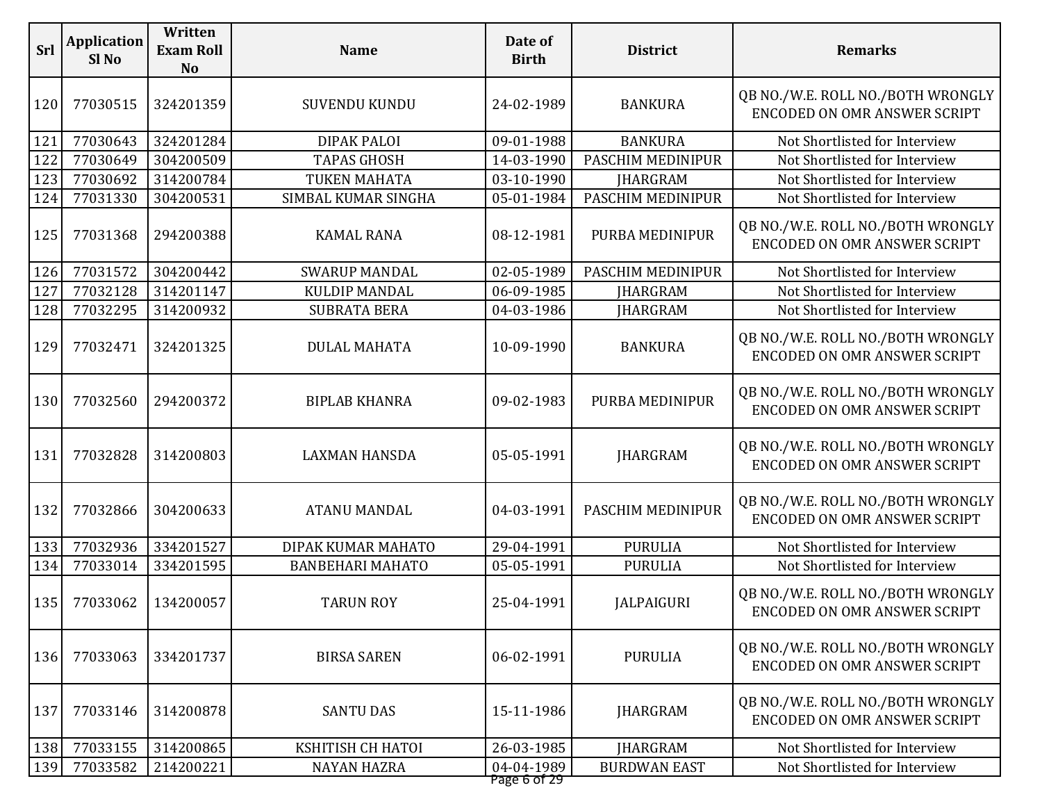| Srl | <b>Application</b><br>Sl <sub>No</sub> | Written<br><b>Exam Roll</b><br><b>No</b> | <b>Name</b>             | Date of<br><b>Birth</b>    | <b>District</b>     | <b>Remarks</b>                                                           |
|-----|----------------------------------------|------------------------------------------|-------------------------|----------------------------|---------------------|--------------------------------------------------------------------------|
| 120 | 77030515                               | 324201359                                | <b>SUVENDU KUNDU</b>    | 24-02-1989                 | <b>BANKURA</b>      | QB NO./W.E. ROLL NO./BOTH WRONGLY<br>ENCODED ON OMR ANSWER SCRIPT        |
| 121 | 77030643                               | 324201284                                | <b>DIPAK PALOI</b>      | 09-01-1988                 | <b>BANKURA</b>      | Not Shortlisted for Interview                                            |
| 122 | 77030649                               | 304200509                                | <b>TAPAS GHOSH</b>      | 14-03-1990                 | PASCHIM MEDINIPUR   | Not Shortlisted for Interview                                            |
| 123 | 77030692                               | 314200784                                | TUKEN MAHATA            | 03-10-1990                 | <b>JHARGRAM</b>     | Not Shortlisted for Interview                                            |
| 124 | 77031330                               | 304200531                                | SIMBAL KUMAR SINGHA     | 05-01-1984                 | PASCHIM MEDINIPUR   | Not Shortlisted for Interview                                            |
| 125 | 77031368                               | 294200388                                | <b>KAMAL RANA</b>       | 08-12-1981                 | PURBA MEDINIPUR     | QB NO./W.E. ROLL NO./BOTH WRONGLY<br><b>ENCODED ON OMR ANSWER SCRIPT</b> |
| 126 | 77031572                               | 304200442                                | <b>SWARUP MANDAL</b>    | 02-05-1989                 | PASCHIM MEDINIPUR   | Not Shortlisted for Interview                                            |
| 127 | 77032128                               | 314201147                                | <b>KULDIP MANDAL</b>    | 06-09-1985                 | <b>JHARGRAM</b>     | Not Shortlisted for Interview                                            |
| 128 | 77032295                               | 314200932                                | <b>SUBRATA BERA</b>     | 04-03-1986                 | <b>JHARGRAM</b>     | Not Shortlisted for Interview                                            |
| 129 | 77032471                               | 324201325                                | <b>DULAL MAHATA</b>     | 10-09-1990                 | <b>BANKURA</b>      | QB NO./W.E. ROLL NO./BOTH WRONGLY<br>ENCODED ON OMR ANSWER SCRIPT        |
| 130 | 77032560                               | 294200372                                | <b>BIPLAB KHANRA</b>    | 09-02-1983                 | PURBA MEDINIPUR     | QB NO./W.E. ROLL NO./BOTH WRONGLY<br>ENCODED ON OMR ANSWER SCRIPT        |
| 131 | 77032828                               | 314200803                                | <b>LAXMAN HANSDA</b>    | 05-05-1991                 | <b>JHARGRAM</b>     | QB NO./W.E. ROLL NO./BOTH WRONGLY<br>ENCODED ON OMR ANSWER SCRIPT        |
| 132 | 77032866                               | 304200633                                | <b>ATANU MANDAL</b>     | 04-03-1991                 | PASCHIM MEDINIPUR   | QB NO./W.E. ROLL NO./BOTH WRONGLY<br><b>ENCODED ON OMR ANSWER SCRIPT</b> |
| 133 | 77032936                               | 334201527                                | DIPAK KUMAR MAHATO      | 29-04-1991                 | <b>PURULIA</b>      | Not Shortlisted for Interview                                            |
| 134 | 77033014                               | 334201595                                | <b>BANBEHARI MAHATO</b> | 05-05-1991                 | <b>PURULIA</b>      | Not Shortlisted for Interview                                            |
|     | 135 77033062                           | 134200057                                | <b>TARUN ROY</b>        | 25-04-1991                 | <b>JALPAIGURI</b>   | QB NO./W.E. ROLL NO./BOTH WRONGLY<br>ENCODED ON OMR ANSWER SCRIPT        |
| 136 | 77033063                               | 334201737                                | <b>BIRSA SAREN</b>      | 06-02-1991                 | <b>PURULIA</b>      | QB NO./W.E. ROLL NO./BOTH WRONGLY<br>ENCODED ON OMR ANSWER SCRIPT        |
| 137 | 77033146                               | 314200878                                | <b>SANTU DAS</b>        | 15-11-1986                 | <b>JHARGRAM</b>     | QB NO./W.E. ROLL NO./BOTH WRONGLY<br>ENCODED ON OMR ANSWER SCRIPT        |
| 138 | 77033155                               | 314200865                                | KSHITISH CH HATOI       | 26-03-1985                 | <b>JHARGRAM</b>     | Not Shortlisted for Interview                                            |
| 139 | 77033582                               | 214200221                                | <b>NAYAN HAZRA</b>      | 04-04-1989<br>Page 6 of 29 | <b>BURDWAN EAST</b> | Not Shortlisted for Interview                                            |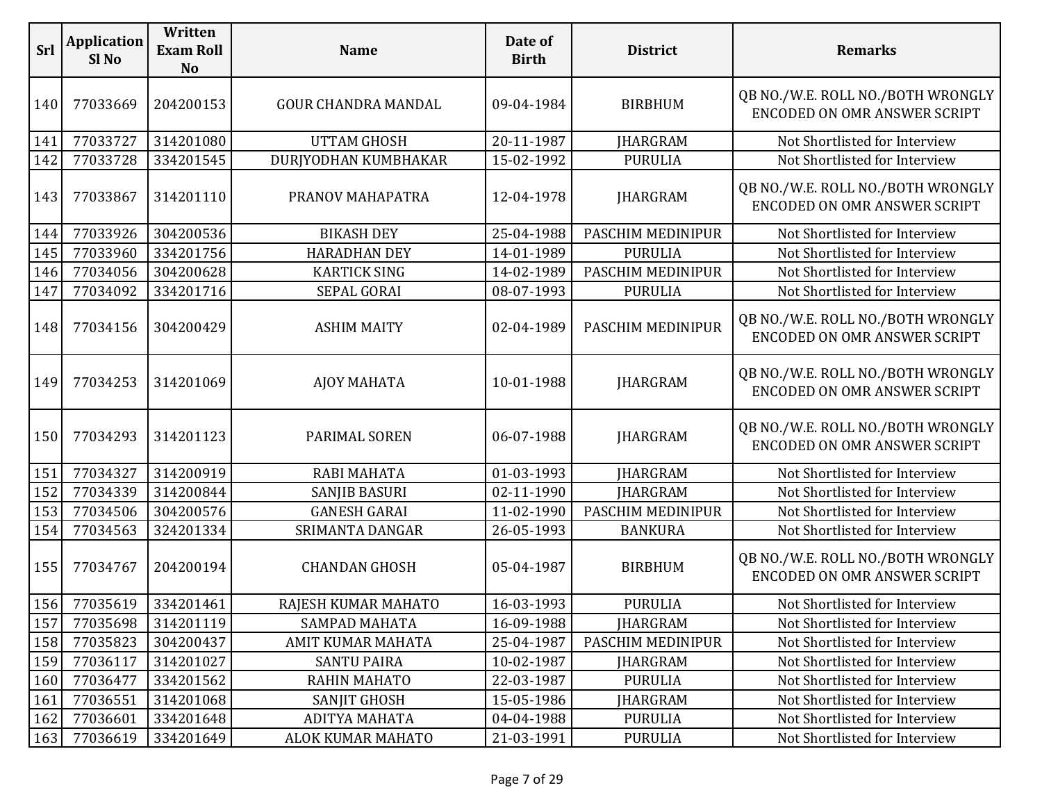| <b>Srl</b> | <b>Application</b><br>Sl <sub>No</sub> | Written<br><b>Exam Roll</b><br><b>No</b> | <b>Name</b>                | Date of<br><b>Birth</b> | <b>District</b>   | <b>Remarks</b>                                                           |
|------------|----------------------------------------|------------------------------------------|----------------------------|-------------------------|-------------------|--------------------------------------------------------------------------|
| 140        | 77033669                               | 204200153                                | <b>GOUR CHANDRA MANDAL</b> | 09-04-1984              | <b>BIRBHUM</b>    | QB NO./W.E. ROLL NO./BOTH WRONGLY<br><b>ENCODED ON OMR ANSWER SCRIPT</b> |
| 141        | 77033727                               | 314201080                                | <b>UTTAM GHOSH</b>         | 20-11-1987              | <b>JHARGRAM</b>   | Not Shortlisted for Interview                                            |
| 142        | 77033728                               | 334201545                                | DURJYODHAN KUMBHAKAR       | 15-02-1992              | <b>PURULIA</b>    | Not Shortlisted for Interview                                            |
| 143        | 77033867                               | 314201110                                | PRANOV MAHAPATRA           | 12-04-1978              | <b>JHARGRAM</b>   | QB NO./W.E. ROLL NO./BOTH WRONGLY<br>ENCODED ON OMR ANSWER SCRIPT        |
| 144        | 77033926                               | 304200536                                | <b>BIKASH DEY</b>          | 25-04-1988              | PASCHIM MEDINIPUR | Not Shortlisted for Interview                                            |
| 145        | 77033960                               | 334201756                                | <b>HARADHAN DEY</b>        | 14-01-1989              | <b>PURULIA</b>    | Not Shortlisted for Interview                                            |
| 146        | 77034056                               | 304200628                                | <b>KARTICK SING</b>        | 14-02-1989              | PASCHIM MEDINIPUR | Not Shortlisted for Interview                                            |
| 147        | 77034092                               | 334201716                                | SEPAL GORAI                | 08-07-1993              | <b>PURULIA</b>    | Not Shortlisted for Interview                                            |
| 148        | 77034156                               | 304200429                                | <b>ASHIM MAITY</b>         | 02-04-1989              | PASCHIM MEDINIPUR | QB NO./W.E. ROLL NO./BOTH WRONGLY<br>ENCODED ON OMR ANSWER SCRIPT        |
| 149        | 77034253                               | 314201069                                | <b>AJOY MAHATA</b>         | 10-01-1988              | <b>JHARGRAM</b>   | QB NO./W.E. ROLL NO./BOTH WRONGLY<br>ENCODED ON OMR ANSWER SCRIPT        |
| 150        | 77034293                               | 314201123                                | PARIMAL SOREN              | 06-07-1988              | <b>JHARGRAM</b>   | QB NO./W.E. ROLL NO./BOTH WRONGLY<br><b>ENCODED ON OMR ANSWER SCRIPT</b> |
| 151        | 77034327                               | 314200919                                | <b>RABI MAHATA</b>         | 01-03-1993              | <b>JHARGRAM</b>   | Not Shortlisted for Interview                                            |
| 152        | 77034339                               | 314200844                                | <b>SANJIB BASURI</b>       | 02-11-1990              | <b>JHARGRAM</b>   | Not Shortlisted for Interview                                            |
| 153        | 77034506                               | 304200576                                | <b>GANESH GARAI</b>        | 11-02-1990              | PASCHIM MEDINIPUR | Not Shortlisted for Interview                                            |
| 154        | 77034563                               | 324201334                                | SRIMANTA DANGAR            | 26-05-1993              | <b>BANKURA</b>    | Not Shortlisted for Interview                                            |
| 155        | 77034767                               | 204200194                                | <b>CHANDAN GHOSH</b>       | 05-04-1987              | <b>BIRBHUM</b>    | QB NO./W.E. ROLL NO./BOTH WRONGLY<br><b>ENCODED ON OMR ANSWER SCRIPT</b> |
|            | 156 77035619                           | 334201461                                | RAJESH KUMAR MAHATO        | 16-03-1993              | <b>PURULIA</b>    | Not Shortlisted for Interview                                            |
| 157        | 77035698                               | 314201119                                | SAMPAD MAHATA              | 16-09-1988              | <b>IHARGRAM</b>   | Not Shortlisted for Interview                                            |
| 158        | 77035823                               | 304200437                                | AMIT KUMAR MAHATA          | 25-04-1987              | PASCHIM MEDINIPUR | Not Shortlisted for Interview                                            |
| 159        | 77036117                               | 314201027                                | <b>SANTU PAIRA</b>         | 10-02-1987              | <b>JHARGRAM</b>   | Not Shortlisted for Interview                                            |
| 160        | 77036477                               | 334201562                                | <b>RAHIN MAHATO</b>        | 22-03-1987              | <b>PURULIA</b>    | Not Shortlisted for Interview                                            |
| 161        | 77036551                               | 314201068                                | SANJIT GHOSH               | 15-05-1986              | <b>JHARGRAM</b>   | Not Shortlisted for Interview                                            |
| 162        | 77036601                               | 334201648                                | ADITYA MAHATA              | 04-04-1988              | <b>PURULIA</b>    | Not Shortlisted for Interview                                            |
| 163        | 77036619                               | 334201649                                | ALOK KUMAR MAHATO          | 21-03-1991              | <b>PURULIA</b>    | Not Shortlisted for Interview                                            |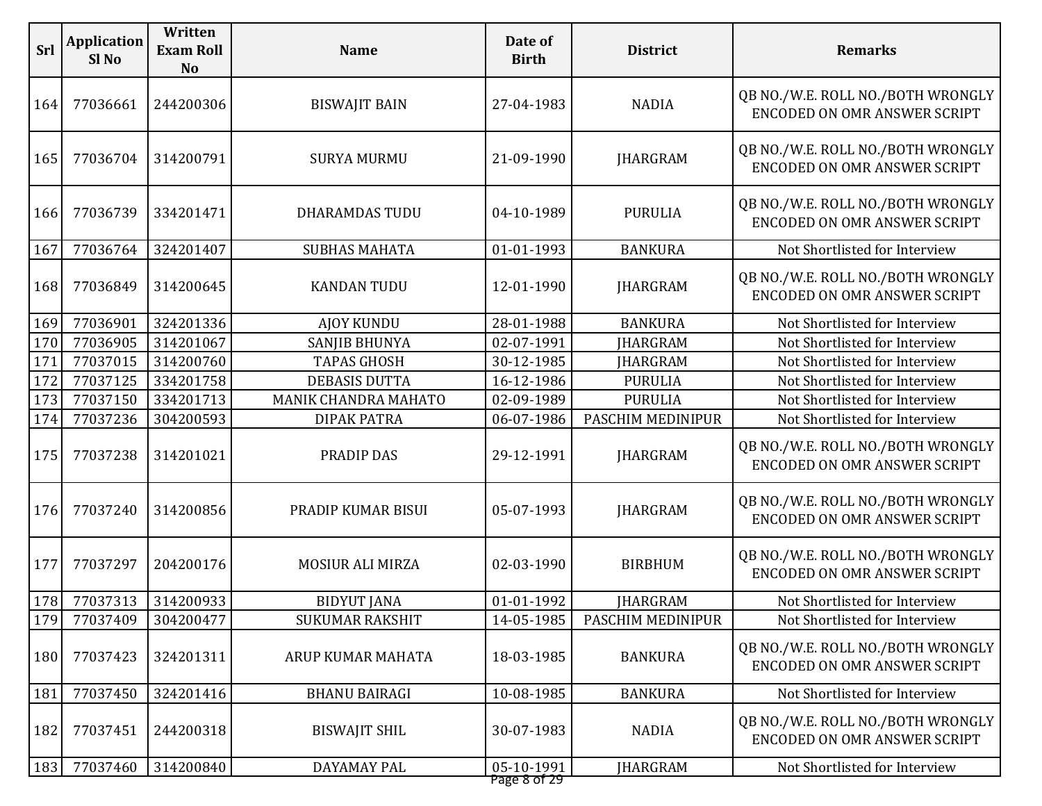| <b>Srl</b> | <b>Application</b><br>Sl <sub>No</sub> | Written<br><b>Exam Roll</b><br><b>No</b> | <b>Name</b>            | Date of<br><b>Birth</b>    | <b>District</b>   | <b>Remarks</b>                                                           |
|------------|----------------------------------------|------------------------------------------|------------------------|----------------------------|-------------------|--------------------------------------------------------------------------|
| 164        | 77036661                               | 244200306                                | <b>BISWAJIT BAIN</b>   | 27-04-1983                 | <b>NADIA</b>      | QB NO./W.E. ROLL NO./BOTH WRONGLY<br>ENCODED ON OMR ANSWER SCRIPT        |
| 165        | 77036704                               | 314200791                                | <b>SURYA MURMU</b>     | 21-09-1990                 | <b>JHARGRAM</b>   | QB NO./W.E. ROLL NO./BOTH WRONGLY<br>ENCODED ON OMR ANSWER SCRIPT        |
| 166        | 77036739                               | 334201471                                | <b>DHARAMDAS TUDU</b>  | 04-10-1989                 | <b>PURULIA</b>    | QB NO./W.E. ROLL NO./BOTH WRONGLY<br>ENCODED ON OMR ANSWER SCRIPT        |
| 167        | 77036764                               | 324201407                                | <b>SUBHAS MAHATA</b>   | 01-01-1993                 | <b>BANKURA</b>    | Not Shortlisted for Interview                                            |
| 168        | 77036849                               | 314200645                                | <b>KANDAN TUDU</b>     | 12-01-1990                 | <b>JHARGRAM</b>   | QB NO./W.E. ROLL NO./BOTH WRONGLY<br>ENCODED ON OMR ANSWER SCRIPT        |
| 169        | 77036901                               | 324201336                                | <b>AJOY KUNDU</b>      | 28-01-1988                 | <b>BANKURA</b>    | Not Shortlisted for Interview                                            |
| 170        | 77036905                               | 314201067                                | <b>SANJIB BHUNYA</b>   | 02-07-1991                 | <b>JHARGRAM</b>   | Not Shortlisted for Interview                                            |
| 171        | 77037015                               | 314200760                                | <b>TAPAS GHOSH</b>     | 30-12-1985                 | <b>JHARGRAM</b>   | Not Shortlisted for Interview                                            |
| 172        | 77037125                               | 334201758                                | <b>DEBASIS DUTTA</b>   | 16-12-1986                 | <b>PURULIA</b>    | Not Shortlisted for Interview                                            |
| 173        | 77037150                               | 334201713                                | MANIK CHANDRA MAHATO   | 02-09-1989                 | <b>PURULIA</b>    | Not Shortlisted for Interview                                            |
| 174        | 77037236                               | 304200593                                | <b>DIPAK PATRA</b>     | 06-07-1986                 | PASCHIM MEDINIPUR | Not Shortlisted for Interview                                            |
| 175        | 77037238                               | 314201021                                | PRADIP DAS             | 29-12-1991                 | <b>JHARGRAM</b>   | QB NO./W.E. ROLL NO./BOTH WRONGLY<br>ENCODED ON OMR ANSWER SCRIPT        |
| 176        | 77037240                               | 314200856                                | PRADIP KUMAR BISUI     | 05-07-1993                 | <b>JHARGRAM</b>   | QB NO./W.E. ROLL NO./BOTH WRONGLY<br><b>ENCODED ON OMR ANSWER SCRIPT</b> |
| 177        | 77037297                               | 204200176                                | MOSIUR ALI MIRZA       | 02-03-1990                 | <b>BIRBHUM</b>    | QB NO./W.E. ROLL NO./BOTH WRONGLY<br><b>ENCODED ON OMR ANSWER SCRIPT</b> |
| 178        | 77037313                               | 314200933                                | <b>BIDYUT JANA</b>     | 01-01-1992                 | <b>JHARGRAM</b>   | Not Shortlisted for Interview                                            |
| 179        | 77037409                               | 304200477                                | <b>SUKUMAR RAKSHIT</b> | 14-05-1985                 | PASCHIM MEDINIPUR | Not Shortlisted for Interview                                            |
| 180        | 77037423                               | 324201311                                | ARUP KUMAR MAHATA      | 18-03-1985                 | <b>BANKURA</b>    | QB NO./W.E. ROLL NO./BOTH WRONGLY<br><b>ENCODED ON OMR ANSWER SCRIPT</b> |
| 181        | 77037450                               | 324201416                                | <b>BHANU BAIRAGI</b>   | 10-08-1985                 | <b>BANKURA</b>    | Not Shortlisted for Interview                                            |
| 182        | 77037451                               | 244200318                                | <b>BISWAJIT SHIL</b>   | 30-07-1983                 | <b>NADIA</b>      | QB NO./W.E. ROLL NO./BOTH WRONGLY<br>ENCODED ON OMR ANSWER SCRIPT        |
| 183        | 77037460                               | 314200840                                | DAYAMAY PAL            | 05-10-1991<br>Page 8 of 29 | <b>JHARGRAM</b>   | Not Shortlisted for Interview                                            |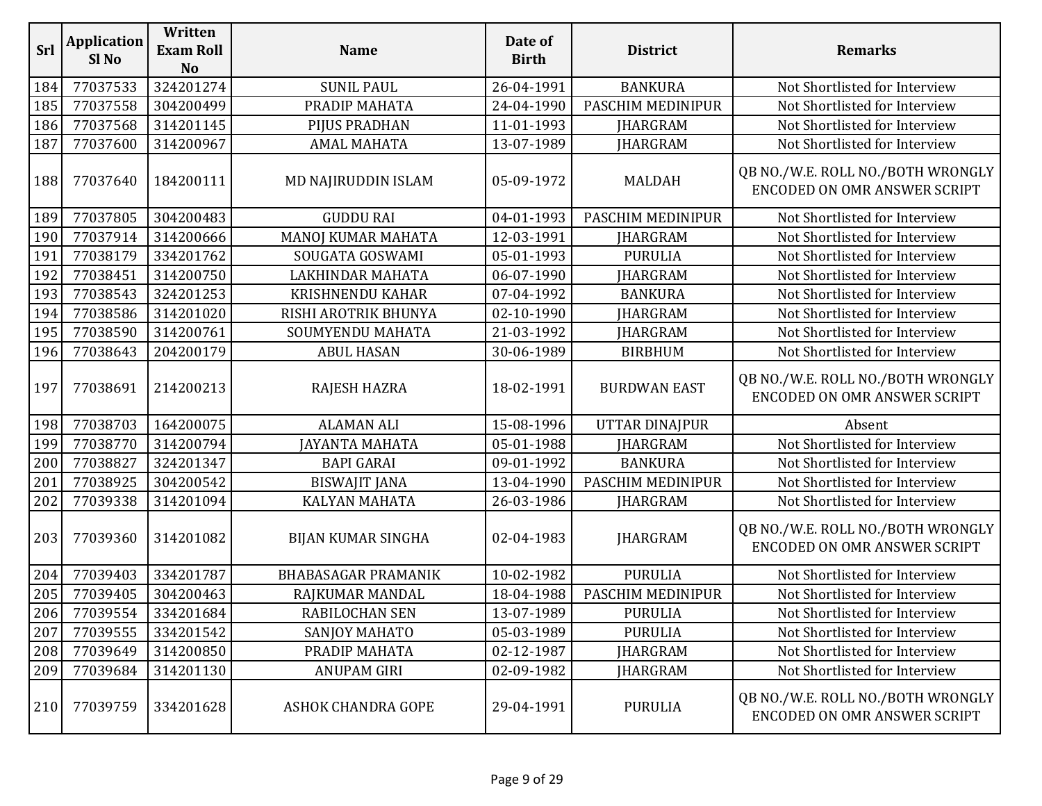| Srl | <b>Application</b><br>Sl No | Written<br><b>Exam Roll</b><br><b>No</b> | <b>Name</b>                | Date of<br><b>Birth</b> | <b>District</b>     | <b>Remarks</b>                                                           |
|-----|-----------------------------|------------------------------------------|----------------------------|-------------------------|---------------------|--------------------------------------------------------------------------|
| 184 | 77037533                    | 324201274                                | <b>SUNIL PAUL</b>          | 26-04-1991              | <b>BANKURA</b>      | Not Shortlisted for Interview                                            |
| 185 | 77037558                    | 304200499                                | PRADIP MAHATA              | 24-04-1990              | PASCHIM MEDINIPUR   | Not Shortlisted for Interview                                            |
| 186 | 77037568                    | 314201145                                | PIJUS PRADHAN              | 11-01-1993              | <b>JHARGRAM</b>     | Not Shortlisted for Interview                                            |
| 187 | 77037600                    | 314200967                                | <b>AMAL MAHATA</b>         | 13-07-1989              | <b>JHARGRAM</b>     | Not Shortlisted for Interview                                            |
| 188 | 77037640                    | 184200111                                | MD NAJIRUDDIN ISLAM        | 05-09-1972              | <b>MALDAH</b>       | QB NO./W.E. ROLL NO./BOTH WRONGLY<br>ENCODED ON OMR ANSWER SCRIPT        |
| 189 | 77037805                    | 304200483                                | <b>GUDDU RAI</b>           | 04-01-1993              | PASCHIM MEDINIPUR   | Not Shortlisted for Interview                                            |
| 190 | 77037914                    | 314200666                                | MANOJ KUMAR MAHATA         | 12-03-1991              | <b>IHARGRAM</b>     | Not Shortlisted for Interview                                            |
| 191 | 77038179                    | 334201762                                | SOUGATA GOSWAMI            | 05-01-1993              | <b>PURULIA</b>      | Not Shortlisted for Interview                                            |
| 192 | 77038451                    | 314200750                                | LAKHINDAR MAHATA           | 06-07-1990              | <b>JHARGRAM</b>     | Not Shortlisted for Interview                                            |
| 193 | 77038543                    | 324201253                                | <b>KRISHNENDU KAHAR</b>    | 07-04-1992              | <b>BANKURA</b>      | Not Shortlisted for Interview                                            |
| 194 | 77038586                    | 314201020                                | RISHI AROTRIK BHUNYA       | 02-10-1990              | <b>IHARGRAM</b>     | Not Shortlisted for Interview                                            |
| 195 | 77038590                    | 314200761                                | SOUMYENDU MAHATA           | 21-03-1992              | <b>JHARGRAM</b>     | Not Shortlisted for Interview                                            |
| 196 | 77038643                    | 204200179                                | <b>ABUL HASAN</b>          | 30-06-1989              | <b>BIRBHUM</b>      | Not Shortlisted for Interview                                            |
| 197 | 77038691                    | 214200213                                | RAJESH HAZRA               | 18-02-1991              | <b>BURDWAN EAST</b> | QB NO./W.E. ROLL NO./BOTH WRONGLY<br><b>ENCODED ON OMR ANSWER SCRIPT</b> |
| 198 | 77038703                    | 164200075                                | <b>ALAMAN ALI</b>          | 15-08-1996              | UTTAR DINAJPUR      | Absent                                                                   |
| 199 | 77038770                    | 314200794                                | <b>JAYANTA MAHATA</b>      | 05-01-1988              | <b>JHARGRAM</b>     | Not Shortlisted for Interview                                            |
| 200 | 77038827                    | 324201347                                | <b>BAPI GARAI</b>          | 09-01-1992              | <b>BANKURA</b>      | Not Shortlisted for Interview                                            |
| 201 | 77038925                    | 304200542                                | <b>BISWAJIT JANA</b>       | 13-04-1990              | PASCHIM MEDINIPUR   | Not Shortlisted for Interview                                            |
| 202 | 77039338                    | 314201094                                | KALYAN MAHATA              | 26-03-1986              | <b>JHARGRAM</b>     | Not Shortlisted for Interview                                            |
| 203 | 77039360                    | 314201082                                | <b>BIJAN KUMAR SINGHA</b>  | 02-04-1983              | <b>JHARGRAM</b>     | QB NO./W.E. ROLL NO./BOTH WRONGLY<br>ENCODED ON OMR ANSWER SCRIPT        |
| 204 | 77039403                    | 334201787                                | <b>BHABASAGAR PRAMANIK</b> | 10-02-1982              | <b>PURULIA</b>      | Not Shortlisted for Interview                                            |
| 205 | 77039405                    | 304200463                                | RAJKUMAR MANDAL            | 18-04-1988              | PASCHIM MEDINIPUR   | Not Shortlisted for Interview                                            |
| 206 | 77039554                    | 334201684                                | RABILOCHAN SEN             | 13-07-1989              | <b>PURULIA</b>      | Not Shortlisted for Interview                                            |
| 207 | 77039555                    | 334201542                                | SANJOY MAHATO              | 05-03-1989              | <b>PURULIA</b>      | Not Shortlisted for Interview                                            |
| 208 | 77039649                    | 314200850                                | PRADIP MAHATA              | 02-12-1987              | <b>JHARGRAM</b>     | Not Shortlisted for Interview                                            |
| 209 | 77039684                    | 314201130                                | <b>ANUPAM GIRI</b>         | 02-09-1982              | <b>JHARGRAM</b>     | Not Shortlisted for Interview                                            |
| 210 | 77039759                    | 334201628                                | <b>ASHOK CHANDRA GOPE</b>  | 29-04-1991              | <b>PURULIA</b>      | QB NO./W.E. ROLL NO./BOTH WRONGLY<br>ENCODED ON OMR ANSWER SCRIPT        |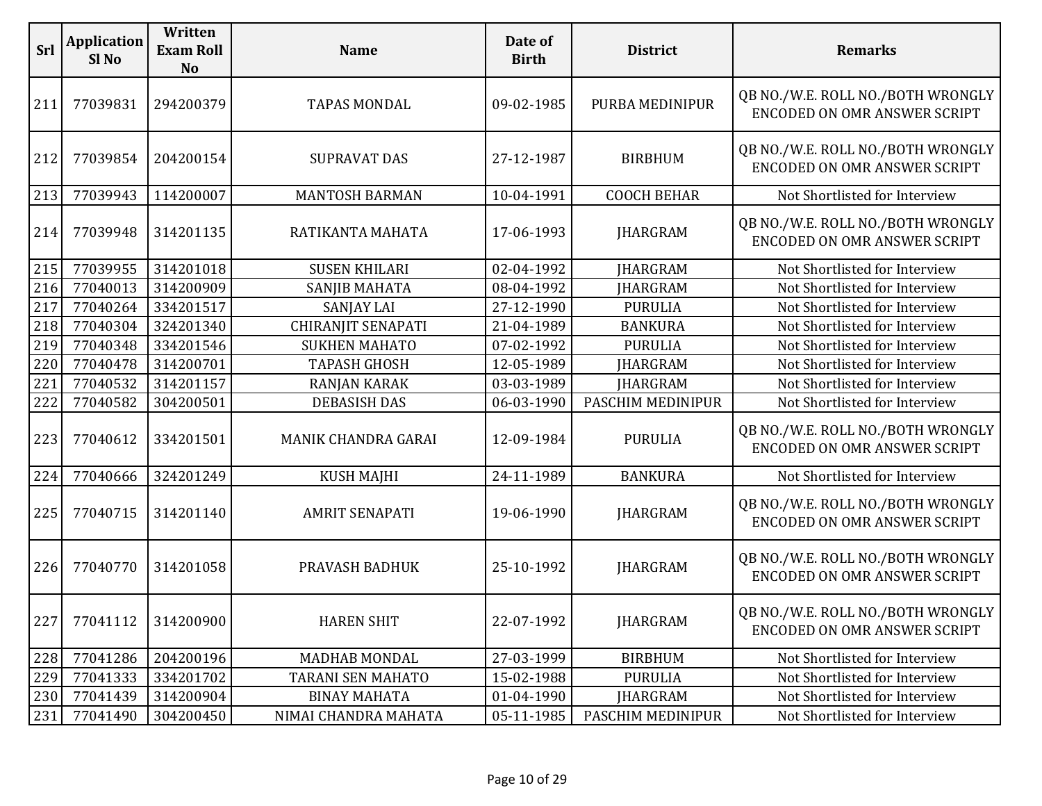| Srl | <b>Application</b><br>Sl <sub>No</sub> | Written<br><b>Exam Roll</b><br><b>No</b> | <b>Name</b>               | Date of<br><b>Birth</b> | <b>District</b>    | <b>Remarks</b>                                                           |
|-----|----------------------------------------|------------------------------------------|---------------------------|-------------------------|--------------------|--------------------------------------------------------------------------|
| 211 | 77039831                               | 294200379                                | <b>TAPAS MONDAL</b>       | 09-02-1985              | PURBA MEDINIPUR    | QB NO./W.E. ROLL NO./BOTH WRONGLY<br>ENCODED ON OMR ANSWER SCRIPT        |
| 212 | 77039854                               | 204200154                                | <b>SUPRAVAT DAS</b>       | 27-12-1987              | <b>BIRBHUM</b>     | QB NO./W.E. ROLL NO./BOTH WRONGLY<br><b>ENCODED ON OMR ANSWER SCRIPT</b> |
| 213 | 77039943                               | 114200007                                | <b>MANTOSH BARMAN</b>     | 10-04-1991              | <b>COOCH BEHAR</b> | Not Shortlisted for Interview                                            |
| 214 | 77039948                               | 314201135                                | RATIKANTA MAHATA          | 17-06-1993              | <b>JHARGRAM</b>    | QB NO./W.E. ROLL NO./BOTH WRONGLY<br>ENCODED ON OMR ANSWER SCRIPT        |
| 215 | 77039955                               | 314201018                                | <b>SUSEN KHILARI</b>      | 02-04-1992              | <b>JHARGRAM</b>    | Not Shortlisted for Interview                                            |
| 216 | 77040013                               | 314200909                                | SANJIB MAHATA             | 08-04-1992              | <b>IHARGRAM</b>    | Not Shortlisted for Interview                                            |
| 217 | 77040264                               | 334201517                                | <b>SANJAY LAI</b>         | 27-12-1990              | <b>PURULIA</b>     | Not Shortlisted for Interview                                            |
| 218 | 77040304                               | 324201340                                | <b>CHIRANJIT SENAPATI</b> | 21-04-1989              | <b>BANKURA</b>     | Not Shortlisted for Interview                                            |
| 219 | 77040348                               | 334201546                                | <b>SUKHEN MAHATO</b>      | 07-02-1992              | <b>PURULIA</b>     | Not Shortlisted for Interview                                            |
| 220 | 77040478                               | 314200701                                | <b>TAPASH GHOSH</b>       | 12-05-1989              | <b>JHARGRAM</b>    | Not Shortlisted for Interview                                            |
| 221 | 77040532                               | 314201157                                | <b>RANJAN KARAK</b>       | 03-03-1989              | <b>JHARGRAM</b>    | Not Shortlisted for Interview                                            |
| 222 | 77040582                               | 304200501                                | <b>DEBASISH DAS</b>       | 06-03-1990              | PASCHIM MEDINIPUR  | Not Shortlisted for Interview                                            |
| 223 | 77040612                               | 334201501                                | MANIK CHANDRA GARAI       | 12-09-1984              | <b>PURULIA</b>     | QB NO./W.E. ROLL NO./BOTH WRONGLY<br><b>ENCODED ON OMR ANSWER SCRIPT</b> |
| 224 | 77040666                               | 324201249                                | <b>KUSH MAJHI</b>         | 24-11-1989              | <b>BANKURA</b>     | Not Shortlisted for Interview                                            |
| 225 | 77040715                               | 314201140                                | <b>AMRIT SENAPATI</b>     | 19-06-1990              | <b>JHARGRAM</b>    | QB NO./W.E. ROLL NO./BOTH WRONGLY<br>ENCODED ON OMR ANSWER SCRIPT        |
| 226 | 77040770                               | 314201058                                | PRAVASH BADHUK            | 25-10-1992              | <b>JHARGRAM</b>    | QB NO./W.E. ROLL NO./BOTH WRONGLY<br>ENCODED ON OMR ANSWER SCRIPT        |
| 227 | 77041112                               | 314200900                                | <b>HAREN SHIT</b>         | 22-07-1992              | <b>JHARGRAM</b>    | QB NO./W.E. ROLL NO./BOTH WRONGLY<br><b>ENCODED ON OMR ANSWER SCRIPT</b> |
| 228 | 77041286                               | 204200196                                | <b>MADHAB MONDAL</b>      | 27-03-1999              | <b>BIRBHUM</b>     | Not Shortlisted for Interview                                            |
| 229 | 77041333                               | 334201702                                | <b>TARANI SEN MAHATO</b>  | 15-02-1988              | <b>PURULIA</b>     | Not Shortlisted for Interview                                            |
| 230 | 77041439                               | 314200904                                | <b>BINAY MAHATA</b>       | 01-04-1990              | <b>JHARGRAM</b>    | Not Shortlisted for Interview                                            |
| 231 | 77041490                               | 304200450                                | NIMAI CHANDRA MAHATA      | 05-11-1985              | PASCHIM MEDINIPUR  | Not Shortlisted for Interview                                            |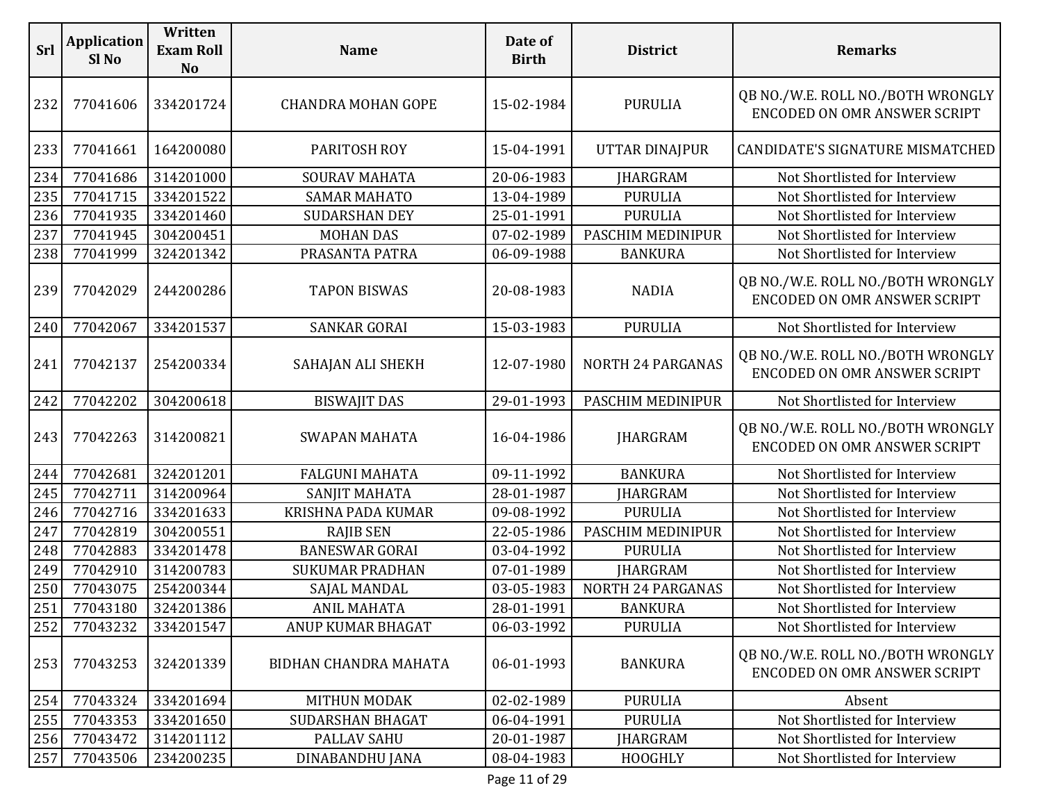| Srl | <b>Application</b><br>Sl No | Written<br><b>Exam Roll</b><br><b>No</b> | <b>Name</b>               | Date of<br><b>Birth</b> | <b>District</b>          | <b>Remarks</b>                                                           |
|-----|-----------------------------|------------------------------------------|---------------------------|-------------------------|--------------------------|--------------------------------------------------------------------------|
| 232 | 77041606                    | 334201724                                | <b>CHANDRA MOHAN GOPE</b> | 15-02-1984              | <b>PURULIA</b>           | QB NO./W.E. ROLL NO./BOTH WRONGLY<br>ENCODED ON OMR ANSWER SCRIPT        |
| 233 | 77041661                    | 164200080                                | PARITOSH ROY              | 15-04-1991              | <b>UTTAR DINAJPUR</b>    | CANDIDATE'S SIGNATURE MISMATCHED                                         |
| 234 | 77041686                    | 314201000                                | <b>SOURAV MAHATA</b>      | 20-06-1983              | <b>JHARGRAM</b>          | Not Shortlisted for Interview                                            |
| 235 | 77041715                    | 334201522                                | <b>SAMAR MAHATO</b>       | 13-04-1989              | <b>PURULIA</b>           | Not Shortlisted for Interview                                            |
| 236 | 77041935                    | 334201460                                | <b>SUDARSHAN DEY</b>      | 25-01-1991              | <b>PURULIA</b>           | Not Shortlisted for Interview                                            |
| 237 | 77041945                    | 304200451                                | <b>MOHAN DAS</b>          | 07-02-1989              | PASCHIM MEDINIPUR        | Not Shortlisted for Interview                                            |
| 238 | 77041999                    | 324201342                                | PRASANTA PATRA            | 06-09-1988              | <b>BANKURA</b>           | Not Shortlisted for Interview                                            |
| 239 | 77042029                    | 244200286                                | <b>TAPON BISWAS</b>       | 20-08-1983              | <b>NADIA</b>             | QB NO./W.E. ROLL NO./BOTH WRONGLY<br>ENCODED ON OMR ANSWER SCRIPT        |
| 240 | 77042067                    | 334201537                                | <b>SANKAR GORAI</b>       | 15-03-1983              | <b>PURULIA</b>           | Not Shortlisted for Interview                                            |
| 241 | 77042137                    | 254200334                                | SAHAJAN ALI SHEKH         | 12-07-1980              | <b>NORTH 24 PARGANAS</b> | QB NO./W.E. ROLL NO./BOTH WRONGLY<br>ENCODED ON OMR ANSWER SCRIPT        |
| 242 | 77042202                    | 304200618                                | <b>BISWAJIT DAS</b>       | 29-01-1993              | PASCHIM MEDINIPUR        | Not Shortlisted for Interview                                            |
| 243 | 77042263                    | 314200821                                | <b>SWAPAN MAHATA</b>      | 16-04-1986              | <b>JHARGRAM</b>          | QB NO./W.E. ROLL NO./BOTH WRONGLY<br><b>ENCODED ON OMR ANSWER SCRIPT</b> |
| 244 | 77042681                    | 324201201                                | <b>FALGUNI MAHATA</b>     | 09-11-1992              | <b>BANKURA</b>           | Not Shortlisted for Interview                                            |
| 245 | 77042711                    | 314200964                                | <b>SANJIT MAHATA</b>      | 28-01-1987              | <b>JHARGRAM</b>          | Not Shortlisted for Interview                                            |
| 246 | 77042716                    | 334201633                                | KRISHNA PADA KUMAR        | 09-08-1992              | <b>PURULIA</b>           | Not Shortlisted for Interview                                            |
| 247 | 77042819                    | 304200551                                | <b>RAJIB SEN</b>          | 22-05-1986              | PASCHIM MEDINIPUR        | Not Shortlisted for Interview                                            |
| 248 | 77042883                    | 334201478                                | <b>BANESWAR GORAI</b>     | 03-04-1992              | <b>PURULIA</b>           | Not Shortlisted for Interview                                            |
| 249 | 77042910                    | 314200783                                | <b>SUKUMAR PRADHAN</b>    | 07-01-1989              | <b>JHARGRAM</b>          | Not Shortlisted for Interview                                            |
| 250 | 77043075                    | 254200344                                | SAJAL MANDAL              | 03-05-1983              | <b>NORTH 24 PARGANAS</b> | Not Shortlisted for Interview                                            |
| 251 | 77043180                    | 324201386                                | <b>ANIL MAHATA</b>        | 28-01-1991              | <b>BANKURA</b>           | Not Shortlisted for Interview                                            |
| 252 | 77043232                    | 334201547                                | ANUP KUMAR BHAGAT         | 06-03-1992              | <b>PURULIA</b>           | Not Shortlisted for Interview                                            |
| 253 | 77043253                    | 324201339                                | BIDHAN CHANDRA MAHATA     | 06-01-1993              | <b>BANKURA</b>           | QB NO./W.E. ROLL NO./BOTH WRONGLY<br>ENCODED ON OMR ANSWER SCRIPT        |
| 254 | 77043324                    | 334201694                                | <b>MITHUN MODAK</b>       | 02-02-1989              | <b>PURULIA</b>           | Absent                                                                   |
| 255 | 77043353                    | 334201650                                | SUDARSHAN BHAGAT          | 06-04-1991              | <b>PURULIA</b>           | Not Shortlisted for Interview                                            |
| 256 | 77043472                    | 314201112                                | PALLAV SAHU               | 20-01-1987              | JHARGRAM                 | Not Shortlisted for Interview                                            |
| 257 | 77043506                    | 234200235                                | DINABANDHU JANA           | 08-04-1983              | <b>HOOGHLY</b>           | Not Shortlisted for Interview                                            |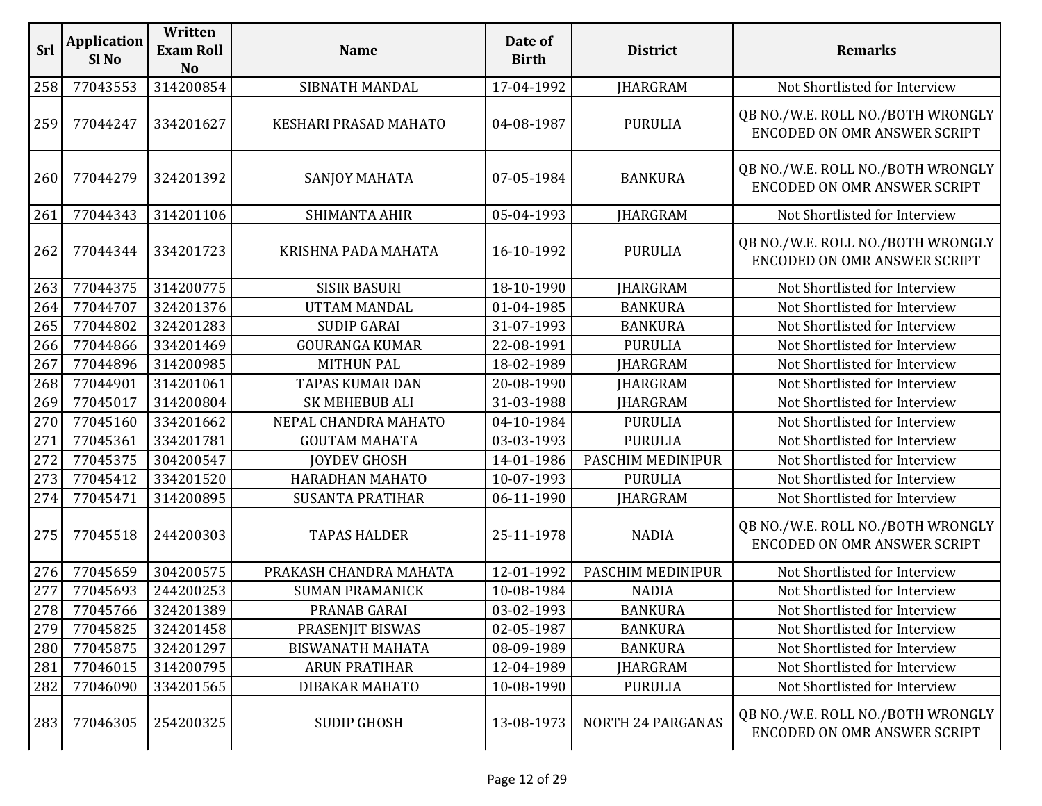| Srl | <b>Application</b><br>Sl No | Written<br><b>Exam Roll</b><br><b>No</b> | <b>Name</b>             | Date of<br><b>Birth</b> | <b>District</b>          | <b>Remarks</b>                                                           |
|-----|-----------------------------|------------------------------------------|-------------------------|-------------------------|--------------------------|--------------------------------------------------------------------------|
| 258 | 77043553                    | 314200854                                | SIBNATH MANDAL          | 17-04-1992              | <b>JHARGRAM</b>          | Not Shortlisted for Interview                                            |
| 259 | 77044247                    | 334201627                                | KESHARI PRASAD MAHATO   | 04-08-1987              | <b>PURULIA</b>           | QB NO./W.E. ROLL NO./BOTH WRONGLY<br><b>ENCODED ON OMR ANSWER SCRIPT</b> |
| 260 | 77044279                    | 324201392                                | SANJOY MAHATA           | 07-05-1984              | <b>BANKURA</b>           | QB NO./W.E. ROLL NO./BOTH WRONGLY<br><b>ENCODED ON OMR ANSWER SCRIPT</b> |
| 261 | 77044343                    | 314201106                                | SHIMANTA AHIR           | 05-04-1993              | <b>JHARGRAM</b>          | Not Shortlisted for Interview                                            |
| 262 | 77044344                    | 334201723                                | KRISHNA PADA MAHATA     | 16-10-1992              | <b>PURULIA</b>           | QB NO./W.E. ROLL NO./BOTH WRONGLY<br><b>ENCODED ON OMR ANSWER SCRIPT</b> |
| 263 | 77044375                    | 314200775                                | <b>SISIR BASURI</b>     | 18-10-1990              | <b>JHARGRAM</b>          | Not Shortlisted for Interview                                            |
| 264 | 77044707                    | 324201376                                | UTTAM MANDAL            | 01-04-1985              | <b>BANKURA</b>           | Not Shortlisted for Interview                                            |
| 265 | 77044802                    | 324201283                                | <b>SUDIP GARAI</b>      | 31-07-1993              | <b>BANKURA</b>           | Not Shortlisted for Interview                                            |
| 266 | 77044866                    | 334201469                                | <b>GOURANGA KUMAR</b>   | 22-08-1991              | <b>PURULIA</b>           | Not Shortlisted for Interview                                            |
| 267 | 77044896                    | 314200985                                | <b>MITHUN PAL</b>       | 18-02-1989              | JHARGRAM                 | Not Shortlisted for Interview                                            |
| 268 | 77044901                    | 314201061                                | <b>TAPAS KUMAR DAN</b>  | 20-08-1990              | <b>JHARGRAM</b>          | Not Shortlisted for Interview                                            |
| 269 | 77045017                    | 314200804                                | SK MEHEBUB ALI          | 31-03-1988              | <b>JHARGRAM</b>          | Not Shortlisted for Interview                                            |
| 270 | 77045160                    | 334201662                                | NEPAL CHANDRA MAHATO    | 04-10-1984              | <b>PURULIA</b>           | Not Shortlisted for Interview                                            |
| 271 | 77045361                    | 334201781                                | <b>GOUTAM MAHATA</b>    | 03-03-1993              | <b>PURULIA</b>           | Not Shortlisted for Interview                                            |
| 272 | 77045375                    | 304200547                                | <b>JOYDEV GHOSH</b>     | 14-01-1986              | PASCHIM MEDINIPUR        | Not Shortlisted for Interview                                            |
| 273 | 77045412                    | 334201520                                | HARADHAN MAHATO         | 10-07-1993              | <b>PURULIA</b>           | Not Shortlisted for Interview                                            |
| 274 | 77045471                    | 314200895                                | <b>SUSANTA PRATIHAR</b> | 06-11-1990              | JHARGRAM                 | Not Shortlisted for Interview                                            |
| 275 | 77045518                    | 244200303                                | <b>TAPAS HALDER</b>     | 25-11-1978              | <b>NADIA</b>             | QB NO./W.E. ROLL NO./BOTH WRONGLY<br><b>ENCODED ON OMR ANSWER SCRIPT</b> |
| 276 | 77045659                    | 304200575                                | PRAKASH CHANDRA MAHATA  | 12-01-1992              | PASCHIM MEDINIPUR        | Not Shortlisted for Interview                                            |
| 277 | 77045693                    | 244200253                                | <b>SUMAN PRAMANICK</b>  | 10-08-1984              | <b>NADIA</b>             | Not Shortlisted for Interview                                            |
|     | 278 77045766                | 324201389                                | PRANAB GARAI            | 03-02-1993              | <b>BANKURA</b>           | Not Shortlisted for Interview                                            |
| 279 | 77045825                    | 324201458                                | PRASENJIT BISWAS        | 02-05-1987              | <b>BANKURA</b>           | Not Shortlisted for Interview                                            |
| 280 | 77045875                    | 324201297                                | <b>BISWANATH MAHATA</b> | 08-09-1989              | <b>BANKURA</b>           | Not Shortlisted for Interview                                            |
| 281 | 77046015                    | 314200795                                | <b>ARUN PRATIHAR</b>    | 12-04-1989              | <b>JHARGRAM</b>          | Not Shortlisted for Interview                                            |
| 282 | 77046090                    | 334201565                                | DIBAKAR MAHATO          | 10-08-1990              | <b>PURULIA</b>           | Not Shortlisted for Interview                                            |
| 283 | 77046305                    | 254200325                                | <b>SUDIP GHOSH</b>      | 13-08-1973              | <b>NORTH 24 PARGANAS</b> | QB NO./W.E. ROLL NO./BOTH WRONGLY<br><b>ENCODED ON OMR ANSWER SCRIPT</b> |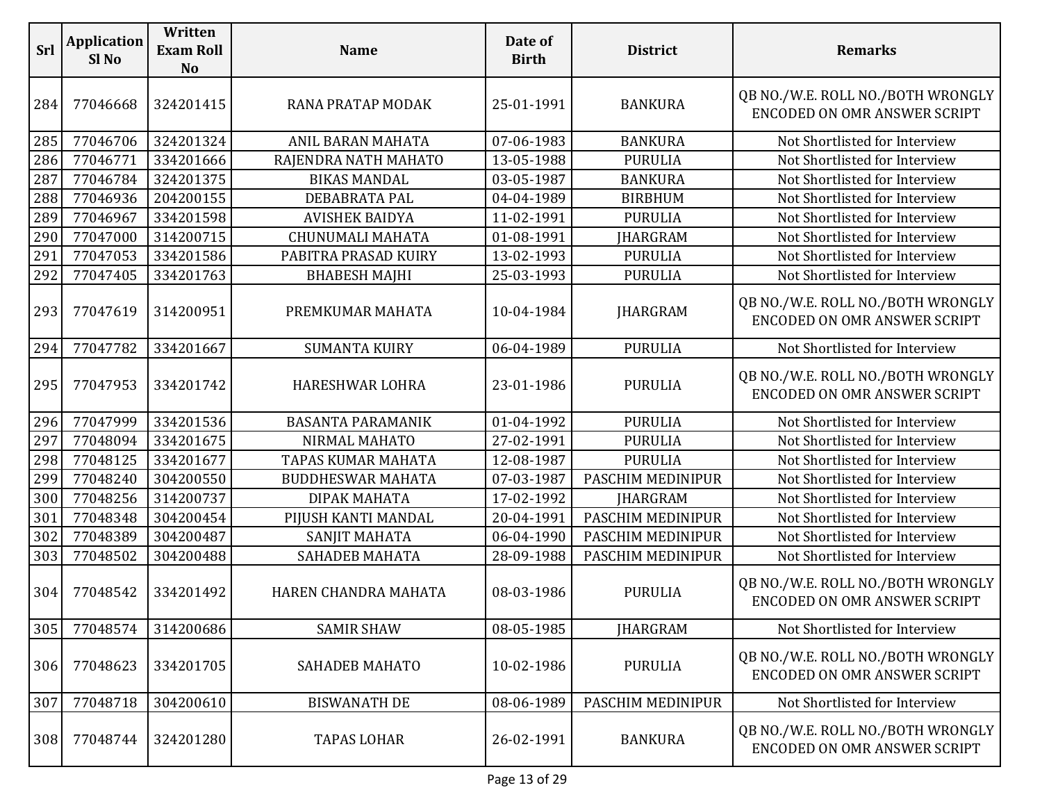| <b>Srl</b> | <b>Application</b><br>Sl <sub>No</sub> | Written<br><b>Exam Roll</b><br><b>No</b> | <b>Name</b>              | Date of<br><b>Birth</b> | <b>District</b>   | <b>Remarks</b>                                                           |
|------------|----------------------------------------|------------------------------------------|--------------------------|-------------------------|-------------------|--------------------------------------------------------------------------|
| 284        | 77046668                               | 324201415                                | RANA PRATAP MODAK        | 25-01-1991              | <b>BANKURA</b>    | QB NO./W.E. ROLL NO./BOTH WRONGLY<br><b>ENCODED ON OMR ANSWER SCRIPT</b> |
| 285        | 77046706                               | 324201324                                | ANIL BARAN MAHATA        | 07-06-1983              | <b>BANKURA</b>    | Not Shortlisted for Interview                                            |
| 286        | 77046771                               | 334201666                                | RAJENDRA NATH MAHATO     | 13-05-1988              | <b>PURULIA</b>    | Not Shortlisted for Interview                                            |
| 287        | 77046784                               | 324201375                                | <b>BIKAS MANDAL</b>      | 03-05-1987              | <b>BANKURA</b>    | Not Shortlisted for Interview                                            |
| 288        | 77046936                               | 204200155                                | DEBABRATA PAL            | 04-04-1989              | <b>BIRBHUM</b>    | Not Shortlisted for Interview                                            |
| 289        | 77046967                               | 334201598                                | <b>AVISHEK BAIDYA</b>    | 11-02-1991              | <b>PURULIA</b>    | Not Shortlisted for Interview                                            |
| 290        | 77047000                               | 314200715                                | CHUNUMALI MAHATA         | 01-08-1991              | <b>JHARGRAM</b>   | Not Shortlisted for Interview                                            |
| 291        | 77047053                               | 334201586                                | PABITRA PRASAD KUIRY     | 13-02-1993              | <b>PURULIA</b>    | Not Shortlisted for Interview                                            |
| 292        | 77047405                               | 334201763                                | <b>BHABESH MAJHI</b>     | 25-03-1993              | <b>PURULIA</b>    | Not Shortlisted for Interview                                            |
| 293        | 77047619                               | 314200951                                | PREMKUMAR MAHATA         | 10-04-1984              | <b>JHARGRAM</b>   | QB NO./W.E. ROLL NO./BOTH WRONGLY<br><b>ENCODED ON OMR ANSWER SCRIPT</b> |
| 294        | 77047782                               | 334201667                                | <b>SUMANTA KUIRY</b>     | 06-04-1989              | <b>PURULIA</b>    | Not Shortlisted for Interview                                            |
| 295        | 77047953                               | 334201742                                | HARESHWAR LOHRA          | 23-01-1986              | <b>PURULIA</b>    | QB NO./W.E. ROLL NO./BOTH WRONGLY<br>ENCODED ON OMR ANSWER SCRIPT        |
| 296        | 77047999                               | 334201536                                | <b>BASANTA PARAMANIK</b> | 01-04-1992              | <b>PURULIA</b>    | Not Shortlisted for Interview                                            |
| 297        | 77048094                               | 334201675                                | NIRMAL MAHATO            | 27-02-1991              | <b>PURULIA</b>    | Not Shortlisted for Interview                                            |
| 298        | 77048125                               | 334201677                                | TAPAS KUMAR MAHATA       | 12-08-1987              | <b>PURULIA</b>    | Not Shortlisted for Interview                                            |
| 299        | 77048240                               | 304200550                                | <b>BUDDHESWAR MAHATA</b> | 07-03-1987              | PASCHIM MEDINIPUR | Not Shortlisted for Interview                                            |
| 300        | 77048256                               | 314200737                                | DIPAK MAHATA             | 17-02-1992              | <b>JHARGRAM</b>   | Not Shortlisted for Interview                                            |
| 301        | 77048348                               | 304200454                                | PIJUSH KANTI MANDAL      | 20-04-1991              | PASCHIM MEDINIPUR | Not Shortlisted for Interview                                            |
| 302        | 77048389                               | 304200487                                | SANJIT MAHATA            | 06-04-1990              | PASCHIM MEDINIPUR | Not Shortlisted for Interview                                            |
| 303        | 77048502                               | 304200488                                | <b>SAHADEB MAHATA</b>    | 28-09-1988              | PASCHIM MEDINIPUR | Not Shortlisted for Interview                                            |
| 304        | 77048542                               | 334201492                                | HAREN CHANDRA MAHATA     | 08-03-1986              | <b>PURULIA</b>    | QB NO./W.E. ROLL NO./BOTH WRONGLY<br><b>ENCODED ON OMR ANSWER SCRIPT</b> |
| 305        | 77048574                               | 314200686                                | <b>SAMIR SHAW</b>        | 08-05-1985              | <b>JHARGRAM</b>   | Not Shortlisted for Interview                                            |
| 306        | 77048623                               | 334201705                                | <b>SAHADEB MAHATO</b>    | 10-02-1986              | <b>PURULIA</b>    | QB NO./W.E. ROLL NO./BOTH WRONGLY<br><b>ENCODED ON OMR ANSWER SCRIPT</b> |
| 307        | 77048718                               | 304200610                                | <b>BISWANATH DE</b>      | 08-06-1989              | PASCHIM MEDINIPUR | Not Shortlisted for Interview                                            |
| 308        | 77048744                               | 324201280                                | <b>TAPAS LOHAR</b>       | 26-02-1991              | <b>BANKURA</b>    | QB NO./W.E. ROLL NO./BOTH WRONGLY<br>ENCODED ON OMR ANSWER SCRIPT        |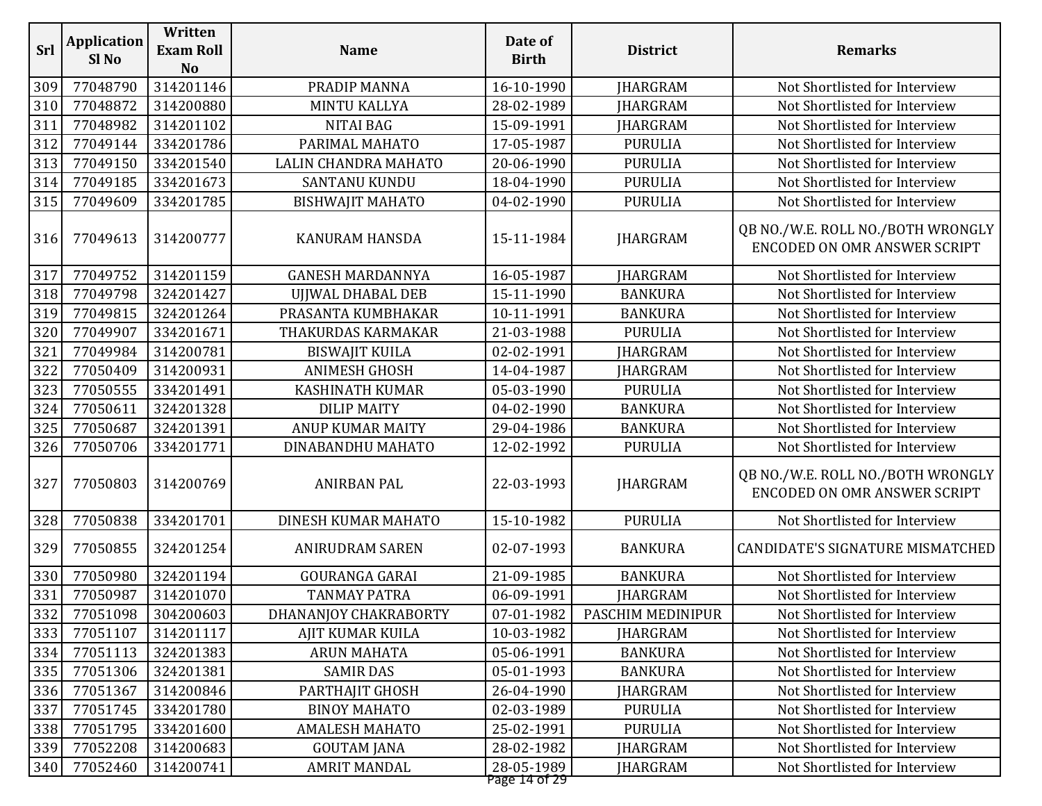| <b>Srl</b> | <b>Application</b><br>Sl No | Written<br><b>Exam Roll</b><br><b>No</b> | <b>Name</b>             | Date of<br><b>Birth</b>     | <b>District</b>   | <b>Remarks</b>                                                           |
|------------|-----------------------------|------------------------------------------|-------------------------|-----------------------------|-------------------|--------------------------------------------------------------------------|
| 309        | 77048790                    | 314201146                                | PRADIP MANNA            | 16-10-1990                  | <b>JHARGRAM</b>   | Not Shortlisted for Interview                                            |
| 310        | 77048872                    | 314200880                                | <b>MINTU KALLYA</b>     | 28-02-1989                  | <b>IHARGRAM</b>   | Not Shortlisted for Interview                                            |
| 311        | 77048982                    | 314201102                                | <b>NITAI BAG</b>        | 15-09-1991                  | <b>JHARGRAM</b>   | Not Shortlisted for Interview                                            |
| 312        | 77049144                    | 334201786                                | PARIMAL MAHATO          | 17-05-1987                  | <b>PURULIA</b>    | Not Shortlisted for Interview                                            |
| 313        | 77049150                    | 334201540                                | LALIN CHANDRA MAHATO    | 20-06-1990                  | <b>PURULIA</b>    | Not Shortlisted for Interview                                            |
| 314        | 77049185                    | 334201673                                | SANTANU KUNDU           | 18-04-1990                  | <b>PURULIA</b>    | Not Shortlisted for Interview                                            |
| 315        | 77049609                    | 334201785                                | <b>BISHWAJIT MAHATO</b> | 04-02-1990                  | <b>PURULIA</b>    | Not Shortlisted for Interview                                            |
| 316        | 77049613                    | 314200777                                | <b>KANURAM HANSDA</b>   | 15-11-1984                  | <b>JHARGRAM</b>   | QB NO./W.E. ROLL NO./BOTH WRONGLY<br><b>ENCODED ON OMR ANSWER SCRIPT</b> |
| 317        | 77049752                    | 314201159                                | <b>GANESH MARDANNYA</b> | 16-05-1987                  | <b>JHARGRAM</b>   | Not Shortlisted for Interview                                            |
| 318        | 77049798                    | 324201427                                | UJJWAL DHABAL DEB       | 15-11-1990                  | <b>BANKURA</b>    | Not Shortlisted for Interview                                            |
| 319        | 77049815                    | 324201264                                | PRASANTA KUMBHAKAR      | 10-11-1991                  | <b>BANKURA</b>    | Not Shortlisted for Interview                                            |
| 320        | 77049907                    | 334201671                                | THAKURDAS KARMAKAR      | 21-03-1988                  | <b>PURULIA</b>    | Not Shortlisted for Interview                                            |
| 321        | 77049984                    | 314200781                                | <b>BISWAJIT KUILA</b>   | 02-02-1991                  | <b>JHARGRAM</b>   | Not Shortlisted for Interview                                            |
| 322        | 77050409                    | 314200931                                | <b>ANIMESH GHOSH</b>    | 14-04-1987                  | <b>JHARGRAM</b>   | Not Shortlisted for Interview                                            |
| 323        | 77050555                    | 334201491                                | <b>KASHINATH KUMAR</b>  | 05-03-1990                  | <b>PURULIA</b>    | Not Shortlisted for Interview                                            |
| 324        | 77050611                    | 324201328                                | <b>DILIP MAITY</b>      | 04-02-1990                  | <b>BANKURA</b>    | Not Shortlisted for Interview                                            |
| 325        | 77050687                    | 324201391                                | <b>ANUP KUMAR MAITY</b> | 29-04-1986                  | <b>BANKURA</b>    | Not Shortlisted for Interview                                            |
| 326        | 77050706                    | 334201771                                | DINABANDHU MAHATO       | 12-02-1992                  | <b>PURULIA</b>    | Not Shortlisted for Interview                                            |
| 327        | 77050803                    | 314200769                                | <b>ANIRBAN PAL</b>      | 22-03-1993                  | <b>JHARGRAM</b>   | QB NO./W.E. ROLL NO./BOTH WRONGLY<br><b>ENCODED ON OMR ANSWER SCRIPT</b> |
| 328        | 77050838                    | 334201701                                | DINESH KUMAR MAHATO     | 15-10-1982                  | <b>PURULIA</b>    | Not Shortlisted for Interview                                            |
| 329        | 77050855                    | 324201254                                | <b>ANIRUDRAM SAREN</b>  | 02-07-1993                  | <b>BANKURA</b>    | CANDIDATE'S SIGNATURE MISMATCHED                                         |
| 330        | 77050980                    | 324201194                                | <b>GOURANGA GARAI</b>   | 21-09-1985                  | <b>BANKURA</b>    | Not Shortlisted for Interview                                            |
| 331        | 77050987                    | 314201070                                | <b>TANMAY PATRA</b>     | 06-09-1991                  | <b>IHARGRAM</b>   | Not Shortlisted for Interview                                            |
| 332        | 77051098                    | 304200603                                | DHANANJOY CHAKRABORTY   | 07-01-1982                  | PASCHIM MEDINIPUR | Not Shortlisted for Interview                                            |
| 333        | 77051107                    | 314201117                                | <b>AJIT KUMAR KUILA</b> | 10-03-1982                  | <b>JHARGRAM</b>   | Not Shortlisted for Interview                                            |
| 334        | 77051113                    | 324201383                                | <b>ARUN MAHATA</b>      | 05-06-1991                  | <b>BANKURA</b>    | Not Shortlisted for Interview                                            |
| 335        | 77051306                    | 324201381                                | <b>SAMIR DAS</b>        | 05-01-1993                  | <b>BANKURA</b>    | Not Shortlisted for Interview                                            |
| 336        | 77051367                    | 314200846                                | PARTHAJIT GHOSH         | 26-04-1990                  | <b>JHARGRAM</b>   | Not Shortlisted for Interview                                            |
| 337        | 77051745                    | 334201780                                | <b>BINOY MAHATO</b>     | 02-03-1989                  | <b>PURULIA</b>    | Not Shortlisted for Interview                                            |
| 338        | 77051795                    | 334201600                                | <b>AMALESH MAHATO</b>   | 25-02-1991                  | <b>PURULIA</b>    | Not Shortlisted for Interview                                            |
| 339        | 77052208                    | 314200683                                | <b>GOUTAM JANA</b>      | 28-02-1982                  | <b>JHARGRAM</b>   | Not Shortlisted for Interview                                            |
| 340        | 77052460                    | 314200741                                | <b>AMRIT MANDAL</b>     | 28-05-1989<br>Page 14 of 29 | <b>JHARGRAM</b>   | Not Shortlisted for Interview                                            |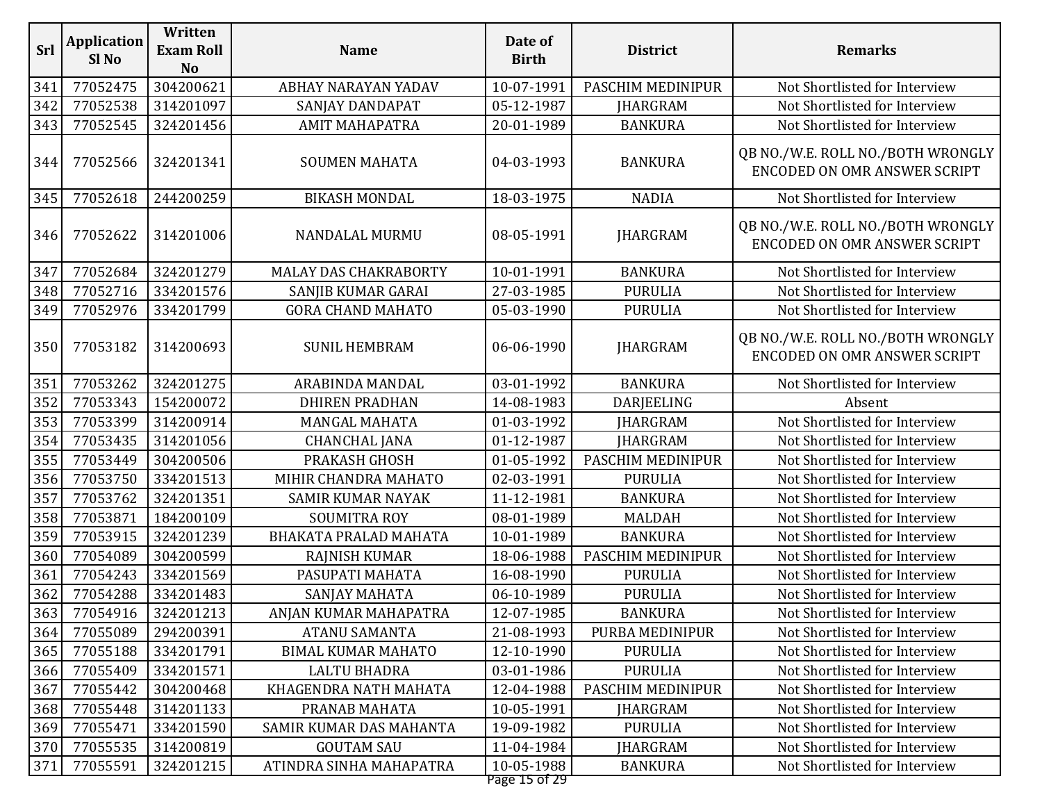| Srl | <b>Application</b><br>Sl <sub>No</sub> | Written<br><b>Exam Roll</b><br><b>No</b> | <b>Name</b>               | Date of<br><b>Birth</b>     | <b>District</b>   | <b>Remarks</b>                                                           |
|-----|----------------------------------------|------------------------------------------|---------------------------|-----------------------------|-------------------|--------------------------------------------------------------------------|
| 341 | 77052475                               | 304200621                                | ABHAY NARAYAN YADAV       | 10-07-1991                  | PASCHIM MEDINIPUR | Not Shortlisted for Interview                                            |
| 342 | 77052538                               | 314201097                                | SANJAY DANDAPAT           | 05-12-1987                  | <b>JHARGRAM</b>   | Not Shortlisted for Interview                                            |
| 343 | 77052545                               | 324201456                                | <b>AMIT MAHAPATRA</b>     | 20-01-1989                  | <b>BANKURA</b>    | Not Shortlisted for Interview                                            |
| 344 | 77052566                               | 324201341                                | <b>SOUMEN MAHATA</b>      | 04-03-1993                  | <b>BANKURA</b>    | QB NO./W.E. ROLL NO./BOTH WRONGLY<br>ENCODED ON OMR ANSWER SCRIPT        |
| 345 | 77052618                               | 244200259                                | <b>BIKASH MONDAL</b>      | 18-03-1975                  | <b>NADIA</b>      | Not Shortlisted for Interview                                            |
| 346 | 77052622                               | 314201006                                | NANDALAL MURMU            | 08-05-1991                  | <b>JHARGRAM</b>   | QB NO./W.E. ROLL NO./BOTH WRONGLY<br><b>ENCODED ON OMR ANSWER SCRIPT</b> |
| 347 | 77052684                               | 324201279                                | MALAY DAS CHAKRABORTY     | 10-01-1991                  | <b>BANKURA</b>    | Not Shortlisted for Interview                                            |
| 348 | 77052716                               | 334201576                                | SANJIB KUMAR GARAI        | 27-03-1985                  | <b>PURULIA</b>    | Not Shortlisted for Interview                                            |
| 349 | 77052976                               | 334201799                                | <b>GORA CHAND MAHATO</b>  | 05-03-1990                  | <b>PURULIA</b>    | Not Shortlisted for Interview                                            |
| 350 | 77053182                               | 314200693                                | <b>SUNIL HEMBRAM</b>      | 06-06-1990                  | <b>JHARGRAM</b>   | QB NO./W.E. ROLL NO./BOTH WRONGLY<br><b>ENCODED ON OMR ANSWER SCRIPT</b> |
| 351 | 77053262                               | 324201275                                | ARABINDA MANDAL           | 03-01-1992                  | <b>BANKURA</b>    | Not Shortlisted for Interview                                            |
| 352 | 77053343                               | 154200072                                | <b>DHIREN PRADHAN</b>     | 14-08-1983                  | DARJEELING        | Absent                                                                   |
| 353 | 77053399                               | 314200914                                | <b>MANGAL MAHATA</b>      | 01-03-1992                  | <b>JHARGRAM</b>   | Not Shortlisted for Interview                                            |
| 354 | 77053435                               | 314201056                                | <b>CHANCHAL JANA</b>      | 01-12-1987                  | <b>JHARGRAM</b>   | Not Shortlisted for Interview                                            |
| 355 | 77053449                               | 304200506                                | PRAKASH GHOSH             | 01-05-1992                  | PASCHIM MEDINIPUR | Not Shortlisted for Interview                                            |
| 356 | 77053750                               | 334201513                                | MIHIR CHANDRA MAHATO      | 02-03-1991                  | <b>PURULIA</b>    | Not Shortlisted for Interview                                            |
| 357 | 77053762                               | 324201351                                | <b>SAMIR KUMAR NAYAK</b>  | 11-12-1981                  | <b>BANKURA</b>    | Not Shortlisted for Interview                                            |
| 358 | 77053871                               | 184200109                                | <b>SOUMITRA ROY</b>       | 08-01-1989                  | <b>MALDAH</b>     | Not Shortlisted for Interview                                            |
| 359 | 77053915                               | 324201239                                | BHAKATA PRALAD MAHATA     | 10-01-1989                  | <b>BANKURA</b>    | Not Shortlisted for Interview                                            |
| 360 | 77054089                               | 304200599                                | <b>RAJNISH KUMAR</b>      | 18-06-1988                  | PASCHIM MEDINIPUR | Not Shortlisted for Interview                                            |
| 361 | 77054243                               | 334201569                                | PASUPATI MAHATA           | 16-08-1990                  | <b>PURULIA</b>    | Not Shortlisted for Interview                                            |
| 362 | 77054288                               | 334201483                                | SANJAY MAHATA             | 06-10-1989                  | <b>PURULIA</b>    | Not Shortlisted for Interview                                            |
| 363 | 77054916                               | 324201213                                | ANJAN KUMAR MAHAPATRA     | 12-07-1985                  | <b>BANKURA</b>    | Not Shortlisted for Interview                                            |
| 364 | 77055089                               | 294200391                                | <b>ATANU SAMANTA</b>      | 21-08-1993                  | PURBA MEDINIPUR   | Not Shortlisted for Interview                                            |
| 365 | 77055188                               | 334201791                                | <b>BIMAL KUMAR MAHATO</b> | 12-10-1990                  | <b>PURULIA</b>    | Not Shortlisted for Interview                                            |
| 366 | 77055409                               | 334201571                                | <b>LALTU BHADRA</b>       | 03-01-1986                  | <b>PURULIA</b>    | Not Shortlisted for Interview                                            |
| 367 | 77055442                               | 304200468                                | KHAGENDRA NATH MAHATA     | 12-04-1988                  | PASCHIM MEDINIPUR | Not Shortlisted for Interview                                            |
| 368 | 77055448                               | 314201133                                | PRANAB MAHATA             | 10-05-1991                  | <b>JHARGRAM</b>   | Not Shortlisted for Interview                                            |
| 369 | 77055471                               | 334201590                                | SAMIR KUMAR DAS MAHANTA   | 19-09-1982                  | <b>PURULIA</b>    | Not Shortlisted for Interview                                            |
| 370 | 77055535                               | 314200819                                | <b>GOUTAM SAU</b>         | 11-04-1984                  | <b>IHARGRAM</b>   | Not Shortlisted for Interview                                            |
| 371 | 77055591                               | 324201215                                | ATINDRA SINHA MAHAPATRA   | 10-05-1988<br>Page 15 of 29 | <b>BANKURA</b>    | Not Shortlisted for Interview                                            |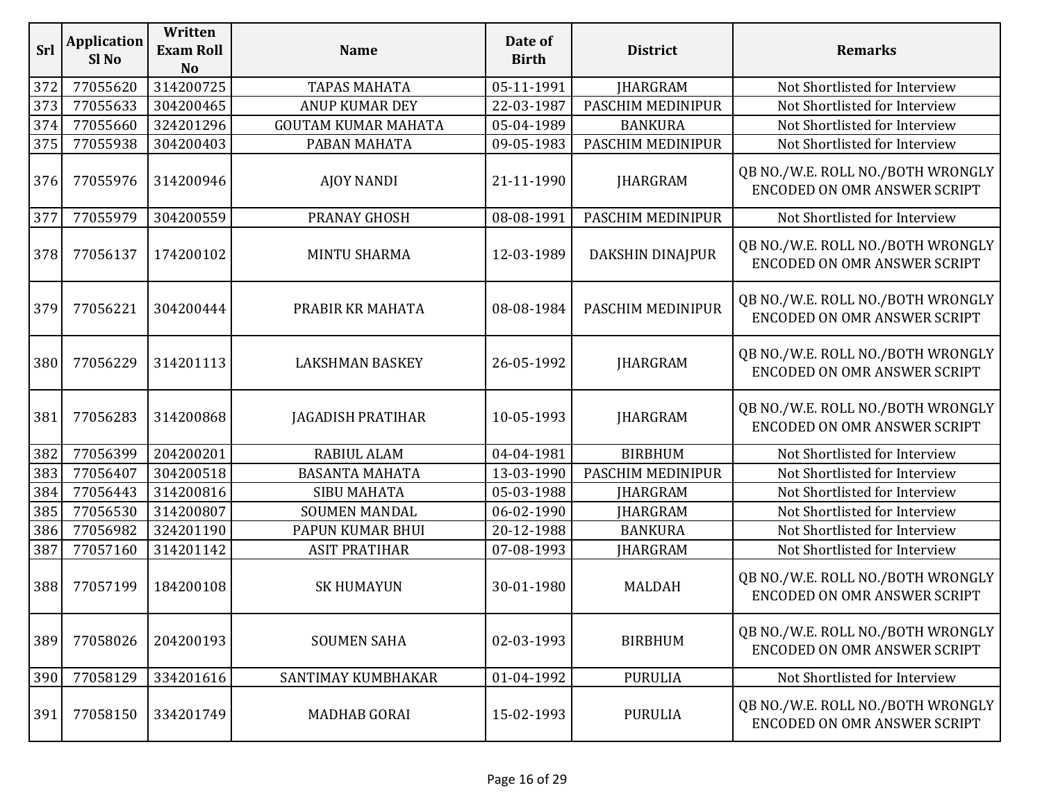| <b>Srl</b> | <b>Application</b><br>Sl <sub>No</sub> | Written<br><b>Exam Roll</b><br><b>No</b> | <b>Name</b>                | Date of<br><b>Birth</b> | <b>District</b>         | <b>Remarks</b>                                                           |
|------------|----------------------------------------|------------------------------------------|----------------------------|-------------------------|-------------------------|--------------------------------------------------------------------------|
| 372        | 77055620                               | 314200725                                | <b>TAPAS MAHATA</b>        | 05-11-1991              | <b>JHARGRAM</b>         | Not Shortlisted for Interview                                            |
| 373        | 77055633                               | 304200465                                | <b>ANUP KUMAR DEY</b>      | 22-03-1987              | PASCHIM MEDINIPUR       | Not Shortlisted for Interview                                            |
| 374        | 77055660                               | 324201296                                | <b>GOUTAM KUMAR MAHATA</b> | 05-04-1989              | <b>BANKURA</b>          | Not Shortlisted for Interview                                            |
| 375        | 77055938                               | 304200403                                | PABAN MAHATA               | 09-05-1983              | PASCHIM MEDINIPUR       | Not Shortlisted for Interview                                            |
| 376        | 77055976                               | 314200946                                | <b>AJOY NANDI</b>          | 21-11-1990              | <b>JHARGRAM</b>         | QB NO./W.E. ROLL NO./BOTH WRONGLY<br>ENCODED ON OMR ANSWER SCRIPT        |
| 377        | 77055979                               | 304200559                                | PRANAY GHOSH               | 08-08-1991              | PASCHIM MEDINIPUR       | Not Shortlisted for Interview                                            |
| 378        | 77056137                               | 174200102                                | <b>MINTU SHARMA</b>        | 12-03-1989              | <b>DAKSHIN DINAJPUR</b> | QB NO./W.E. ROLL NO./BOTH WRONGLY<br><b>ENCODED ON OMR ANSWER SCRIPT</b> |
| 379        | 77056221                               | 304200444                                | PRABIR KR MAHATA           | 08-08-1984              | PASCHIM MEDINIPUR       | QB NO./W.E. ROLL NO./BOTH WRONGLY<br><b>ENCODED ON OMR ANSWER SCRIPT</b> |
| 380        | 77056229                               | 314201113                                | <b>LAKSHMAN BASKEY</b>     | 26-05-1992              | <b>JHARGRAM</b>         | QB NO./W.E. ROLL NO./BOTH WRONGLY<br><b>ENCODED ON OMR ANSWER SCRIPT</b> |
| 381        | 77056283                               | 314200868                                | <b>JAGADISH PRATIHAR</b>   | 10-05-1993              | <b>JHARGRAM</b>         | QB NO./W.E. ROLL NO./BOTH WRONGLY<br><b>ENCODED ON OMR ANSWER SCRIPT</b> |
| 382        | 77056399                               | 204200201                                | RABIUL ALAM                | 04-04-1981              | <b>BIRBHUM</b>          | Not Shortlisted for Interview                                            |
| 383        | 77056407                               | 304200518                                | <b>BASANTA MAHATA</b>      | 13-03-1990              | PASCHIM MEDINIPUR       | Not Shortlisted for Interview                                            |
| 384        | 77056443                               | 314200816                                | <b>SIBU MAHATA</b>         | 05-03-1988              | <b>JHARGRAM</b>         | Not Shortlisted for Interview                                            |
| 385        | 77056530                               | 314200807                                | <b>SOUMEN MANDAL</b>       | 06-02-1990              | <b>JHARGRAM</b>         | Not Shortlisted for Interview                                            |
| 386        | 77056982                               | 324201190                                | PAPUN KUMAR BHUI           | 20-12-1988              | <b>BANKURA</b>          | Not Shortlisted for Interview                                            |
| 387        | 77057160                               | 314201142                                | <b>ASIT PRATIHAR</b>       | 07-08-1993              | <b>JHARGRAM</b>         | Not Shortlisted for Interview                                            |
| 388        | 77057199                               | 184200108                                | <b>SK HUMAYUN</b>          | 30-01-1980              | <b>MALDAH</b>           | QB NO./W.E. ROLL NO./BOTH WRONGLY<br><b>ENCODED ON OMR ANSWER SCRIPT</b> |
| 389        | 77058026                               | 204200193                                | <b>SOUMEN SAHA</b>         | 02-03-1993              | <b>BIRBHUM</b>          | QB NO./W.E. ROLL NO./BOTH WRONGLY<br>ENCODED ON OMR ANSWER SCRIPT        |
| 390        | 77058129                               | 334201616                                | SANTIMAY KUMBHAKAR         | 01-04-1992              | <b>PURULIA</b>          | Not Shortlisted for Interview                                            |
| 391        | 77058150                               | 334201749                                | <b>MADHAB GORAI</b>        | 15-02-1993              | <b>PURULIA</b>          | QB NO./W.E. ROLL NO./BOTH WRONGLY<br><b>ENCODED ON OMR ANSWER SCRIPT</b> |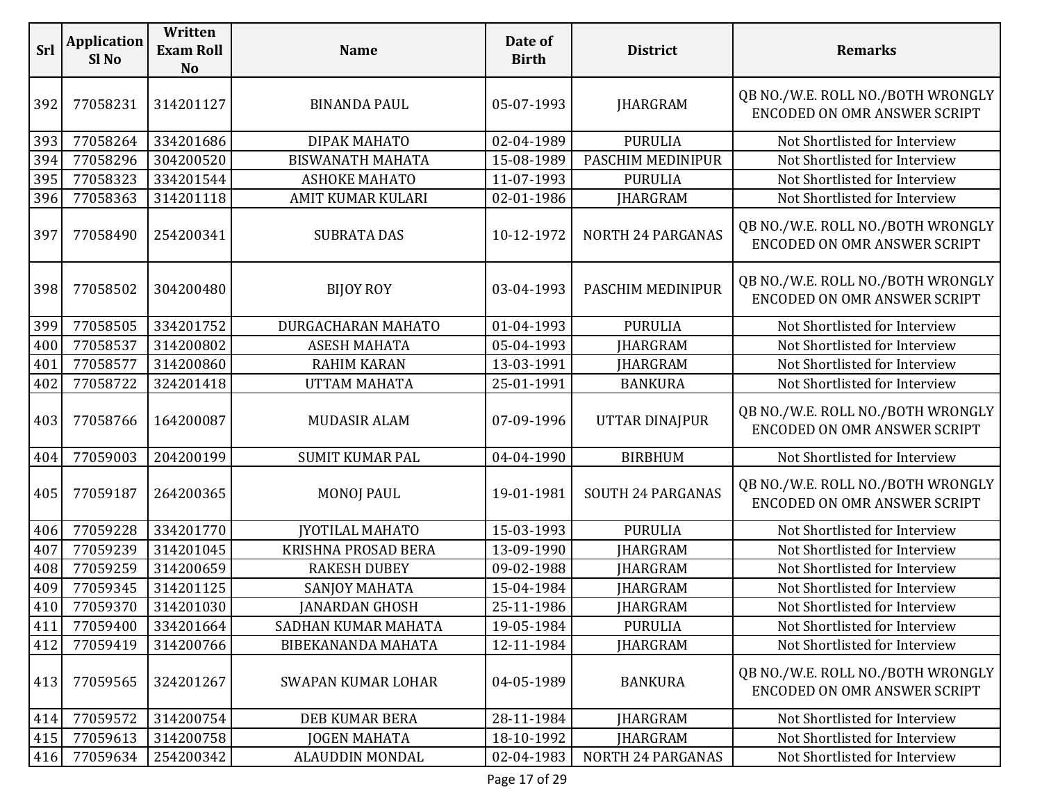| Srl | <b>Application</b><br>Sl <sub>No</sub> | Written<br><b>Exam Roll</b><br><b>No</b> | <b>Name</b>               | Date of<br><b>Birth</b> | <b>District</b>          | <b>Remarks</b>                                                           |
|-----|----------------------------------------|------------------------------------------|---------------------------|-------------------------|--------------------------|--------------------------------------------------------------------------|
| 392 | 77058231                               | 314201127                                | <b>BINANDA PAUL</b>       | 05-07-1993              | <b>JHARGRAM</b>          | QB NO./W.E. ROLL NO./BOTH WRONGLY<br>ENCODED ON OMR ANSWER SCRIPT        |
| 393 | 77058264                               | 334201686                                | DIPAK MAHATO              | 02-04-1989              | <b>PURULIA</b>           | Not Shortlisted for Interview                                            |
| 394 | 77058296                               | 304200520                                | <b>BISWANATH MAHATA</b>   | 15-08-1989              | PASCHIM MEDINIPUR        | Not Shortlisted for Interview                                            |
| 395 | 77058323                               | 334201544                                | <b>ASHOKE MAHATO</b>      | 11-07-1993              | <b>PURULIA</b>           | Not Shortlisted for Interview                                            |
| 396 | 77058363                               | 314201118                                | AMIT KUMAR KULARI         | 02-01-1986              | <b>JHARGRAM</b>          | Not Shortlisted for Interview                                            |
| 397 | 77058490                               | 254200341                                | <b>SUBRATA DAS</b>        | 10-12-1972              | <b>NORTH 24 PARGANAS</b> | QB NO./W.E. ROLL NO./BOTH WRONGLY<br>ENCODED ON OMR ANSWER SCRIPT        |
| 398 | 77058502                               | 304200480                                | <b>BIJOY ROY</b>          | 03-04-1993              | PASCHIM MEDINIPUR        | QB NO./W.E. ROLL NO./BOTH WRONGLY<br><b>ENCODED ON OMR ANSWER SCRIPT</b> |
| 399 | 77058505                               | 334201752                                | DURGACHARAN MAHATO        | 01-04-1993              | <b>PURULIA</b>           | Not Shortlisted for Interview                                            |
| 400 | 77058537                               | 314200802                                | <b>ASESH MAHATA</b>       | 05-04-1993              | <b>JHARGRAM</b>          | Not Shortlisted for Interview                                            |
| 401 | 77058577                               | 314200860                                | <b>RAHIM KARAN</b>        | 13-03-1991              | <b>JHARGRAM</b>          | Not Shortlisted for Interview                                            |
| 402 | 77058722                               | 324201418                                | <b>UTTAM MAHATA</b>       | 25-01-1991              | <b>BANKURA</b>           | Not Shortlisted for Interview                                            |
| 403 | 77058766                               | 164200087                                | <b>MUDASIR ALAM</b>       | 07-09-1996              | <b>UTTAR DINAJPUR</b>    | QB NO./W.E. ROLL NO./BOTH WRONGLY<br>ENCODED ON OMR ANSWER SCRIPT        |
| 404 | 77059003                               | 204200199                                | <b>SUMIT KUMAR PAL</b>    | 04-04-1990              | <b>BIRBHUM</b>           | Not Shortlisted for Interview                                            |
| 405 | 77059187                               | 264200365                                | <b>MONOJ PAUL</b>         | 19-01-1981              | <b>SOUTH 24 PARGANAS</b> | QB NO./W.E. ROLL NO./BOTH WRONGLY<br>ENCODED ON OMR ANSWER SCRIPT        |
| 406 | 77059228                               | 334201770                                | <b>JYOTILAL MAHATO</b>    | 15-03-1993              | <b>PURULIA</b>           | Not Shortlisted for Interview                                            |
| 407 | 77059239                               | 314201045                                | KRISHNA PROSAD BERA       | 13-09-1990              | <b>IHARGRAM</b>          | Not Shortlisted for Interview                                            |
| 408 | 77059259                               | 314200659                                | <b>RAKESH DUBEY</b>       | 09-02-1988              | <b>JHARGRAM</b>          | Not Shortlisted for Interview                                            |
| 409 | 77059345                               | 314201125                                | SANJOY MAHATA             | 15-04-1984              | <b>JHARGRAM</b>          | Not Shortlisted for Interview                                            |
| 410 | 77059370                               | 314201030                                | <b>JANARDAN GHOSH</b>     | 25-11-1986              | <b>JHARGRAM</b>          | Not Shortlisted for Interview                                            |
| 411 | 77059400                               | 334201664                                | SADHAN KUMAR MAHATA       | 19-05-1984              | <b>PURULIA</b>           | Not Shortlisted for Interview                                            |
| 412 | 77059419                               | 314200766                                | <b>BIBEKANANDA MAHATA</b> | 12-11-1984              | JHARGRAM                 | Not Shortlisted for Interview                                            |
| 413 | 77059565                               | 324201267                                | <b>SWAPAN KUMAR LOHAR</b> | 04-05-1989              | <b>BANKURA</b>           | QB NO./W.E. ROLL NO./BOTH WRONGLY<br><b>ENCODED ON OMR ANSWER SCRIPT</b> |
| 414 | 77059572                               | 314200754                                | DEB KUMAR BERA            | 28-11-1984              | <b>JHARGRAM</b>          | Not Shortlisted for Interview                                            |
| 415 | 77059613                               | 314200758                                | <b>JOGEN MAHATA</b>       | 18-10-1992              | <b>JHARGRAM</b>          | Not Shortlisted for Interview                                            |
| 416 | 77059634                               | 254200342                                | <b>ALAUDDIN MONDAL</b>    | 02-04-1983              | <b>NORTH 24 PARGANAS</b> | Not Shortlisted for Interview                                            |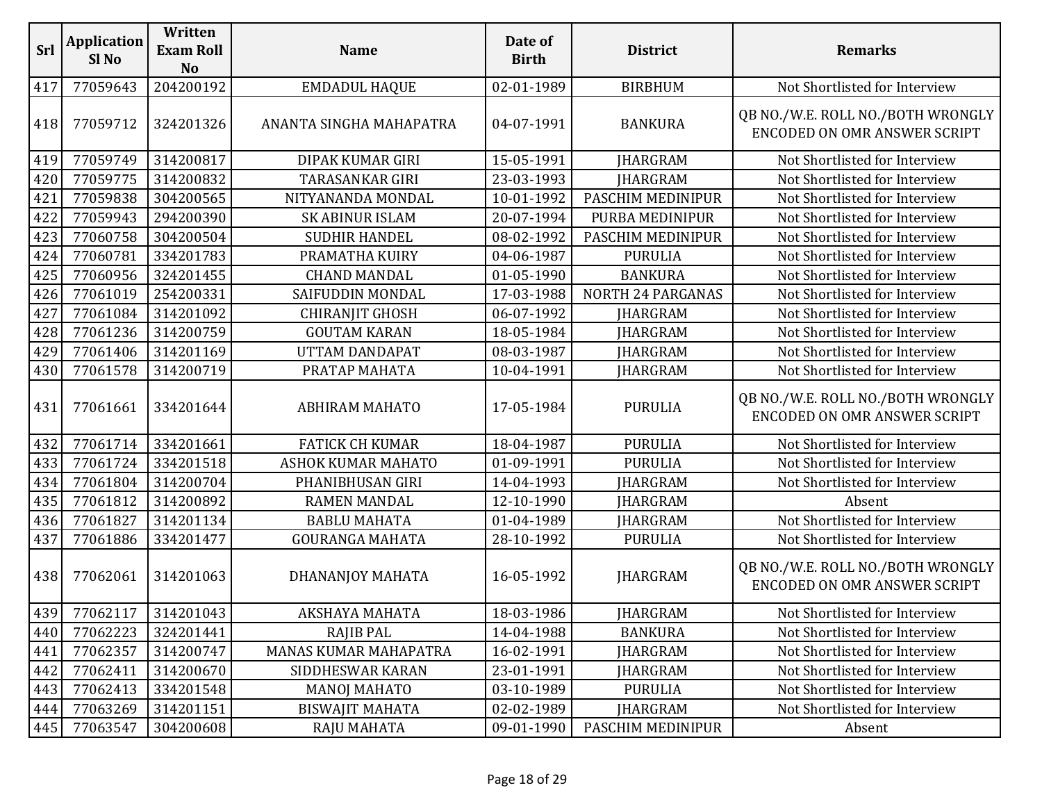| Srl | <b>Application</b><br>Sl No | Written<br><b>Exam Roll</b><br><b>No</b> | <b>Name</b>               | Date of<br><b>Birth</b> | <b>District</b>   | <b>Remarks</b>                                                    |
|-----|-----------------------------|------------------------------------------|---------------------------|-------------------------|-------------------|-------------------------------------------------------------------|
| 417 | 77059643                    | 204200192                                | <b>EMDADUL HAQUE</b>      | 02-01-1989              | <b>BIRBHUM</b>    | Not Shortlisted for Interview                                     |
| 418 | 77059712                    | 324201326                                | ANANTA SINGHA MAHAPATRA   | 04-07-1991              | <b>BANKURA</b>    | QB NO./W.E. ROLL NO./BOTH WRONGLY<br>ENCODED ON OMR ANSWER SCRIPT |
| 419 | 77059749                    | 314200817                                | DIPAK KUMAR GIRI          | 15-05-1991              | <b>JHARGRAM</b>   | Not Shortlisted for Interview                                     |
| 420 | 77059775                    | 314200832                                | <b>TARASANKAR GIRI</b>    | 23-03-1993              | <b>JHARGRAM</b>   | Not Shortlisted for Interview                                     |
| 421 | 77059838                    | 304200565                                | NITYANANDA MONDAL         | 10-01-1992              | PASCHIM MEDINIPUR | Not Shortlisted for Interview                                     |
| 422 | 77059943                    | 294200390                                | <b>SK ABINUR ISLAM</b>    | 20-07-1994              | PURBA MEDINIPUR   | Not Shortlisted for Interview                                     |
| 423 | 77060758                    | 304200504                                | <b>SUDHIR HANDEL</b>      | 08-02-1992              | PASCHIM MEDINIPUR | Not Shortlisted for Interview                                     |
| 424 | 77060781                    | 334201783                                | PRAMATHA KUIRY            | 04-06-1987              | <b>PURULIA</b>    | Not Shortlisted for Interview                                     |
| 425 | 77060956                    | 324201455                                | <b>CHAND MANDAL</b>       | 01-05-1990              | <b>BANKURA</b>    | Not Shortlisted for Interview                                     |
| 426 | 77061019                    | 254200331                                | SAIFUDDIN MONDAL          | 17-03-1988              | NORTH 24 PARGANAS | Not Shortlisted for Interview                                     |
| 427 | 77061084                    | 314201092                                | <b>CHIRANJIT GHOSH</b>    | 06-07-1992              | <b>IHARGRAM</b>   | Not Shortlisted for Interview                                     |
| 428 | 77061236                    | 314200759                                | <b>GOUTAM KARAN</b>       | 18-05-1984              | <b>JHARGRAM</b>   | Not Shortlisted for Interview                                     |
| 429 | 77061406                    | 314201169                                | <b>UTTAM DANDAPAT</b>     | 08-03-1987              | <b>JHARGRAM</b>   | Not Shortlisted for Interview                                     |
| 430 | 77061578                    | 314200719                                | PRATAP MAHATA             | 10-04-1991              | <b>JHARGRAM</b>   | Not Shortlisted for Interview                                     |
| 431 | 77061661                    | 334201644                                | <b>ABHIRAM MAHATO</b>     | 17-05-1984              | <b>PURULIA</b>    | QB NO./W.E. ROLL NO./BOTH WRONGLY<br>ENCODED ON OMR ANSWER SCRIPT |
| 432 | 77061714                    | 334201661                                | <b>FATICK CH KUMAR</b>    | 18-04-1987              | <b>PURULIA</b>    | Not Shortlisted for Interview                                     |
| 433 | 77061724                    | 334201518                                | <b>ASHOK KUMAR MAHATO</b> | 01-09-1991              | <b>PURULIA</b>    | Not Shortlisted for Interview                                     |
| 434 | 77061804                    | 314200704                                | PHANIBHUSAN GIRI          | 14-04-1993              | JHARGRAM          | Not Shortlisted for Interview                                     |
| 435 | 77061812                    | 314200892                                | <b>RAMEN MANDAL</b>       | 12-10-1990              | <b>JHARGRAM</b>   | Absent                                                            |
| 436 | 77061827                    | 314201134                                | <b>BABLU MAHATA</b>       | 01-04-1989              | <b>JHARGRAM</b>   | Not Shortlisted for Interview                                     |
| 437 | 77061886                    | 334201477                                | <b>GOURANGA MAHATA</b>    | 28-10-1992              | <b>PURULIA</b>    | Not Shortlisted for Interview                                     |
| 438 | 77062061                    | 314201063                                | DHANANJOY MAHATA          | 16-05-1992              | <b>JHARGRAM</b>   | QB NO./W.E. ROLL NO./BOTH WRONGLY<br>ENCODED ON OMR ANSWER SCRIPT |
|     | 439 77062117 314201043      |                                          | <b>AKSHAYA MAHATA</b>     | 18-03-1986              | <b>JHARGRAM</b>   | Not Shortlisted for Interview                                     |
| 440 | 77062223                    | 324201441                                | RAJIB PAL                 | 14-04-1988              | <b>BANKURA</b>    | Not Shortlisted for Interview                                     |
| 441 | 77062357                    | 314200747                                | MANAS KUMAR MAHAPATRA     | 16-02-1991              | <b>IHARGRAM</b>   | Not Shortlisted for Interview                                     |
| 442 | 77062411                    | 314200670                                | SIDDHESWAR KARAN          | 23-01-1991              | <b>IHARGRAM</b>   | Not Shortlisted for Interview                                     |
| 443 | 77062413                    | 334201548                                | <b>MANOJ MAHATO</b>       | 03-10-1989              | <b>PURULIA</b>    | Not Shortlisted for Interview                                     |
| 444 | 77063269                    | 314201151                                | <b>BISWAJIT MAHATA</b>    | 02-02-1989              | <b>JHARGRAM</b>   | Not Shortlisted for Interview                                     |
| 445 | 77063547                    | 304200608                                | <b>RAJU MAHATA</b>        | 09-01-1990              | PASCHIM MEDINIPUR | Absent                                                            |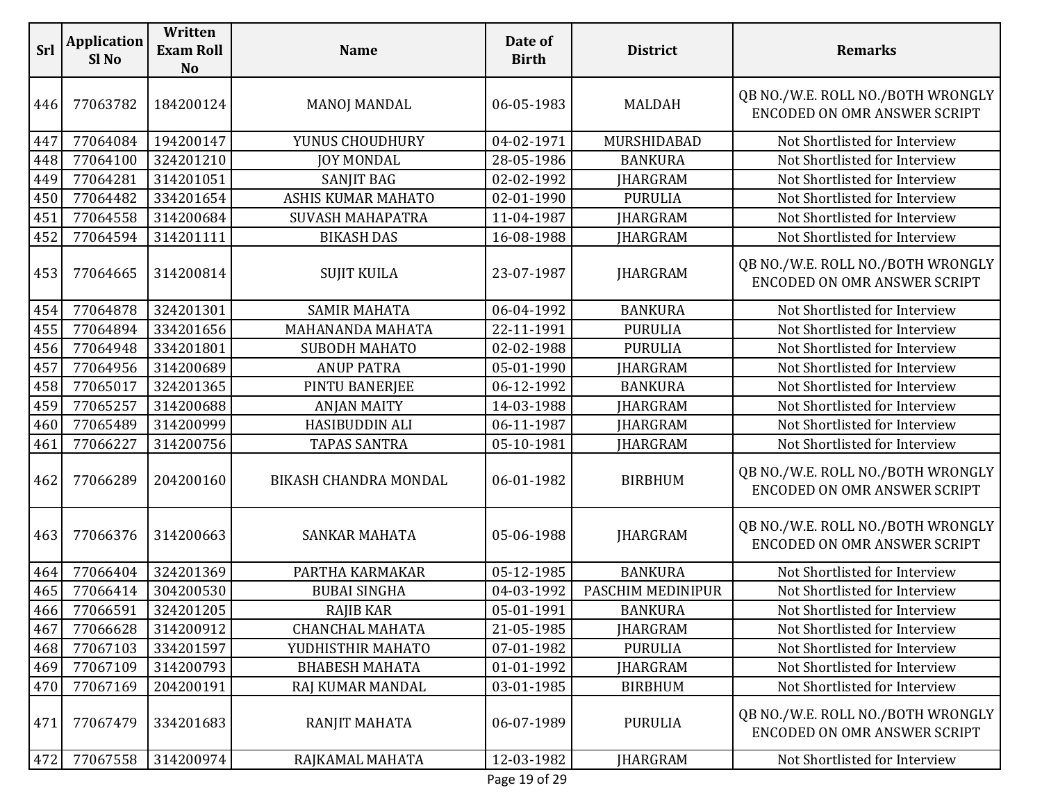| Srl | <b>Application</b><br>Sl No | Written<br><b>Exam Roll</b><br><b>No</b> | <b>Name</b>               | Date of<br><b>Birth</b> | <b>District</b>   | <b>Remarks</b>                                                           |
|-----|-----------------------------|------------------------------------------|---------------------------|-------------------------|-------------------|--------------------------------------------------------------------------|
| 446 | 77063782                    | 184200124                                | <b>MANOJ MANDAL</b>       | 06-05-1983              | <b>MALDAH</b>     | QB NO./W.E. ROLL NO./BOTH WRONGLY<br><b>ENCODED ON OMR ANSWER SCRIPT</b> |
| 447 | 77064084                    | 194200147                                | YUNUS CHOUDHURY           | 04-02-1971              | MURSHIDABAD       | Not Shortlisted for Interview                                            |
| 448 | 77064100                    | 324201210                                | <b>JOY MONDAL</b>         | 28-05-1986              | <b>BANKURA</b>    | Not Shortlisted for Interview                                            |
| 449 | 77064281                    | 314201051                                | SANJIT BAG                | 02-02-1992              | <b>JHARGRAM</b>   | Not Shortlisted for Interview                                            |
| 450 | 77064482                    | 334201654                                | <b>ASHIS KUMAR MAHATO</b> | 02-01-1990              | <b>PURULIA</b>    | Not Shortlisted for Interview                                            |
| 451 | 77064558                    | 314200684                                | <b>SUVASH MAHAPATRA</b>   | 11-04-1987              | <b>JHARGRAM</b>   | Not Shortlisted for Interview                                            |
| 452 | 77064594                    | 314201111                                | <b>BIKASH DAS</b>         | 16-08-1988              | <b>JHARGRAM</b>   | Not Shortlisted for Interview                                            |
| 453 | 77064665                    | 314200814                                | <b>SUJIT KUILA</b>        | 23-07-1987              | <b>JHARGRAM</b>   | QB NO./W.E. ROLL NO./BOTH WRONGLY<br><b>ENCODED ON OMR ANSWER SCRIPT</b> |
| 454 | 77064878                    | 324201301                                | <b>SAMIR MAHATA</b>       | 06-04-1992              | <b>BANKURA</b>    | Not Shortlisted for Interview                                            |
| 455 | 77064894                    | 334201656                                | MAHANANDA MAHATA          | 22-11-1991              | <b>PURULIA</b>    | Not Shortlisted for Interview                                            |
| 456 | 77064948                    | 334201801                                | SUBODH MAHATO             | 02-02-1988              | <b>PURULIA</b>    | Not Shortlisted for Interview                                            |
| 457 | 77064956                    | 314200689                                | <b>ANUP PATRA</b>         | 05-01-1990              | <b>JHARGRAM</b>   | Not Shortlisted for Interview                                            |
| 458 | 77065017                    | 324201365                                | PINTU BANERJEE            | 06-12-1992              | <b>BANKURA</b>    | Not Shortlisted for Interview                                            |
| 459 | 77065257                    | 314200688                                | <b>ANJAN MAITY</b>        | 14-03-1988              | <b>JHARGRAM</b>   | Not Shortlisted for Interview                                            |
| 460 | 77065489                    | 314200999                                | HASIBUDDIN ALI            | 06-11-1987              | <b>JHARGRAM</b>   | Not Shortlisted for Interview                                            |
| 461 | 77066227                    | 314200756                                | <b>TAPAS SANTRA</b>       | 05-10-1981              | <b>JHARGRAM</b>   | Not Shortlisted for Interview                                            |
| 462 | 77066289                    | 204200160                                | BIKASH CHANDRA MONDAL     | 06-01-1982              | <b>BIRBHUM</b>    | QB NO./W.E. ROLL NO./BOTH WRONGLY<br><b>ENCODED ON OMR ANSWER SCRIPT</b> |
| 463 | 77066376                    | 314200663                                | <b>SANKAR MAHATA</b>      | 05-06-1988              | <b>JHARGRAM</b>   | QB NO./W.E. ROLL NO./BOTH WRONGLY<br><b>ENCODED ON OMR ANSWER SCRIPT</b> |
| 464 | 77066404                    | 324201369                                | PARTHA KARMAKAR           | 05-12-1985              | <b>BANKURA</b>    | Not Shortlisted for Interview                                            |
| 465 | 77066414                    | 304200530                                | <b>BUBAI SINGHA</b>       | 04-03-1992              | PASCHIM MEDINIPUR | Not Shortlisted for Interview                                            |
| 466 |                             | 77066591 324201205                       | RAJIB KAR                 | 05-01-1991              | <b>BANKURA</b>    | Not Shortlisted for Interview                                            |
| 467 | 77066628                    | 314200912                                | <b>CHANCHAL MAHATA</b>    | 21-05-1985              | <b>JHARGRAM</b>   | Not Shortlisted for Interview                                            |
| 468 | 77067103                    | 334201597                                | YUDHISTHIR MAHATO         | 07-01-1982              | <b>PURULIA</b>    | Not Shortlisted for Interview                                            |
| 469 | 77067109                    | 314200793                                | <b>BHABESH MAHATA</b>     | 01-01-1992              | JHARGRAM          | Not Shortlisted for Interview                                            |
| 470 | 77067169                    | 204200191                                | RAJ KUMAR MANDAL          | 03-01-1985              | <b>BIRBHUM</b>    | Not Shortlisted for Interview                                            |
| 471 | 77067479                    | 334201683                                | RANJIT MAHATA             | 06-07-1989              | <b>PURULIA</b>    | QB NO./W.E. ROLL NO./BOTH WRONGLY<br>ENCODED ON OMR ANSWER SCRIPT        |
| 472 | 77067558                    | 314200974                                | RAJKAMAL MAHATA           | 12-03-1982              | <b>JHARGRAM</b>   | Not Shortlisted for Interview                                            |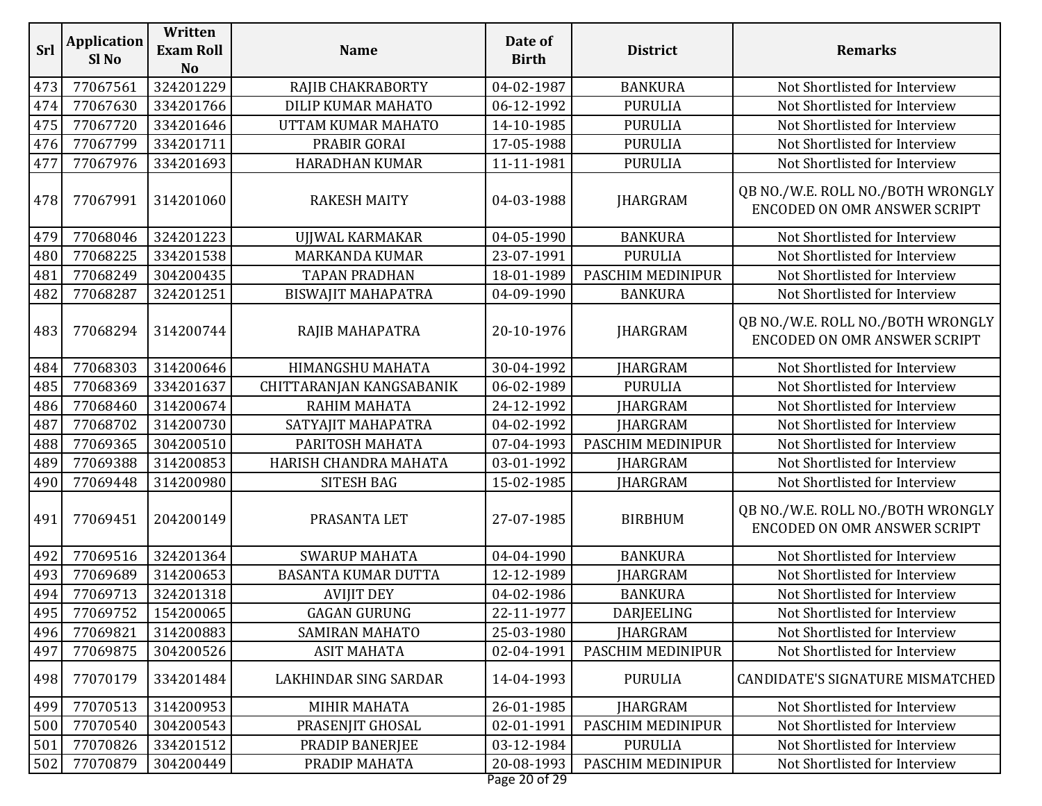| 324201229<br>473<br>77067561<br>RAJIB CHAKRABORTY<br>04-02-1987<br><b>BANKURA</b><br>334201766<br>474<br>77067630<br>DILIP KUMAR MAHATO<br>06-12-1992<br><b>PURULIA</b><br>334201646<br>475<br>77067720<br>14-10-1985<br>UTTAM KUMAR MAHATO<br><b>PURULIA</b><br>77067799<br>334201711<br>17-05-1988<br>476<br>PRABIR GORAI<br><b>PURULIA</b><br>477<br>334201693<br>11-11-1981<br>77067976<br><b>HARADHAN KUMAR</b><br><b>PURULIA</b><br>478<br>77067991<br>314201060<br><b>JHARGRAM</b><br><b>RAKESH MAITY</b><br>04-03-1988<br>324201223<br>479<br>77068046<br>04-05-1990<br><b>BANKURA</b><br>UJJWAL KARMAKAR<br>334201538<br>480<br>77068225<br>23-07-1991<br><b>PURULIA</b><br><b>MARKANDA KUMAR</b><br>481<br>77068249<br>304200435<br>18-01-1989<br>PASCHIM MEDINIPUR<br><b>TAPAN PRADHAN</b><br>324201251<br>482<br>77068287<br>04-09-1990<br><b>BISWAJIT MAHAPATRA</b><br><b>BANKURA</b><br>77068294<br>314200744<br>20-10-1976<br><b>JHARGRAM</b><br>483<br>RAJIB MAHAPATRA<br>77068303<br>314200646<br>30-04-1992<br>484<br>HIMANGSHU MAHATA<br><b>JHARGRAM</b><br>485<br>334201637<br>77068369<br>CHITTARANJAN KANGSABANIK<br>06-02-1989<br><b>PURULIA</b><br>486<br>77068460<br>314200674<br>24-12-1992<br>RAHIM MAHATA<br><b>JHARGRAM</b><br>487<br>77068702<br>314200730<br>04-02-1992<br><b>JHARGRAM</b><br>SATYAJIT MAHAPATRA<br>488<br>77069365<br>304200510<br>07-04-1993<br>PARITOSH MAHATA<br>PASCHIM MEDINIPUR<br>489<br>314200853<br>03-01-1992<br>77069388<br>HARISH CHANDRA MAHATA<br><b>JHARGRAM</b><br>490<br>77069448<br>314200980<br><b>SITESH BAG</b><br>15-02-1985<br><b>JHARGRAM</b><br>204200149<br>27-07-1985<br>491<br>77069451<br>PRASANTA LET<br><b>BIRBHUM</b><br>324201364<br>492<br>77069516<br><b>SWARUP MAHATA</b><br>04-04-1990<br><b>BANKURA</b><br>493<br>77069689<br>314200653<br>12-12-1989<br><b>BASANTA KUMAR DUTTA</b><br><b>JHARGRAM</b><br>324201318<br>494<br>77069713<br><b>AVIJIT DEY</b><br>04-02-1986<br><b>BANKURA</b><br>495<br>77069752<br>154200065<br><b>GAGAN GURUNG</b><br>22-11-1977<br>DARJEELING<br>496<br>77069821<br>314200883<br><b>SAMIRAN MAHATO</b><br>25-03-1980<br><b>JHARGRAM</b><br>304200526<br>497<br>77069875<br><b>ASIT MAHATA</b><br>02-04-1991<br>PASCHIM MEDINIPUR<br>498<br>334201484<br>LAKHINDAR SING SARDAR<br><b>PURULIA</b><br>77070179<br>14-04-1993 | Srl | <b>Application</b><br>Sl <sub>No</sub> | Written<br><b>Exam Roll</b><br><b>No</b> | <b>Name</b> | Date of<br><b>Birth</b> | <b>District</b> | <b>Remarks</b>                                                           |
|--------------------------------------------------------------------------------------------------------------------------------------------------------------------------------------------------------------------------------------------------------------------------------------------------------------------------------------------------------------------------------------------------------------------------------------------------------------------------------------------------------------------------------------------------------------------------------------------------------------------------------------------------------------------------------------------------------------------------------------------------------------------------------------------------------------------------------------------------------------------------------------------------------------------------------------------------------------------------------------------------------------------------------------------------------------------------------------------------------------------------------------------------------------------------------------------------------------------------------------------------------------------------------------------------------------------------------------------------------------------------------------------------------------------------------------------------------------------------------------------------------------------------------------------------------------------------------------------------------------------------------------------------------------------------------------------------------------------------------------------------------------------------------------------------------------------------------------------------------------------------------------------------------------------------------------------------------------------------------------------------------------------------------------------------------------------------------------------------------------------------------------------------------------------------------------------------------------------------------------------------------------------------------------------------------------------------------------------------|-----|----------------------------------------|------------------------------------------|-------------|-------------------------|-----------------|--------------------------------------------------------------------------|
|                                                                                                                                                                                                                                                                                                                                                                                                                                                                                                                                                                                                                                                                                                                                                                                                                                                                                                                                                                                                                                                                                                                                                                                                                                                                                                                                                                                                                                                                                                                                                                                                                                                                                                                                                                                                                                                                                                                                                                                                                                                                                                                                                                                                                                                                                                                                                  |     |                                        |                                          |             |                         |                 | Not Shortlisted for Interview                                            |
|                                                                                                                                                                                                                                                                                                                                                                                                                                                                                                                                                                                                                                                                                                                                                                                                                                                                                                                                                                                                                                                                                                                                                                                                                                                                                                                                                                                                                                                                                                                                                                                                                                                                                                                                                                                                                                                                                                                                                                                                                                                                                                                                                                                                                                                                                                                                                  |     |                                        |                                          |             |                         |                 | Not Shortlisted for Interview                                            |
|                                                                                                                                                                                                                                                                                                                                                                                                                                                                                                                                                                                                                                                                                                                                                                                                                                                                                                                                                                                                                                                                                                                                                                                                                                                                                                                                                                                                                                                                                                                                                                                                                                                                                                                                                                                                                                                                                                                                                                                                                                                                                                                                                                                                                                                                                                                                                  |     |                                        |                                          |             |                         |                 | Not Shortlisted for Interview                                            |
|                                                                                                                                                                                                                                                                                                                                                                                                                                                                                                                                                                                                                                                                                                                                                                                                                                                                                                                                                                                                                                                                                                                                                                                                                                                                                                                                                                                                                                                                                                                                                                                                                                                                                                                                                                                                                                                                                                                                                                                                                                                                                                                                                                                                                                                                                                                                                  |     |                                        |                                          |             |                         |                 | Not Shortlisted for Interview                                            |
|                                                                                                                                                                                                                                                                                                                                                                                                                                                                                                                                                                                                                                                                                                                                                                                                                                                                                                                                                                                                                                                                                                                                                                                                                                                                                                                                                                                                                                                                                                                                                                                                                                                                                                                                                                                                                                                                                                                                                                                                                                                                                                                                                                                                                                                                                                                                                  |     |                                        |                                          |             |                         |                 | Not Shortlisted for Interview                                            |
|                                                                                                                                                                                                                                                                                                                                                                                                                                                                                                                                                                                                                                                                                                                                                                                                                                                                                                                                                                                                                                                                                                                                                                                                                                                                                                                                                                                                                                                                                                                                                                                                                                                                                                                                                                                                                                                                                                                                                                                                                                                                                                                                                                                                                                                                                                                                                  |     |                                        |                                          |             |                         |                 | QB NO./W.E. ROLL NO./BOTH WRONGLY<br>ENCODED ON OMR ANSWER SCRIPT        |
|                                                                                                                                                                                                                                                                                                                                                                                                                                                                                                                                                                                                                                                                                                                                                                                                                                                                                                                                                                                                                                                                                                                                                                                                                                                                                                                                                                                                                                                                                                                                                                                                                                                                                                                                                                                                                                                                                                                                                                                                                                                                                                                                                                                                                                                                                                                                                  |     |                                        |                                          |             |                         |                 | Not Shortlisted for Interview                                            |
|                                                                                                                                                                                                                                                                                                                                                                                                                                                                                                                                                                                                                                                                                                                                                                                                                                                                                                                                                                                                                                                                                                                                                                                                                                                                                                                                                                                                                                                                                                                                                                                                                                                                                                                                                                                                                                                                                                                                                                                                                                                                                                                                                                                                                                                                                                                                                  |     |                                        |                                          |             |                         |                 | Not Shortlisted for Interview                                            |
|                                                                                                                                                                                                                                                                                                                                                                                                                                                                                                                                                                                                                                                                                                                                                                                                                                                                                                                                                                                                                                                                                                                                                                                                                                                                                                                                                                                                                                                                                                                                                                                                                                                                                                                                                                                                                                                                                                                                                                                                                                                                                                                                                                                                                                                                                                                                                  |     |                                        |                                          |             |                         |                 | Not Shortlisted for Interview                                            |
|                                                                                                                                                                                                                                                                                                                                                                                                                                                                                                                                                                                                                                                                                                                                                                                                                                                                                                                                                                                                                                                                                                                                                                                                                                                                                                                                                                                                                                                                                                                                                                                                                                                                                                                                                                                                                                                                                                                                                                                                                                                                                                                                                                                                                                                                                                                                                  |     |                                        |                                          |             |                         |                 | Not Shortlisted for Interview                                            |
|                                                                                                                                                                                                                                                                                                                                                                                                                                                                                                                                                                                                                                                                                                                                                                                                                                                                                                                                                                                                                                                                                                                                                                                                                                                                                                                                                                                                                                                                                                                                                                                                                                                                                                                                                                                                                                                                                                                                                                                                                                                                                                                                                                                                                                                                                                                                                  |     |                                        |                                          |             |                         |                 | QB NO./W.E. ROLL NO./BOTH WRONGLY<br>ENCODED ON OMR ANSWER SCRIPT        |
|                                                                                                                                                                                                                                                                                                                                                                                                                                                                                                                                                                                                                                                                                                                                                                                                                                                                                                                                                                                                                                                                                                                                                                                                                                                                                                                                                                                                                                                                                                                                                                                                                                                                                                                                                                                                                                                                                                                                                                                                                                                                                                                                                                                                                                                                                                                                                  |     |                                        |                                          |             |                         |                 | Not Shortlisted for Interview                                            |
|                                                                                                                                                                                                                                                                                                                                                                                                                                                                                                                                                                                                                                                                                                                                                                                                                                                                                                                                                                                                                                                                                                                                                                                                                                                                                                                                                                                                                                                                                                                                                                                                                                                                                                                                                                                                                                                                                                                                                                                                                                                                                                                                                                                                                                                                                                                                                  |     |                                        |                                          |             |                         |                 | Not Shortlisted for Interview                                            |
|                                                                                                                                                                                                                                                                                                                                                                                                                                                                                                                                                                                                                                                                                                                                                                                                                                                                                                                                                                                                                                                                                                                                                                                                                                                                                                                                                                                                                                                                                                                                                                                                                                                                                                                                                                                                                                                                                                                                                                                                                                                                                                                                                                                                                                                                                                                                                  |     |                                        |                                          |             |                         |                 | Not Shortlisted for Interview                                            |
|                                                                                                                                                                                                                                                                                                                                                                                                                                                                                                                                                                                                                                                                                                                                                                                                                                                                                                                                                                                                                                                                                                                                                                                                                                                                                                                                                                                                                                                                                                                                                                                                                                                                                                                                                                                                                                                                                                                                                                                                                                                                                                                                                                                                                                                                                                                                                  |     |                                        |                                          |             |                         |                 | Not Shortlisted for Interview                                            |
|                                                                                                                                                                                                                                                                                                                                                                                                                                                                                                                                                                                                                                                                                                                                                                                                                                                                                                                                                                                                                                                                                                                                                                                                                                                                                                                                                                                                                                                                                                                                                                                                                                                                                                                                                                                                                                                                                                                                                                                                                                                                                                                                                                                                                                                                                                                                                  |     |                                        |                                          |             |                         |                 | Not Shortlisted for Interview                                            |
|                                                                                                                                                                                                                                                                                                                                                                                                                                                                                                                                                                                                                                                                                                                                                                                                                                                                                                                                                                                                                                                                                                                                                                                                                                                                                                                                                                                                                                                                                                                                                                                                                                                                                                                                                                                                                                                                                                                                                                                                                                                                                                                                                                                                                                                                                                                                                  |     |                                        |                                          |             |                         |                 | Not Shortlisted for Interview                                            |
|                                                                                                                                                                                                                                                                                                                                                                                                                                                                                                                                                                                                                                                                                                                                                                                                                                                                                                                                                                                                                                                                                                                                                                                                                                                                                                                                                                                                                                                                                                                                                                                                                                                                                                                                                                                                                                                                                                                                                                                                                                                                                                                                                                                                                                                                                                                                                  |     |                                        |                                          |             |                         |                 | Not Shortlisted for Interview                                            |
|                                                                                                                                                                                                                                                                                                                                                                                                                                                                                                                                                                                                                                                                                                                                                                                                                                                                                                                                                                                                                                                                                                                                                                                                                                                                                                                                                                                                                                                                                                                                                                                                                                                                                                                                                                                                                                                                                                                                                                                                                                                                                                                                                                                                                                                                                                                                                  |     |                                        |                                          |             |                         |                 | QB NO./W.E. ROLL NO./BOTH WRONGLY<br><b>ENCODED ON OMR ANSWER SCRIPT</b> |
|                                                                                                                                                                                                                                                                                                                                                                                                                                                                                                                                                                                                                                                                                                                                                                                                                                                                                                                                                                                                                                                                                                                                                                                                                                                                                                                                                                                                                                                                                                                                                                                                                                                                                                                                                                                                                                                                                                                                                                                                                                                                                                                                                                                                                                                                                                                                                  |     |                                        |                                          |             |                         |                 | Not Shortlisted for Interview                                            |
|                                                                                                                                                                                                                                                                                                                                                                                                                                                                                                                                                                                                                                                                                                                                                                                                                                                                                                                                                                                                                                                                                                                                                                                                                                                                                                                                                                                                                                                                                                                                                                                                                                                                                                                                                                                                                                                                                                                                                                                                                                                                                                                                                                                                                                                                                                                                                  |     |                                        |                                          |             |                         |                 | Not Shortlisted for Interview                                            |
|                                                                                                                                                                                                                                                                                                                                                                                                                                                                                                                                                                                                                                                                                                                                                                                                                                                                                                                                                                                                                                                                                                                                                                                                                                                                                                                                                                                                                                                                                                                                                                                                                                                                                                                                                                                                                                                                                                                                                                                                                                                                                                                                                                                                                                                                                                                                                  |     |                                        |                                          |             |                         |                 | Not Shortlisted for Interview                                            |
|                                                                                                                                                                                                                                                                                                                                                                                                                                                                                                                                                                                                                                                                                                                                                                                                                                                                                                                                                                                                                                                                                                                                                                                                                                                                                                                                                                                                                                                                                                                                                                                                                                                                                                                                                                                                                                                                                                                                                                                                                                                                                                                                                                                                                                                                                                                                                  |     |                                        |                                          |             |                         |                 | Not Shortlisted for Interview                                            |
|                                                                                                                                                                                                                                                                                                                                                                                                                                                                                                                                                                                                                                                                                                                                                                                                                                                                                                                                                                                                                                                                                                                                                                                                                                                                                                                                                                                                                                                                                                                                                                                                                                                                                                                                                                                                                                                                                                                                                                                                                                                                                                                                                                                                                                                                                                                                                  |     |                                        |                                          |             |                         |                 | Not Shortlisted for Interview                                            |
|                                                                                                                                                                                                                                                                                                                                                                                                                                                                                                                                                                                                                                                                                                                                                                                                                                                                                                                                                                                                                                                                                                                                                                                                                                                                                                                                                                                                                                                                                                                                                                                                                                                                                                                                                                                                                                                                                                                                                                                                                                                                                                                                                                                                                                                                                                                                                  |     |                                        |                                          |             |                         |                 | Not Shortlisted for Interview                                            |
|                                                                                                                                                                                                                                                                                                                                                                                                                                                                                                                                                                                                                                                                                                                                                                                                                                                                                                                                                                                                                                                                                                                                                                                                                                                                                                                                                                                                                                                                                                                                                                                                                                                                                                                                                                                                                                                                                                                                                                                                                                                                                                                                                                                                                                                                                                                                                  |     |                                        |                                          |             |                         |                 | CANDIDATE'S SIGNATURE MISMATCHED                                         |
| 314200953<br>26-01-1985<br>499<br>77070513<br><b>MIHIR MAHATA</b><br><b>JHARGRAM</b>                                                                                                                                                                                                                                                                                                                                                                                                                                                                                                                                                                                                                                                                                                                                                                                                                                                                                                                                                                                                                                                                                                                                                                                                                                                                                                                                                                                                                                                                                                                                                                                                                                                                                                                                                                                                                                                                                                                                                                                                                                                                                                                                                                                                                                                             |     |                                        |                                          |             |                         |                 | Not Shortlisted for Interview                                            |
| 500<br>77070540<br>304200543<br>PASCHIM MEDINIPUR<br>PRASENJIT GHOSAL<br>02-01-1991                                                                                                                                                                                                                                                                                                                                                                                                                                                                                                                                                                                                                                                                                                                                                                                                                                                                                                                                                                                                                                                                                                                                                                                                                                                                                                                                                                                                                                                                                                                                                                                                                                                                                                                                                                                                                                                                                                                                                                                                                                                                                                                                                                                                                                                              |     |                                        |                                          |             |                         |                 | Not Shortlisted for Interview                                            |
| 501<br>03-12-1984<br>77070826<br>334201512<br>PRADIP BANERJEE<br><b>PURULIA</b>                                                                                                                                                                                                                                                                                                                                                                                                                                                                                                                                                                                                                                                                                                                                                                                                                                                                                                                                                                                                                                                                                                                                                                                                                                                                                                                                                                                                                                                                                                                                                                                                                                                                                                                                                                                                                                                                                                                                                                                                                                                                                                                                                                                                                                                                  |     |                                        |                                          |             |                         |                 | Not Shortlisted for Interview                                            |
| 502<br>304200449<br>PRADIP MAHATA<br>20-08-1993<br>PASCHIM MEDINIPUR<br>77070879<br>Page 20 of 29                                                                                                                                                                                                                                                                                                                                                                                                                                                                                                                                                                                                                                                                                                                                                                                                                                                                                                                                                                                                                                                                                                                                                                                                                                                                                                                                                                                                                                                                                                                                                                                                                                                                                                                                                                                                                                                                                                                                                                                                                                                                                                                                                                                                                                                |     |                                        |                                          |             |                         |                 | Not Shortlisted for Interview                                            |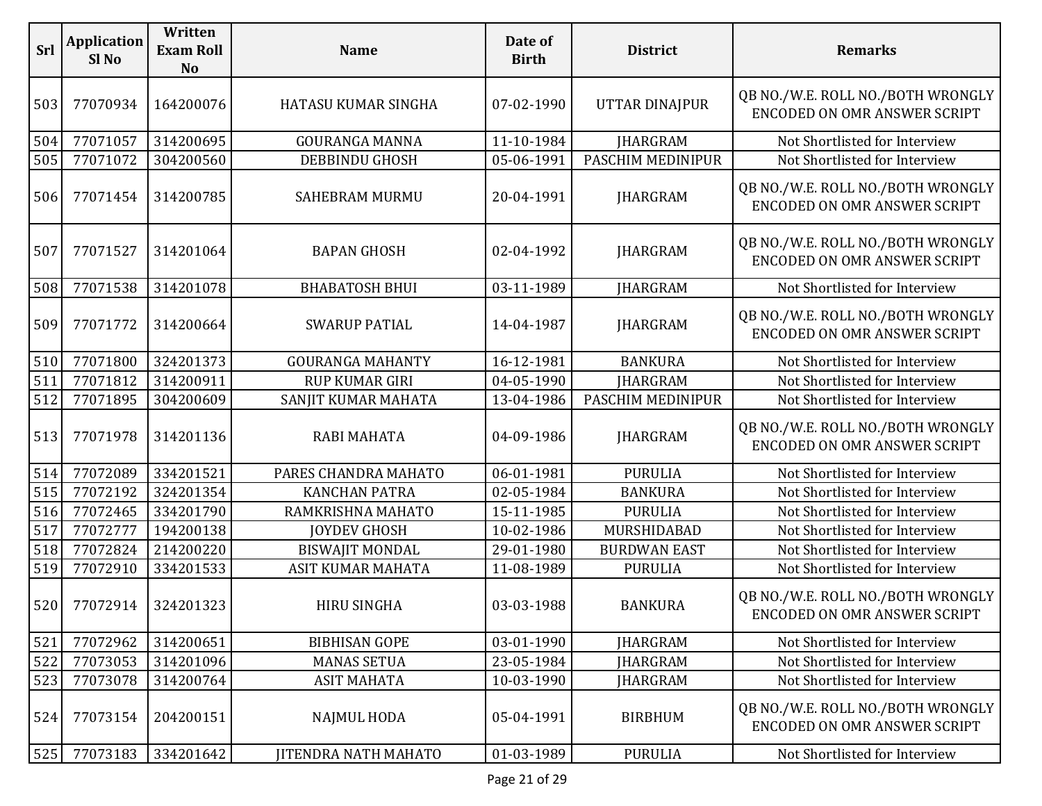| Srl | <b>Application</b><br>Sl No | Written<br><b>Exam Roll</b><br><b>No</b> | <b>Name</b>                 | Date of<br><b>Birth</b> | <b>District</b>       | <b>Remarks</b>                                                           |
|-----|-----------------------------|------------------------------------------|-----------------------------|-------------------------|-----------------------|--------------------------------------------------------------------------|
| 503 | 77070934                    | 164200076                                | HATASU KUMAR SINGHA         | 07-02-1990              | <b>UTTAR DINAJPUR</b> | QB NO./W.E. ROLL NO./BOTH WRONGLY<br>ENCODED ON OMR ANSWER SCRIPT        |
| 504 | 77071057                    | 314200695                                | <b>GOURANGA MANNA</b>       | 11-10-1984              | <b>JHARGRAM</b>       | Not Shortlisted for Interview                                            |
| 505 | 77071072                    | 304200560                                | <b>DEBBINDU GHOSH</b>       | 05-06-1991              | PASCHIM MEDINIPUR     | Not Shortlisted for Interview                                            |
| 506 | 77071454                    | 314200785                                | <b>SAHEBRAM MURMU</b>       | 20-04-1991              | <b>JHARGRAM</b>       | QB NO./W.E. ROLL NO./BOTH WRONGLY<br>ENCODED ON OMR ANSWER SCRIPT        |
| 507 | 77071527                    | 314201064                                | <b>BAPAN GHOSH</b>          | 02-04-1992              | <b>JHARGRAM</b>       | QB NO./W.E. ROLL NO./BOTH WRONGLY<br>ENCODED ON OMR ANSWER SCRIPT        |
| 508 | 77071538                    | 314201078                                | <b>BHABATOSH BHUI</b>       | 03-11-1989              | <b>JHARGRAM</b>       | Not Shortlisted for Interview                                            |
| 509 | 77071772                    | 314200664                                | <b>SWARUP PATIAL</b>        | 14-04-1987              | <b>JHARGRAM</b>       | QB NO./W.E. ROLL NO./BOTH WRONGLY<br>ENCODED ON OMR ANSWER SCRIPT        |
| 510 | 77071800                    | 324201373                                | <b>GOURANGA MAHANTY</b>     | 16-12-1981              | <b>BANKURA</b>        | Not Shortlisted for Interview                                            |
| 511 | 77071812                    | 314200911                                | RUP KUMAR GIRI              | 04-05-1990              | <b>JHARGRAM</b>       | Not Shortlisted for Interview                                            |
| 512 | 77071895                    | 304200609                                | SANJIT KUMAR MAHATA         | 13-04-1986              | PASCHIM MEDINIPUR     | Not Shortlisted for Interview                                            |
| 513 | 77071978                    | 314201136                                | <b>RABI MAHATA</b>          | 04-09-1986              | <b>JHARGRAM</b>       | QB NO./W.E. ROLL NO./BOTH WRONGLY<br>ENCODED ON OMR ANSWER SCRIPT        |
| 514 | 77072089                    | 334201521                                | PARES CHANDRA MAHATO        | 06-01-1981              | <b>PURULIA</b>        | Not Shortlisted for Interview                                            |
| 515 | 77072192                    | 324201354                                | <b>KANCHAN PATRA</b>        | 02-05-1984              | <b>BANKURA</b>        | Not Shortlisted for Interview                                            |
| 516 | 77072465                    | 334201790                                | RAMKRISHNA MAHATO           | 15-11-1985              | <b>PURULIA</b>        | Not Shortlisted for Interview                                            |
| 517 | 77072777                    | 194200138                                | <b>JOYDEV GHOSH</b>         | 10-02-1986              | MURSHIDABAD           | Not Shortlisted for Interview                                            |
| 518 | 77072824                    | 214200220                                | <b>BISWAJIT MONDAL</b>      | 29-01-1980              | <b>BURDWAN EAST</b>   | Not Shortlisted for Interview                                            |
| 519 | 77072910                    | 334201533                                | ASIT KUMAR MAHATA           | 11-08-1989              | <b>PURULIA</b>        | Not Shortlisted for Interview                                            |
|     | 520 77072914                | 324201323                                | HIRU SINGHA                 | 03-03-1988              | <b>BANKURA</b>        | QB NO./W.E. ROLL NO./BOTH WRONGLY<br>ENCODED ON OMR ANSWER SCRIPT        |
| 521 | 77072962                    | 314200651                                | <b>BIBHISAN GOPE</b>        | 03-01-1990              | <b>JHARGRAM</b>       | Not Shortlisted for Interview                                            |
| 522 | 77073053                    | 314201096                                | <b>MANAS SETUA</b>          | 23-05-1984              | <b>IHARGRAM</b>       | Not Shortlisted for Interview                                            |
| 523 | 77073078                    | 314200764                                | <b>ASIT MAHATA</b>          | 10-03-1990              | <b>IHARGRAM</b>       | Not Shortlisted for Interview                                            |
| 524 | 77073154                    | 204200151                                | <b>NAJMUL HODA</b>          | 05-04-1991              | <b>BIRBHUM</b>        | QB NO./W.E. ROLL NO./BOTH WRONGLY<br><b>ENCODED ON OMR ANSWER SCRIPT</b> |
| 525 | 77073183                    | 334201642                                | <b>JITENDRA NATH MAHATO</b> | 01-03-1989              | <b>PURULIA</b>        | Not Shortlisted for Interview                                            |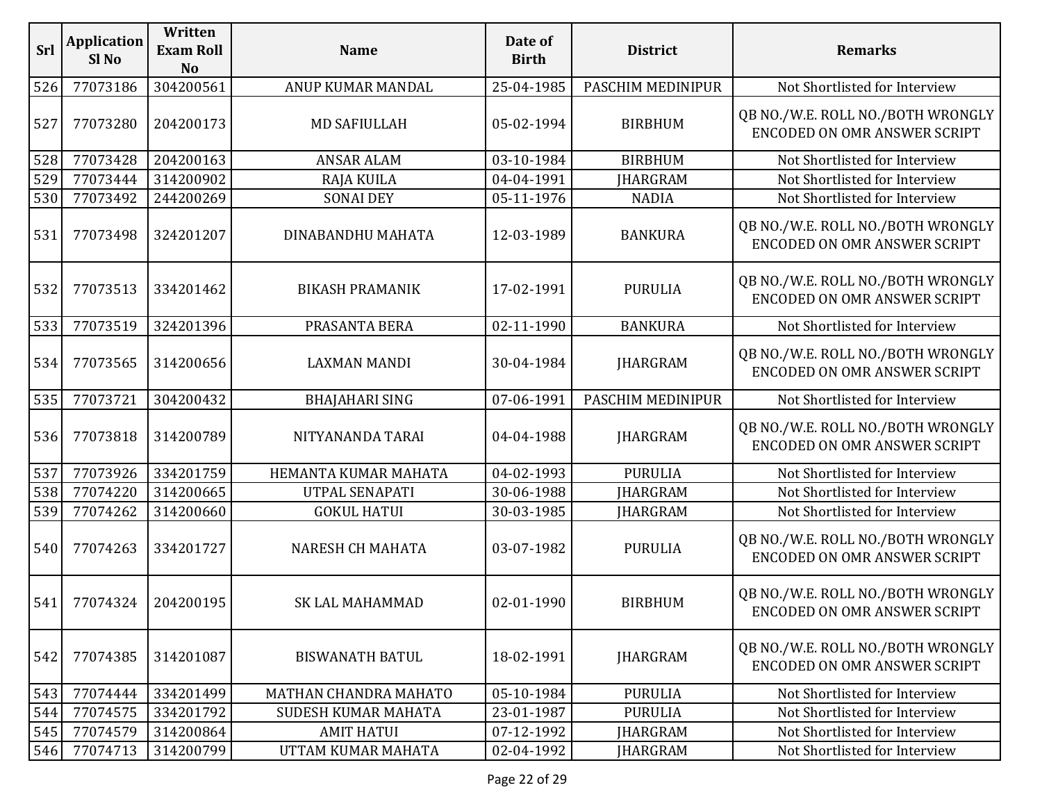| Srl | <b>Application</b><br>Sl <sub>No</sub> | Written<br><b>Exam Roll</b><br>N <sub>o</sub> | <b>Name</b>            | Date of<br><b>Birth</b> | <b>District</b>   | <b>Remarks</b>                                                           |
|-----|----------------------------------------|-----------------------------------------------|------------------------|-------------------------|-------------------|--------------------------------------------------------------------------|
| 526 | 77073186                               | 304200561                                     | ANUP KUMAR MANDAL      | 25-04-1985              | PASCHIM MEDINIPUR | Not Shortlisted for Interview                                            |
| 527 | 77073280                               | 204200173                                     | <b>MD SAFIULLAH</b>    | 05-02-1994              | <b>BIRBHUM</b>    | QB NO./W.E. ROLL NO./BOTH WRONGLY<br><b>ENCODED ON OMR ANSWER SCRIPT</b> |
| 528 | 77073428                               | 204200163                                     | <b>ANSAR ALAM</b>      | 03-10-1984              | <b>BIRBHUM</b>    | Not Shortlisted for Interview                                            |
| 529 | 77073444                               | 314200902                                     | RAJA KUILA             | 04-04-1991              | <b>IHARGRAM</b>   | Not Shortlisted for Interview                                            |
| 530 | 77073492                               | 244200269                                     | <b>SONAI DEY</b>       | 05-11-1976              | <b>NADIA</b>      | Not Shortlisted for Interview                                            |
| 531 | 77073498                               | 324201207                                     | DINABANDHU MAHATA      | 12-03-1989              | <b>BANKURA</b>    | QB NO./W.E. ROLL NO./BOTH WRONGLY<br><b>ENCODED ON OMR ANSWER SCRIPT</b> |
| 532 | 77073513                               | 334201462                                     | <b>BIKASH PRAMANIK</b> | 17-02-1991              | <b>PURULIA</b>    | QB NO./W.E. ROLL NO./BOTH WRONGLY<br><b>ENCODED ON OMR ANSWER SCRIPT</b> |
| 533 | 77073519                               | 324201396                                     | PRASANTA BERA          | 02-11-1990              | <b>BANKURA</b>    | Not Shortlisted for Interview                                            |
| 534 | 77073565                               | 314200656                                     | <b>LAXMAN MANDI</b>    | 30-04-1984              | <b>JHARGRAM</b>   | QB NO./W.E. ROLL NO./BOTH WRONGLY<br><b>ENCODED ON OMR ANSWER SCRIPT</b> |
| 535 | 77073721                               | 304200432                                     | <b>BHAJAHARI SING</b>  | 07-06-1991              | PASCHIM MEDINIPUR | Not Shortlisted for Interview                                            |
| 536 | 77073818                               | 314200789                                     | NITYANANDA TARAI       | 04-04-1988              | <b>JHARGRAM</b>   | QB NO./W.E. ROLL NO./BOTH WRONGLY<br><b>ENCODED ON OMR ANSWER SCRIPT</b> |
| 537 | 77073926                               | 334201759                                     | HEMANTA KUMAR MAHATA   | 04-02-1993              | <b>PURULIA</b>    | Not Shortlisted for Interview                                            |
| 538 | 77074220                               | 314200665                                     | UTPAL SENAPATI         | 30-06-1988              | <b>JHARGRAM</b>   | Not Shortlisted for Interview                                            |
| 539 | 77074262                               | 314200660                                     | <b>GOKUL HATUI</b>     | 30-03-1985              | <b>JHARGRAM</b>   | Not Shortlisted for Interview                                            |
| 540 | 77074263                               | 334201727                                     | NARESH CH MAHATA       | 03-07-1982              | <b>PURULIA</b>    | QB NO./W.E. ROLL NO./BOTH WRONGLY<br><b>ENCODED ON OMR ANSWER SCRIPT</b> |
| 541 | 77074324                               | 204200195                                     | <b>SK LAL MAHAMMAD</b> | 02-01-1990              | <b>BIRBHUM</b>    | QB NO./W.E. ROLL NO./BOTH WRONGLY<br>ENCODED ON OMR ANSWER SCRIPT        |
| 542 | 77074385                               | 314201087                                     | <b>BISWANATH BATUL</b> | 18-02-1991              | <b>JHARGRAM</b>   | QB NO./W.E. ROLL NO./BOTH WRONGLY<br>ENCODED ON OMR ANSWER SCRIPT        |
| 543 | 77074444                               | 334201499                                     | MATHAN CHANDRA MAHATO  | 05-10-1984              | <b>PURULIA</b>    | Not Shortlisted for Interview                                            |
| 544 | 77074575                               | 334201792                                     | SUDESH KUMAR MAHATA    | 23-01-1987              | <b>PURULIA</b>    | Not Shortlisted for Interview                                            |
| 545 | 77074579                               | 314200864                                     | <b>AMIT HATUI</b>      | 07-12-1992              | <b>IHARGRAM</b>   | Not Shortlisted for Interview                                            |
| 546 | 77074713                               | 314200799                                     | UTTAM KUMAR MAHATA     | 02-04-1992              | <b>JHARGRAM</b>   | Not Shortlisted for Interview                                            |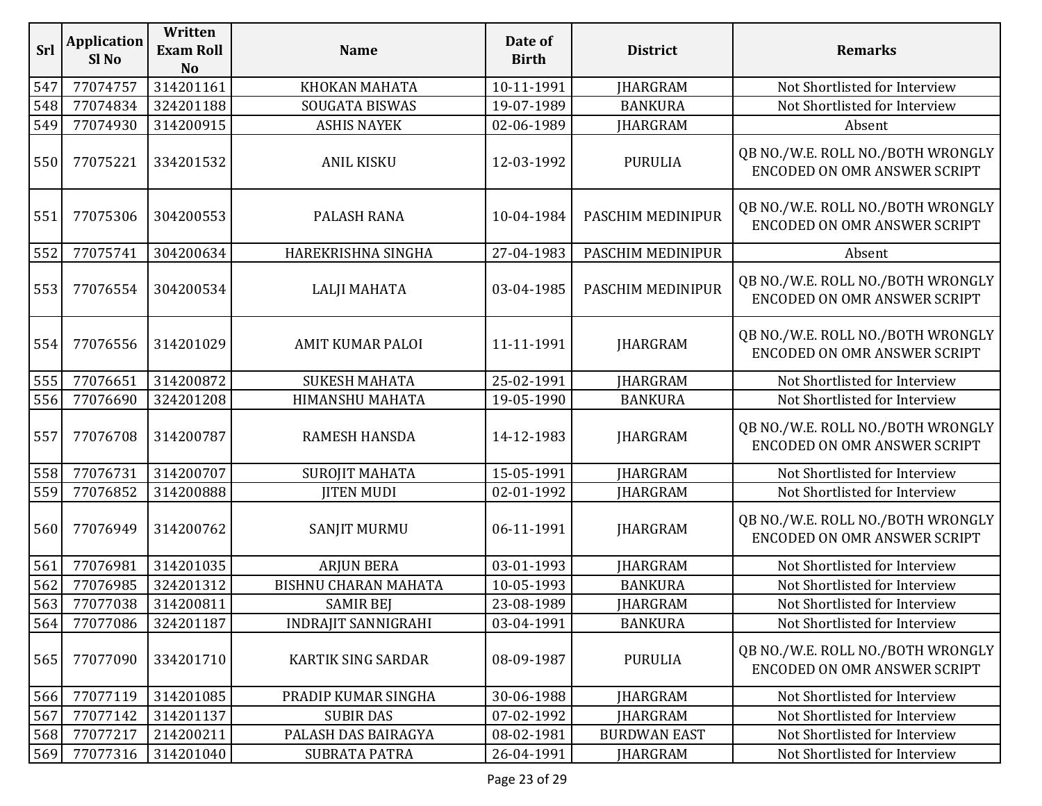| Srl | <b>Application</b><br>Sl <sub>No</sub> | Written<br><b>Exam Roll</b><br>N <sub>o</sub> | <b>Name</b>                 | Date of<br><b>Birth</b> | <b>District</b>     | <b>Remarks</b>                                                           |
|-----|----------------------------------------|-----------------------------------------------|-----------------------------|-------------------------|---------------------|--------------------------------------------------------------------------|
| 547 | 77074757                               | 314201161                                     | KHOKAN MAHATA               | 10-11-1991              | <b>JHARGRAM</b>     | Not Shortlisted for Interview                                            |
| 548 | 77074834                               | 324201188                                     | SOUGATA BISWAS              | 19-07-1989              | <b>BANKURA</b>      | Not Shortlisted for Interview                                            |
| 549 | 77074930                               | 314200915                                     | <b>ASHIS NAYEK</b>          | 02-06-1989              | <b>JHARGRAM</b>     | Absent                                                                   |
| 550 | 77075221                               | 334201532                                     | <b>ANIL KISKU</b>           | 12-03-1992              | <b>PURULIA</b>      | QB NO./W.E. ROLL NO./BOTH WRONGLY<br>ENCODED ON OMR ANSWER SCRIPT        |
| 551 | 77075306                               | 304200553                                     | PALASH RANA                 | 10-04-1984              | PASCHIM MEDINIPUR   | QB NO./W.E. ROLL NO./BOTH WRONGLY<br>ENCODED ON OMR ANSWER SCRIPT        |
| 552 | 77075741                               | 304200634                                     | HAREKRISHNA SINGHA          | 27-04-1983              | PASCHIM MEDINIPUR   | Absent                                                                   |
| 553 | 77076554                               | 304200534                                     | <b>LALJI MAHATA</b>         | 03-04-1985              | PASCHIM MEDINIPUR   | QB NO./W.E. ROLL NO./BOTH WRONGLY<br>ENCODED ON OMR ANSWER SCRIPT        |
| 554 | 77076556                               | 314201029                                     | <b>AMIT KUMAR PALOI</b>     | 11-11-1991              | <b>JHARGRAM</b>     | QB NO./W.E. ROLL NO./BOTH WRONGLY<br><b>ENCODED ON OMR ANSWER SCRIPT</b> |
| 555 | 77076651                               | 314200872                                     | <b>SUKESH MAHATA</b>        | 25-02-1991              | <b>IHARGRAM</b>     | Not Shortlisted for Interview                                            |
| 556 | 77076690                               | 324201208                                     | <b>HIMANSHU MAHATA</b>      | 19-05-1990              | <b>BANKURA</b>      | Not Shortlisted for Interview                                            |
| 557 | 77076708                               | 314200787                                     | <b>RAMESH HANSDA</b>        | 14-12-1983              | <b>JHARGRAM</b>     | QB NO./W.E. ROLL NO./BOTH WRONGLY<br><b>ENCODED ON OMR ANSWER SCRIPT</b> |
| 558 | 77076731                               | 314200707                                     | <b>SUROJIT MAHATA</b>       | 15-05-1991              | <b>JHARGRAM</b>     | Not Shortlisted for Interview                                            |
| 559 | 77076852                               | 314200888                                     | <b>IITEN MUDI</b>           | 02-01-1992              | <b>JHARGRAM</b>     | Not Shortlisted for Interview                                            |
| 560 | 77076949                               | 314200762                                     | <b>SANJIT MURMU</b>         | 06-11-1991              | <b>JHARGRAM</b>     | QB NO./W.E. ROLL NO./BOTH WRONGLY<br><b>ENCODED ON OMR ANSWER SCRIPT</b> |
| 561 | 77076981                               | 314201035                                     | <b>ARJUN BERA</b>           | 03-01-1993              | <b>JHARGRAM</b>     | Not Shortlisted for Interview                                            |
| 562 | 77076985                               | 324201312                                     | <b>BISHNU CHARAN MAHATA</b> | 10-05-1993              | <b>BANKURA</b>      | Not Shortlisted for Interview                                            |
| 563 | 77077038                               | 314200811                                     | <b>SAMIR BEJ</b>            | 23-08-1989              | <b>IHARGRAM</b>     | Not Shortlisted for Interview                                            |
| 564 | 77077086                               | 324201187                                     | <b>INDRAJIT SANNIGRAHI</b>  | 03-04-1991              | <b>BANKURA</b>      | Not Shortlisted for Interview                                            |
| 565 | 77077090                               | 334201710                                     | KARTIK SING SARDAR          | 08-09-1987              | <b>PURULIA</b>      | QB NO./W.E. ROLL NO./BOTH WRONGLY<br>ENCODED ON OMR ANSWER SCRIPT        |
| 566 | 77077119                               | 314201085                                     | PRADIP KUMAR SINGHA         | 30-06-1988              | <b>JHARGRAM</b>     | Not Shortlisted for Interview                                            |
| 567 | 77077142                               | 314201137                                     | <b>SUBIR DAS</b>            | 07-02-1992              | <b>JHARGRAM</b>     | Not Shortlisted for Interview                                            |
| 568 | 77077217                               | 214200211                                     | PALASH DAS BAIRAGYA         | 08-02-1981              | <b>BURDWAN EAST</b> | Not Shortlisted for Interview                                            |
| 569 | 77077316                               | 314201040                                     | <b>SUBRATA PATRA</b>        | 26-04-1991              | <b>JHARGRAM</b>     | Not Shortlisted for Interview                                            |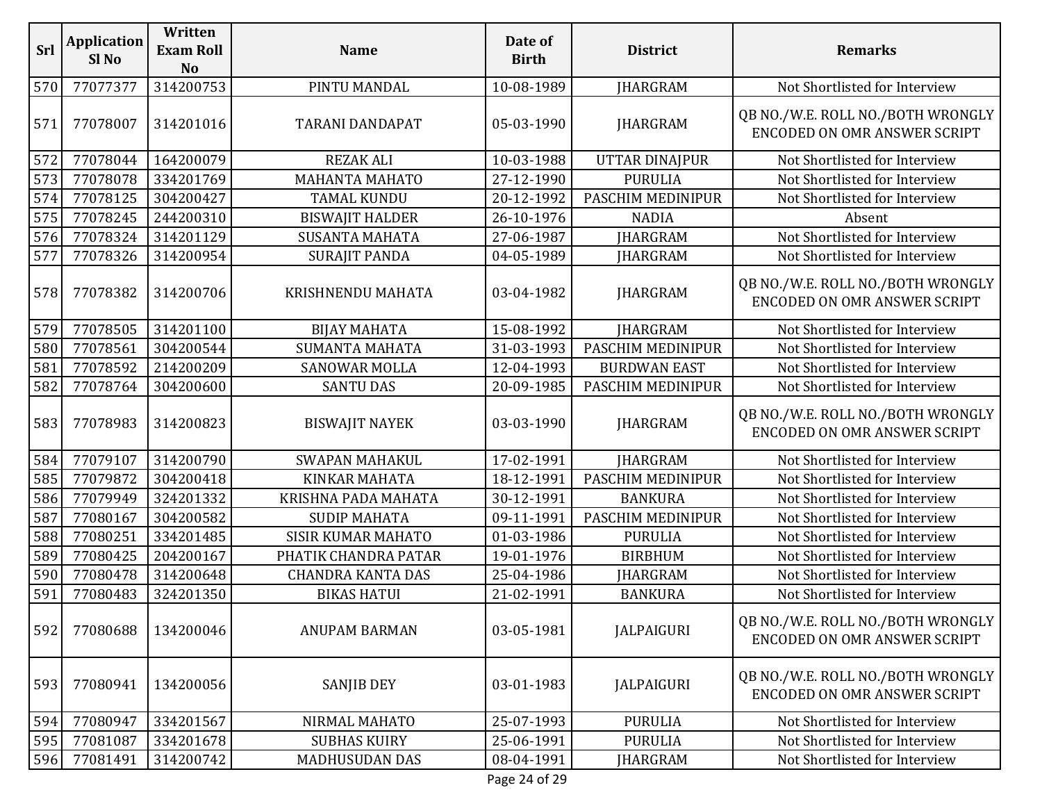| Srl | <b>Application</b><br>Sl <sub>No</sub> | Written<br><b>Exam Roll</b><br>N <sub>o</sub> | <b>Name</b>               | Date of<br><b>Birth</b> | <b>District</b>       | <b>Remarks</b>                                                           |
|-----|----------------------------------------|-----------------------------------------------|---------------------------|-------------------------|-----------------------|--------------------------------------------------------------------------|
| 570 | 77077377                               | 314200753                                     | PINTU MANDAL              | 10-08-1989              | <b>JHARGRAM</b>       | Not Shortlisted for Interview                                            |
| 571 | 77078007                               | 314201016                                     | <b>TARANI DANDAPAT</b>    | 05-03-1990              | <b>JHARGRAM</b>       | QB NO./W.E. ROLL NO./BOTH WRONGLY<br><b>ENCODED ON OMR ANSWER SCRIPT</b> |
| 572 | 77078044                               | 164200079                                     | <b>REZAK ALI</b>          | 10-03-1988              | <b>UTTAR DINAJPUR</b> | Not Shortlisted for Interview                                            |
| 573 | 77078078                               | 334201769                                     | MAHANTA MAHATO            | 27-12-1990              | <b>PURULIA</b>        | Not Shortlisted for Interview                                            |
| 574 | 77078125                               | 304200427                                     | <b>TAMAL KUNDU</b>        | 20-12-1992              | PASCHIM MEDINIPUR     | Not Shortlisted for Interview                                            |
| 575 | 77078245                               | 244200310                                     | <b>BISWAJIT HALDER</b>    | 26-10-1976              | <b>NADIA</b>          | Absent                                                                   |
| 576 | 77078324                               | 314201129                                     | <b>SUSANTA MAHATA</b>     | 27-06-1987              | <b>JHARGRAM</b>       | Not Shortlisted for Interview                                            |
| 577 | 77078326                               | 314200954                                     | <b>SURAJIT PANDA</b>      | 04-05-1989              | <b>IHARGRAM</b>       | Not Shortlisted for Interview                                            |
| 578 | 77078382                               | 314200706                                     | KRISHNENDU MAHATA         | 03-04-1982              | <b>JHARGRAM</b>       | QB NO./W.E. ROLL NO./BOTH WRONGLY<br><b>ENCODED ON OMR ANSWER SCRIPT</b> |
| 579 | 77078505                               | 314201100                                     | <b>BIJAY MAHATA</b>       | 15-08-1992              | <b>JHARGRAM</b>       | Not Shortlisted for Interview                                            |
| 580 | 77078561                               | 304200544                                     | <b>SUMANTA MAHATA</b>     | 31-03-1993              | PASCHIM MEDINIPUR     | Not Shortlisted for Interview                                            |
| 581 | 77078592                               | 214200209                                     | <b>SANOWAR MOLLA</b>      | 12-04-1993              | <b>BURDWAN EAST</b>   | Not Shortlisted for Interview                                            |
| 582 | 77078764                               | 304200600                                     | <b>SANTU DAS</b>          | 20-09-1985              | PASCHIM MEDINIPUR     | Not Shortlisted for Interview                                            |
| 583 | 77078983                               | 314200823                                     | <b>BISWAJIT NAYEK</b>     | 03-03-1990              | <b>JHARGRAM</b>       | QB NO./W.E. ROLL NO./BOTH WRONGLY<br>ENCODED ON OMR ANSWER SCRIPT        |
| 584 | 77079107                               | 314200790                                     | <b>SWAPAN MAHAKUL</b>     | 17-02-1991              | <b>JHARGRAM</b>       | Not Shortlisted for Interview                                            |
| 585 | 77079872                               | 304200418                                     | <b>KINKAR MAHATA</b>      | 18-12-1991              | PASCHIM MEDINIPUR     | Not Shortlisted for Interview                                            |
| 586 | 77079949                               | 324201332                                     | KRISHNA PADA MAHATA       | 30-12-1991              | <b>BANKURA</b>        | Not Shortlisted for Interview                                            |
| 587 | 77080167                               | 304200582                                     | <b>SUDIP MAHATA</b>       | 09-11-1991              | PASCHIM MEDINIPUR     | Not Shortlisted for Interview                                            |
| 588 | 77080251                               | 334201485                                     | <b>SISIR KUMAR MAHATO</b> | 01-03-1986              | <b>PURULIA</b>        | Not Shortlisted for Interview                                            |
| 589 | 77080425                               | 204200167                                     | PHATIK CHANDRA PATAR      | 19-01-1976              | <b>BIRBHUM</b>        | Not Shortlisted for Interview                                            |
| 590 | 77080478                               | 314200648                                     | <b>CHANDRA KANTA DAS</b>  | 25-04-1986              | <b>JHARGRAM</b>       | Not Shortlisted for Interview                                            |
| 591 | 77080483                               | 324201350                                     | <b>BIKAS HATUI</b>        | 21-02-1991              | <b>BANKURA</b>        | Not Shortlisted for Interview                                            |
| 592 | 77080688                               | 134200046                                     | <b>ANUPAM BARMAN</b>      | 03-05-1981              | <b>JALPAIGURI</b>     | QB NO./W.E. ROLL NO./BOTH WRONGLY<br>ENCODED ON OMR ANSWER SCRIPT        |
| 593 | 77080941                               | 134200056                                     | <b>SANJIB DEY</b>         | 03-01-1983              | JALPAIGURI            | QB NO./W.E. ROLL NO./BOTH WRONGLY<br><b>ENCODED ON OMR ANSWER SCRIPT</b> |
| 594 | 77080947                               | 334201567                                     | NIRMAL MAHATO             | 25-07-1993              | <b>PURULIA</b>        | Not Shortlisted for Interview                                            |
| 595 | 77081087                               | 334201678                                     | <b>SUBHAS KUIRY</b>       | 25-06-1991              | <b>PURULIA</b>        | Not Shortlisted for Interview                                            |
| 596 | 77081491                               | 314200742                                     | <b>MADHUSUDAN DAS</b>     | 08-04-1991              | <b>JHARGRAM</b>       | Not Shortlisted for Interview                                            |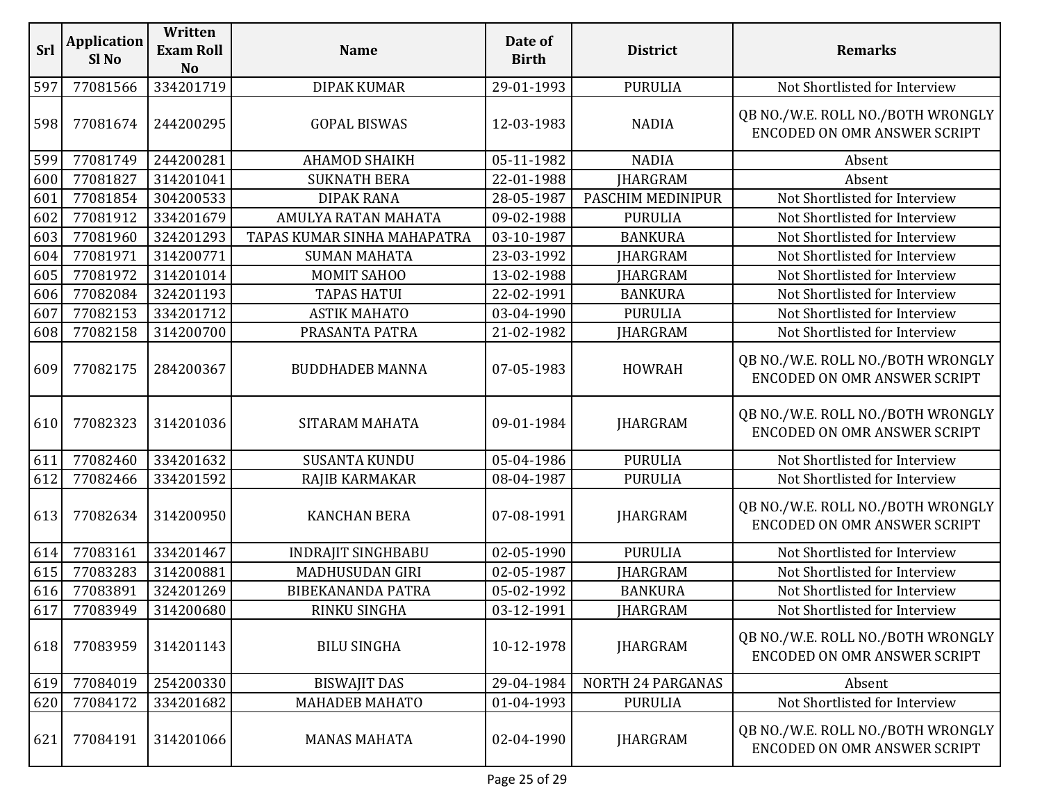| <b>Srl</b> | <b>Application</b><br>Sl <sub>No</sub> | Written<br><b>Exam Roll</b><br><b>No</b> | <b>Name</b>                 | Date of<br><b>Birth</b> | <b>District</b>   | <b>Remarks</b>                                                           |
|------------|----------------------------------------|------------------------------------------|-----------------------------|-------------------------|-------------------|--------------------------------------------------------------------------|
| 597        | 77081566                               | 334201719                                | <b>DIPAK KUMAR</b>          | 29-01-1993              | <b>PURULIA</b>    | Not Shortlisted for Interview                                            |
| 598        | 77081674                               | 244200295                                | <b>GOPAL BISWAS</b>         | 12-03-1983              | <b>NADIA</b>      | QB NO./W.E. ROLL NO./BOTH WRONGLY<br><b>ENCODED ON OMR ANSWER SCRIPT</b> |
| 599        | 77081749                               | 244200281                                | <b>AHAMOD SHAIKH</b>        | 05-11-1982              | <b>NADIA</b>      | Absent                                                                   |
| 600        | 77081827                               | 314201041                                | <b>SUKNATH BERA</b>         | 22-01-1988              | <b>JHARGRAM</b>   | Absent                                                                   |
| 601        | 77081854                               | 304200533                                | <b>DIPAK RANA</b>           | 28-05-1987              | PASCHIM MEDINIPUR | Not Shortlisted for Interview                                            |
| 602        | 77081912                               | 334201679                                | AMULYA RATAN MAHATA         | 09-02-1988              | <b>PURULIA</b>    | Not Shortlisted for Interview                                            |
| 603        | 77081960                               | 324201293                                | TAPAS KUMAR SINHA MAHAPATRA | 03-10-1987              | <b>BANKURA</b>    | Not Shortlisted for Interview                                            |
| 604        | 77081971                               | 314200771                                | <b>SUMAN MAHATA</b>         | 23-03-1992              | <b>JHARGRAM</b>   | Not Shortlisted for Interview                                            |
| 605        | 77081972                               | 314201014                                | <b>MOMIT SAHOO</b>          | 13-02-1988              | <b>JHARGRAM</b>   | Not Shortlisted for Interview                                            |
| 606        | 77082084                               | 324201193                                | <b>TAPAS HATUI</b>          | 22-02-1991              | <b>BANKURA</b>    | Not Shortlisted for Interview                                            |
| 607        | 77082153                               | 334201712                                | <b>ASTIK MAHATO</b>         | 03-04-1990              | <b>PURULIA</b>    | Not Shortlisted for Interview                                            |
| 608        | 77082158                               | 314200700                                | PRASANTA PATRA              | 21-02-1982              | <b>JHARGRAM</b>   | Not Shortlisted for Interview                                            |
| 609        | 77082175                               | 284200367                                | <b>BUDDHADEB MANNA</b>      | 07-05-1983              | <b>HOWRAH</b>     | QB NO./W.E. ROLL NO./BOTH WRONGLY<br><b>ENCODED ON OMR ANSWER SCRIPT</b> |
| 610        | 77082323                               | 314201036                                | SITARAM MAHATA              | 09-01-1984              | <b>JHARGRAM</b>   | QB NO./W.E. ROLL NO./BOTH WRONGLY<br><b>ENCODED ON OMR ANSWER SCRIPT</b> |
| 611        | 77082460                               | 334201632                                | <b>SUSANTA KUNDU</b>        | 05-04-1986              | <b>PURULIA</b>    | Not Shortlisted for Interview                                            |
| 612        | 77082466                               | 334201592                                | RAJIB KARMAKAR              | 08-04-1987              | <b>PURULIA</b>    | Not Shortlisted for Interview                                            |
| 613        | 77082634                               | 314200950                                | <b>KANCHAN BERA</b>         | 07-08-1991              | <b>JHARGRAM</b>   | QB NO./W.E. ROLL NO./BOTH WRONGLY<br><b>ENCODED ON OMR ANSWER SCRIPT</b> |
| 614        | 77083161                               | 334201467                                | <b>INDRAJIT SINGHBABU</b>   | 02-05-1990              | <b>PURULIA</b>    | Not Shortlisted for Interview                                            |
| 615        | 77083283                               | 314200881                                | <b>MADHUSUDAN GIRI</b>      | 02-05-1987              | <b>JHARGRAM</b>   | Not Shortlisted for Interview                                            |
| 616        | 77083891                               | 324201269                                | <b>BIBEKANANDA PATRA</b>    | 05-02-1992              | <b>BANKURA</b>    | Not Shortlisted for Interview                                            |
| 617        | 77083949                               | 314200680                                | RINKU SINGHA                | 03-12-1991              | <b>JHARGRAM</b>   | Not Shortlisted for Interview                                            |
| 618        | 77083959                               | 314201143                                | <b>BILU SINGHA</b>          | 10-12-1978              | <b>JHARGRAM</b>   | QB NO./W.E. ROLL NO./BOTH WRONGLY<br>ENCODED ON OMR ANSWER SCRIPT        |
| 619        | 77084019                               | 254200330                                | <b>BISWAJIT DAS</b>         | 29-04-1984              | NORTH 24 PARGANAS | Absent                                                                   |
| 620        | 77084172                               | 334201682                                | <b>MAHADEB MAHATO</b>       | 01-04-1993              | <b>PURULIA</b>    | Not Shortlisted for Interview                                            |
| 621        | 77084191                               | 314201066                                | <b>MANAS MAHATA</b>         | 02-04-1990              | <b>JHARGRAM</b>   | QB NO./W.E. ROLL NO./BOTH WRONGLY<br>ENCODED ON OMR ANSWER SCRIPT        |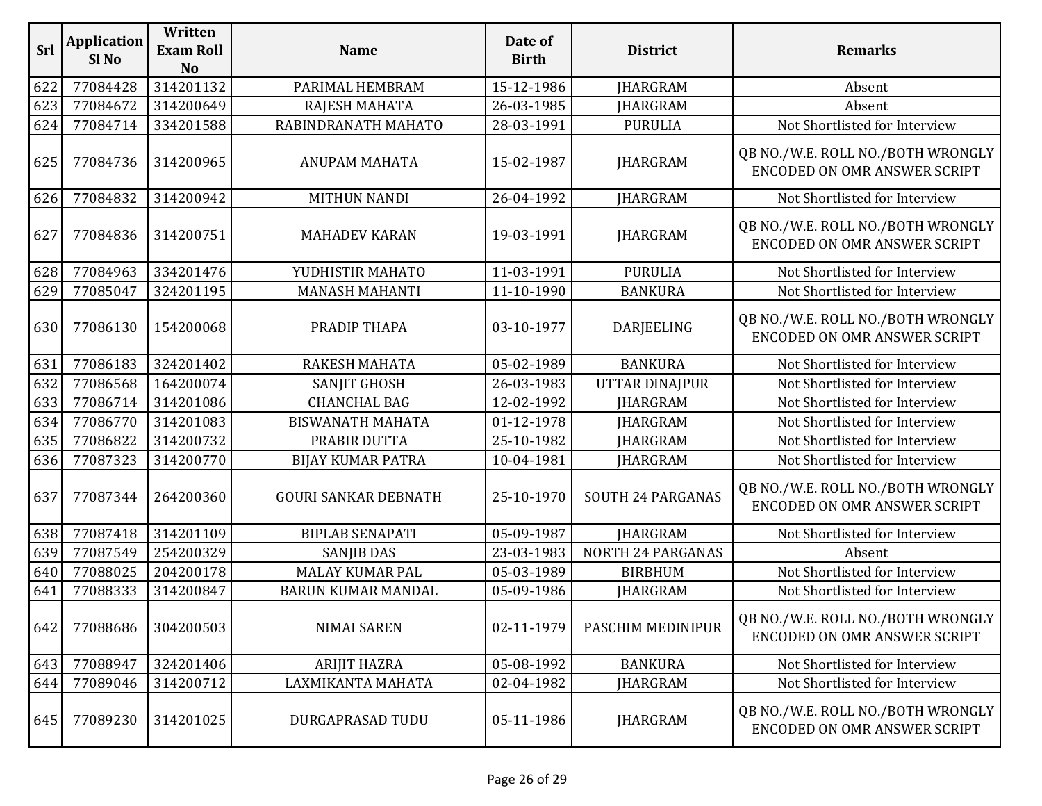| Srl | <b>Application</b><br>Sl <sub>No</sub> | Written<br><b>Exam Roll</b><br>N <sub>o</sub> | <b>Name</b>                 | Date of<br><b>Birth</b> | <b>District</b>          | <b>Remarks</b>                                                           |
|-----|----------------------------------------|-----------------------------------------------|-----------------------------|-------------------------|--------------------------|--------------------------------------------------------------------------|
| 622 | 77084428                               | 314201132                                     | PARIMAL HEMBRAM             | 15-12-1986              | <b>JHARGRAM</b>          | Absent                                                                   |
| 623 | 77084672                               | 314200649                                     | RAJESH MAHATA               | 26-03-1985              | <b>JHARGRAM</b>          | Absent                                                                   |
| 624 | 77084714                               | 334201588                                     | RABINDRANATH MAHATO         | 28-03-1991              | <b>PURULIA</b>           | Not Shortlisted for Interview                                            |
| 625 | 77084736                               | 314200965                                     | <b>ANUPAM MAHATA</b>        | 15-02-1987              | <b>JHARGRAM</b>          | QB NO./W.E. ROLL NO./BOTH WRONGLY<br><b>ENCODED ON OMR ANSWER SCRIPT</b> |
| 626 | 77084832                               | 314200942                                     | <b>MITHUN NANDI</b>         | 26-04-1992              | <b>JHARGRAM</b>          | Not Shortlisted for Interview                                            |
| 627 | 77084836                               | 314200751                                     | <b>MAHADEV KARAN</b>        | 19-03-1991              | <b>JHARGRAM</b>          | QB NO./W.E. ROLL NO./BOTH WRONGLY<br><b>ENCODED ON OMR ANSWER SCRIPT</b> |
| 628 | 77084963                               | 334201476                                     | YUDHISTIR MAHATO            | 11-03-1991              | <b>PURULIA</b>           | Not Shortlisted for Interview                                            |
| 629 | 77085047                               | 324201195                                     | <b>MANASH MAHANTI</b>       | 11-10-1990              | <b>BANKURA</b>           | Not Shortlisted for Interview                                            |
| 630 | 77086130                               | 154200068                                     | PRADIP THAPA                | 03-10-1977              | <b>DARJEELING</b>        | QB NO./W.E. ROLL NO./BOTH WRONGLY<br><b>ENCODED ON OMR ANSWER SCRIPT</b> |
| 631 | 77086183                               | 324201402                                     | <b>RAKESH MAHATA</b>        | 05-02-1989              | <b>BANKURA</b>           | Not Shortlisted for Interview                                            |
| 632 | 77086568                               | 164200074                                     | <b>SANJIT GHOSH</b>         | 26-03-1983              | <b>UTTAR DINAJPUR</b>    | Not Shortlisted for Interview                                            |
| 633 | 77086714                               | 314201086                                     | <b>CHANCHAL BAG</b>         | 12-02-1992              | <b>JHARGRAM</b>          | Not Shortlisted for Interview                                            |
| 634 | 77086770                               | 314201083                                     | <b>BISWANATH MAHATA</b>     | 01-12-1978              | <b>JHARGRAM</b>          | Not Shortlisted for Interview                                            |
| 635 | 77086822                               | 314200732                                     | PRABIR DUTTA                | 25-10-1982              | <b>IHARGRAM</b>          | Not Shortlisted for Interview                                            |
| 636 | 77087323                               | 314200770                                     | <b>BIJAY KUMAR PATRA</b>    | 10-04-1981              | <b>JHARGRAM</b>          | Not Shortlisted for Interview                                            |
| 637 | 77087344                               | 264200360                                     | <b>GOURI SANKAR DEBNATH</b> | 25-10-1970              | <b>SOUTH 24 PARGANAS</b> | QB NO./W.E. ROLL NO./BOTH WRONGLY<br><b>ENCODED ON OMR ANSWER SCRIPT</b> |
| 638 | 77087418                               | 314201109                                     | <b>BIPLAB SENAPATI</b>      | 05-09-1987              | <b>JHARGRAM</b>          | Not Shortlisted for Interview                                            |
| 639 | 77087549                               | 254200329                                     | <b>SANJIB DAS</b>           | 23-03-1983              | <b>NORTH 24 PARGANAS</b> | Absent                                                                   |
| 640 | 77088025                               | 204200178                                     | <b>MALAY KUMAR PAL</b>      | 05-03-1989              | <b>BIRBHUM</b>           | Not Shortlisted for Interview                                            |
| 641 | 77088333                               | 314200847                                     | <b>BARUN KUMAR MANDAL</b>   | 05-09-1986              | <b>JHARGRAM</b>          | Not Shortlisted for Interview                                            |
| 642 | 77088686                               | 304200503                                     | <b>NIMAI SAREN</b>          | 02-11-1979              | PASCHIM MEDINIPUR        | QB NO./W.E. ROLL NO./BOTH WRONGLY<br><b>ENCODED ON OMR ANSWER SCRIPT</b> |
| 643 | 77088947                               | 324201406                                     | <b>ARIJIT HAZRA</b>         | 05-08-1992              | <b>BANKURA</b>           | Not Shortlisted for Interview                                            |
| 644 | 77089046                               | 314200712                                     | LAXMIKANTA MAHATA           | 02-04-1982              | <b>JHARGRAM</b>          | Not Shortlisted for Interview                                            |
| 645 | 77089230                               | 314201025                                     | DURGAPRASAD TUDU            | 05-11-1986              | <b>JHARGRAM</b>          | QB NO./W.E. ROLL NO./BOTH WRONGLY<br><b>ENCODED ON OMR ANSWER SCRIPT</b> |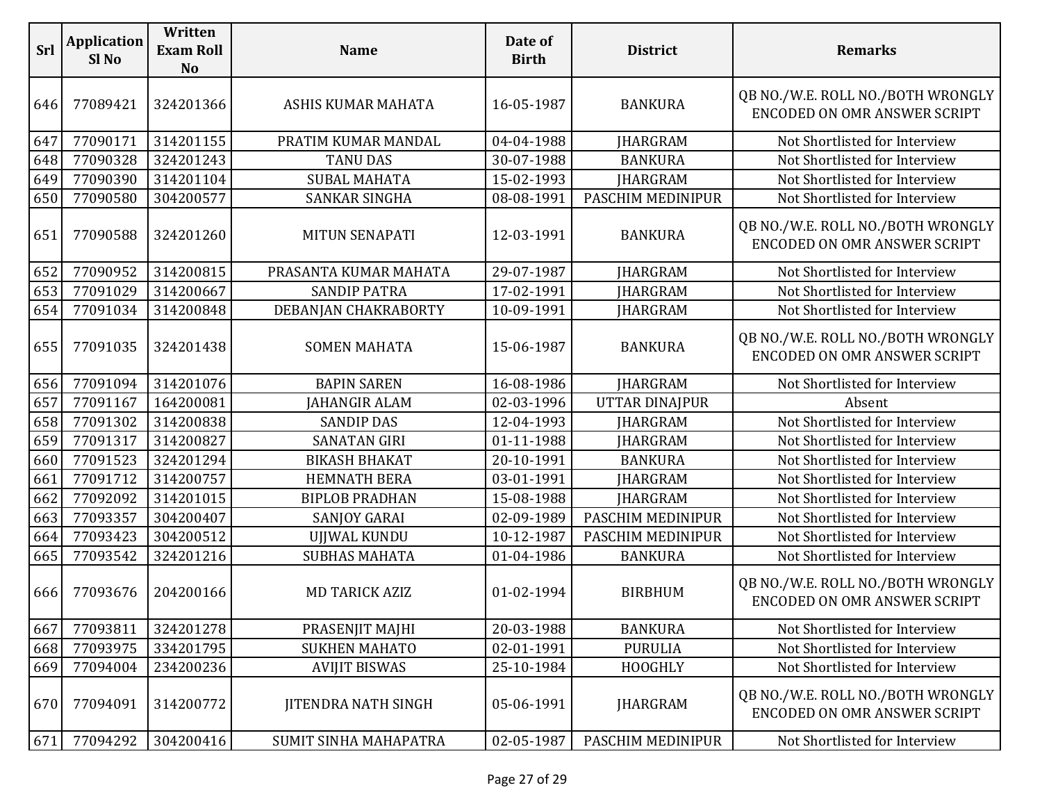| Srl | <b>Application</b><br>Sl <sub>No</sub> | Written<br><b>Exam Roll</b><br><b>No</b> | <b>Name</b>                | Date of<br><b>Birth</b> | <b>District</b>   | <b>Remarks</b>                                                           |
|-----|----------------------------------------|------------------------------------------|----------------------------|-------------------------|-------------------|--------------------------------------------------------------------------|
| 646 | 77089421                               | 324201366                                | ASHIS KUMAR MAHATA         | 16-05-1987              | <b>BANKURA</b>    | QB NO./W.E. ROLL NO./BOTH WRONGLY<br><b>ENCODED ON OMR ANSWER SCRIPT</b> |
| 647 | 77090171                               | 314201155                                | PRATIM KUMAR MANDAL        | 04-04-1988              | <b>JHARGRAM</b>   | Not Shortlisted for Interview                                            |
| 648 | 77090328                               | 324201243                                | <b>TANU DAS</b>            | 30-07-1988              | <b>BANKURA</b>    | Not Shortlisted for Interview                                            |
| 649 | 77090390                               | 314201104                                | <b>SUBAL MAHATA</b>        | 15-02-1993              | <b>JHARGRAM</b>   | Not Shortlisted for Interview                                            |
| 650 | 77090580                               | 304200577                                | SANKAR SINGHA              | 08-08-1991              | PASCHIM MEDINIPUR | Not Shortlisted for Interview                                            |
| 651 | 77090588                               | 324201260                                | <b>MITUN SENAPATI</b>      | 12-03-1991              | <b>BANKURA</b>    | QB NO./W.E. ROLL NO./BOTH WRONGLY<br><b>ENCODED ON OMR ANSWER SCRIPT</b> |
| 652 | 77090952                               | 314200815                                | PRASANTA KUMAR MAHATA      | 29-07-1987              | <b>JHARGRAM</b>   | Not Shortlisted for Interview                                            |
| 653 | 77091029                               | 314200667                                | <b>SANDIP PATRA</b>        | 17-02-1991              | <b>JHARGRAM</b>   | Not Shortlisted for Interview                                            |
| 654 | 77091034                               | 314200848                                | DEBANJAN CHAKRABORTY       | 10-09-1991              | <b>JHARGRAM</b>   | Not Shortlisted for Interview                                            |
| 655 | 77091035                               | 324201438                                | <b>SOMEN MAHATA</b>        | 15-06-1987              | <b>BANKURA</b>    | QB NO./W.E. ROLL NO./BOTH WRONGLY<br><b>ENCODED ON OMR ANSWER SCRIPT</b> |
| 656 | 77091094                               | 314201076                                | <b>BAPIN SAREN</b>         | 16-08-1986              | <b>JHARGRAM</b>   | Not Shortlisted for Interview                                            |
| 657 | 77091167                               | 164200081                                | JAHANGIR ALAM              | 02-03-1996              | UTTAR DINAJPUR    | Absent                                                                   |
| 658 | 77091302                               | 314200838                                | <b>SANDIP DAS</b>          | 12-04-1993              | <b>JHARGRAM</b>   | Not Shortlisted for Interview                                            |
| 659 | 77091317                               | 314200827                                | <b>SANATAN GIRI</b>        | 01-11-1988              | <b>JHARGRAM</b>   | Not Shortlisted for Interview                                            |
| 660 | 77091523                               | 324201294                                | <b>BIKASH BHAKAT</b>       | 20-10-1991              | <b>BANKURA</b>    | Not Shortlisted for Interview                                            |
| 661 | 77091712                               | 314200757                                | <b>HEMNATH BERA</b>        | 03-01-1991              | <b>JHARGRAM</b>   | Not Shortlisted for Interview                                            |
| 662 | 77092092                               | 314201015                                | <b>BIPLOB PRADHAN</b>      | 15-08-1988              | <b>JHARGRAM</b>   | Not Shortlisted for Interview                                            |
| 663 | 77093357                               | 304200407                                | SANJOY GARAI               | 02-09-1989              | PASCHIM MEDINIPUR | Not Shortlisted for Interview                                            |
| 664 | 77093423                               | 304200512                                | <b>UJJWAL KUNDU</b>        | 10-12-1987              | PASCHIM MEDINIPUR | Not Shortlisted for Interview                                            |
| 665 | 77093542                               | 324201216                                | <b>SUBHAS MAHATA</b>       | 01-04-1986              | <b>BANKURA</b>    | Not Shortlisted for Interview                                            |
| 666 | 77093676                               | 204200166                                | <b>MD TARICK AZIZ</b>      | 01-02-1994              | <b>BIRBHUM</b>    | QB NO./W.E. ROLL NO./BOTH WRONGLY<br><b>ENCODED ON OMR ANSWER SCRIPT</b> |
| 667 | 77093811                               | 324201278                                | PRASENJIT MAJHI            | 20-03-1988              | <b>BANKURA</b>    | Not Shortlisted for Interview                                            |
| 668 | 77093975                               | 334201795                                | <b>SUKHEN MAHATO</b>       | 02-01-1991              | <b>PURULIA</b>    | Not Shortlisted for Interview                                            |
| 669 | 77094004                               | 234200236                                | <b>AVIJIT BISWAS</b>       | 25-10-1984              | HOOGHLY           | Not Shortlisted for Interview                                            |
| 670 | 77094091                               | 314200772                                | <b>JITENDRA NATH SINGH</b> | 05-06-1991              | <b>JHARGRAM</b>   | QB NO./W.E. ROLL NO./BOTH WRONGLY<br><b>ENCODED ON OMR ANSWER SCRIPT</b> |
| 671 | 77094292                               | 304200416                                | SUMIT SINHA MAHAPATRA      | 02-05-1987              | PASCHIM MEDINIPUR | Not Shortlisted for Interview                                            |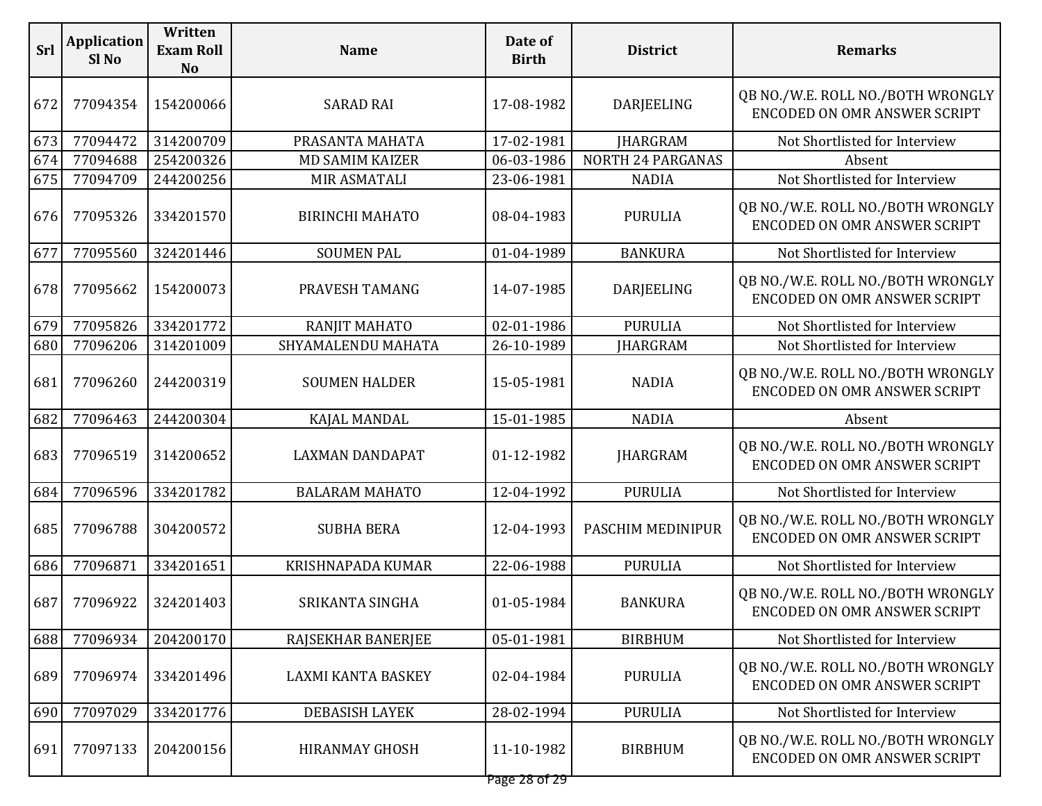| <b>Srl</b> | <b>Application</b><br>Sl <sub>No</sub> | Written<br><b>Exam Roll</b><br><b>No</b> | <b>Name</b>            | Date of<br><b>Birth</b> | <b>District</b>          | <b>Remarks</b>                                                           |
|------------|----------------------------------------|------------------------------------------|------------------------|-------------------------|--------------------------|--------------------------------------------------------------------------|
| 672        | 77094354                               | 154200066                                | <b>SARAD RAI</b>       | 17-08-1982              | DARJEELING               | QB NO./W.E. ROLL NO./BOTH WRONGLY<br><b>ENCODED ON OMR ANSWER SCRIPT</b> |
| 673        | 77094472                               | 314200709                                | PRASANTA MAHATA        | 17-02-1981              | <b>JHARGRAM</b>          | Not Shortlisted for Interview                                            |
| 674        | 77094688                               | 254200326                                | <b>MD SAMIM KAIZER</b> | 06-03-1986              | <b>NORTH 24 PARGANAS</b> | Absent                                                                   |
| 675        | 77094709                               | 244200256                                | MIR ASMATALI           | 23-06-1981              | <b>NADIA</b>             | Not Shortlisted for Interview                                            |
| 676        | 77095326                               | 334201570                                | <b>BIRINCHI MAHATO</b> | 08-04-1983              | <b>PURULIA</b>           | QB NO./W.E. ROLL NO./BOTH WRONGLY<br><b>ENCODED ON OMR ANSWER SCRIPT</b> |
| 677        | 77095560                               | 324201446                                | <b>SOUMEN PAL</b>      | 01-04-1989              | <b>BANKURA</b>           | Not Shortlisted for Interview                                            |
| 678        | 77095662                               | 154200073                                | PRAVESH TAMANG         | 14-07-1985              | DARJEELING               | QB NO./W.E. ROLL NO./BOTH WRONGLY<br>ENCODED ON OMR ANSWER SCRIPT        |
| 679        | 77095826                               | 334201772                                | RANJIT MAHATO          | 02-01-1986              | <b>PURULIA</b>           | Not Shortlisted for Interview                                            |
| 680        | 77096206                               | 314201009                                | SHYAMALENDU MAHATA     | 26-10-1989              | <b>JHARGRAM</b>          | Not Shortlisted for Interview                                            |
| 681        | 77096260                               | 244200319                                | <b>SOUMEN HALDER</b>   | 15-05-1981              | <b>NADIA</b>             | QB NO./W.E. ROLL NO./BOTH WRONGLY<br><b>ENCODED ON OMR ANSWER SCRIPT</b> |
| 682        | 77096463                               | 244200304                                | KAJAL MANDAL           | 15-01-1985              | <b>NADIA</b>             | Absent                                                                   |
| 683        | 77096519                               | 314200652                                | <b>LAXMAN DANDAPAT</b> | 01-12-1982              | <b>JHARGRAM</b>          | QB NO./W.E. ROLL NO./BOTH WRONGLY<br>ENCODED ON OMR ANSWER SCRIPT        |
| 684        | 77096596                               | 334201782                                | <b>BALARAM MAHATO</b>  | 12-04-1992              | <b>PURULIA</b>           | Not Shortlisted for Interview                                            |
| 685        | 77096788                               | 304200572                                | <b>SUBHA BERA</b>      | 12-04-1993              | PASCHIM MEDINIPUR        | QB NO./W.E. ROLL NO./BOTH WRONGLY<br>ENCODED ON OMR ANSWER SCRIPT        |
| 686        | 77096871                               | 334201651                                | KRISHNAPADA KUMAR      | 22-06-1988              | <b>PURULIA</b>           | Not Shortlisted for Interview                                            |
| 687        | 77096922                               | 324201403                                | SRIKANTA SINGHA        | 01-05-1984              | <b>BANKURA</b>           | QB NO./W.E. ROLL NO./BOTH WRONGLY<br>ENCODED ON OMR ANSWER SCRIPT        |
| 688        | 77096934                               | 204200170                                | RAJSEKHAR BANERJEE     | 05-01-1981              | <b>BIRBHUM</b>           | Not Shortlisted for Interview                                            |
| 689        | 77096974                               | 334201496                                | LAXMI KANTA BASKEY     | 02-04-1984              | <b>PURULIA</b>           | QB NO./W.E. ROLL NO./BOTH WRONGLY<br><b>ENCODED ON OMR ANSWER SCRIPT</b> |
| 690        | 77097029                               | 334201776                                | DEBASISH LAYEK         | 28-02-1994              | <b>PURULIA</b>           | Not Shortlisted for Interview                                            |
| 691        | 77097133                               | 204200156                                | <b>HIRANMAY GHOSH</b>  | 11-10-1982              | <b>BIRBHUM</b>           | QB NO./W.E. ROLL NO./BOTH WRONGLY<br>ENCODED ON OMR ANSWER SCRIPT        |
|            |                                        |                                          |                        |                         |                          |                                                                          |